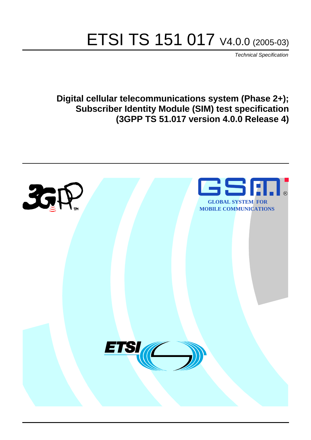# ETSI TS 151 017 V4.0.0 (2005-03)

Technical Specification

**Digital cellular telecommunications system (Phase 2+); Subscriber Identity Module (SIM) test specification (3GPP TS 51.017 version 4.0.0 Release 4)**

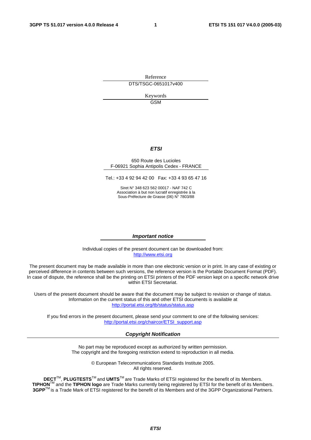Reference DTS/TSGC-0651017v400

> Keywords GSM

#### **ETSI**

#### 650 Route des Lucioles F-06921 Sophia Antipolis Cedex - FRANCE

Tel.: +33 4 92 94 42 00 Fax: +33 4 93 65 47 16

Siret N° 348 623 562 00017 - NAF 742 C Association à but non lucratif enregistrée à la Sous-Préfecture de Grasse (06) N° 7803/88

#### **Important notice**

Individual copies of the present document can be downloaded from: [http://www.etsi.org](http://www.etsi.org/)

The present document may be made available in more than one electronic version or in print. In any case of existing or perceived difference in contents between such versions, the reference version is the Portable Document Format (PDF). In case of dispute, the reference shall be the printing on ETSI printers of the PDF version kept on a specific network drive within ETSI Secretariat.

Users of the present document should be aware that the document may be subject to revision or change of status. Information on the current status of this and other ETSI documents is available at <http://portal.etsi.org/tb/status/status.asp>

If you find errors in the present document, please send your comment to one of the following services: [http://portal.etsi.org/chaircor/ETSI\\_support.asp](http://portal.etsi.org/chaircor/ETSI_support.asp)

#### **Copyright Notification**

No part may be reproduced except as authorized by written permission. The copyright and the foregoing restriction extend to reproduction in all media.

> © European Telecommunications Standards Institute 2005. All rights reserved.

**DECT**TM, **PLUGTESTS**TM and **UMTS**TM are Trade Marks of ETSI registered for the benefit of its Members. **TIPHON**TM and the **TIPHON logo** are Trade Marks currently being registered by ETSI for the benefit of its Members. **3GPP**TM is a Trade Mark of ETSI registered for the benefit of its Members and of the 3GPP Organizational Partners.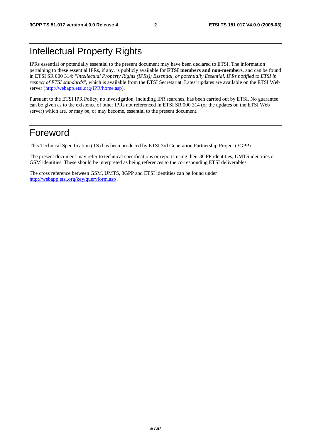## Intellectual Property Rights

IPRs essential or potentially essential to the present document may have been declared to ETSI. The information pertaining to these essential IPRs, if any, is publicly available for **ETSI members and non-members**, and can be found in ETSI SR 000 314: *"Intellectual Property Rights (IPRs); Essential, or potentially Essential, IPRs notified to ETSI in respect of ETSI standards"*, which is available from the ETSI Secretariat. Latest updates are available on the ETSI Web server (<http://webapp.etsi.org/IPR/home.asp>).

Pursuant to the ETSI IPR Policy, no investigation, including IPR searches, has been carried out by ETSI. No guarantee can be given as to the existence of other IPRs not referenced in ETSI SR 000 314 (or the updates on the ETSI Web server) which are, or may be, or may become, essential to the present document.

## Foreword

This Technical Specification (TS) has been produced by ETSI 3rd Generation Partnership Project (3GPP).

The present document may refer to technical specifications or reports using their 3GPP identities, UMTS identities or GSM identities. These should be interpreted as being references to the corresponding ETSI deliverables.

The cross reference between GSM, UMTS, 3GPP and ETSI identities can be found under <http://webapp.etsi.org/key/queryform.asp>.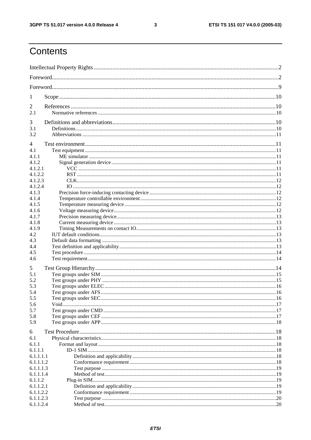$\mathbf{3}$ 

## Contents

| 1                      |  |  |  |
|------------------------|--|--|--|
| 2                      |  |  |  |
| 2.1                    |  |  |  |
|                        |  |  |  |
| 3                      |  |  |  |
| 3.1                    |  |  |  |
| 3.2                    |  |  |  |
| 4                      |  |  |  |
| 4.1                    |  |  |  |
| 4.1.1                  |  |  |  |
| 4.1.2                  |  |  |  |
| 4.1.2.1                |  |  |  |
| 4.1.2.2                |  |  |  |
| 4.1.2.3                |  |  |  |
| 4.1.2.4                |  |  |  |
| 4.1.3                  |  |  |  |
| 4.1.4                  |  |  |  |
| 4.1.5                  |  |  |  |
| 4.1.6                  |  |  |  |
| 4.1.7                  |  |  |  |
| 4.1.8                  |  |  |  |
| 4.1.9<br>4.2           |  |  |  |
| 4.3                    |  |  |  |
| 4.4                    |  |  |  |
| 4.5                    |  |  |  |
| 4.6                    |  |  |  |
|                        |  |  |  |
| 5                      |  |  |  |
| 5.1                    |  |  |  |
| 5.2                    |  |  |  |
| 5.3                    |  |  |  |
| 5.4                    |  |  |  |
| 5.5                    |  |  |  |
| 5.6<br>5.7             |  |  |  |
| 5.8                    |  |  |  |
| 5.9                    |  |  |  |
|                        |  |  |  |
| 6                      |  |  |  |
| 6.1                    |  |  |  |
| 6.1.1                  |  |  |  |
| 6.1.1.1                |  |  |  |
| 6.1.1.1.1              |  |  |  |
| 6.1.1.1.2              |  |  |  |
| 6.1.1.1.3              |  |  |  |
| 6.1.1.1.4              |  |  |  |
| 6.1.1.2                |  |  |  |
| 6.1.1.2.1<br>6.1.1.2.2 |  |  |  |
| 6.1.1.2.3              |  |  |  |
| 6.1.1.2.4              |  |  |  |
|                        |  |  |  |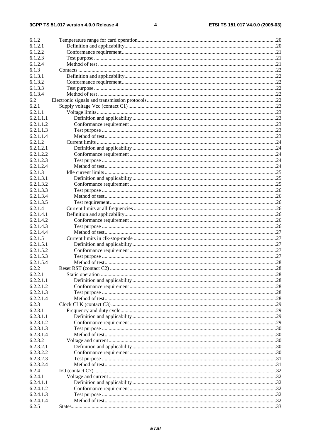$\overline{\mathbf{4}}$ 

| 6.1.2     |  |
|-----------|--|
| 6.1.2.1   |  |
| 6.1.2.2   |  |
| 6.1.2.3   |  |
| 6.1.2.4   |  |
| 6.1.3     |  |
| 6.1.3.1   |  |
| 6.1.3.2   |  |
| 6.1.3.3   |  |
| 6.1.3.4   |  |
| 6.2       |  |
| 6.2.1     |  |
| 6.2.1.1   |  |
| 6.2.1.1.1 |  |
| 6.2.1.1.2 |  |
| 6.2.1.1.3 |  |
| 6.2.1.1.4 |  |
| 6.2.1.2   |  |
| 6.2.1.2.1 |  |
| 6.2.1.2.2 |  |
| 6.2.1.2.3 |  |
| 6.2.1.2.4 |  |
| 6.2.1.3   |  |
| 6.2.1.3.1 |  |
| 6.2.1.3.2 |  |
| 6.2.1.3.3 |  |
| 6.2.1.3.4 |  |
| 6.2.1.3.5 |  |
| 6.2.1.4   |  |
| 6.2.1.4.1 |  |
| 6.2.1.4.2 |  |
| 6.2.1.4.3 |  |
| 6.2.1.4.4 |  |
| 6.2.1.5   |  |
| 6.2.1.5.1 |  |
| 6.2.1.5.2 |  |
| 6.2.1.5.3 |  |
| 6.2.1.5.4 |  |
| 6.2.2     |  |
| 6.2.2.1   |  |
| 6.2.2.1.1 |  |
| 6.2.2.1.2 |  |
| 6.2.2.1.3 |  |
| 6.2.2.1.4 |  |
| 6.2.3     |  |
| 6.2.3.1   |  |
| 6.2.3.1.1 |  |
| 6.2.3.1.2 |  |
| 6.2.3.1.3 |  |
| 6.2.3.1.4 |  |
| 6.2.3.2   |  |
| 6.2.3.2.1 |  |
| 6.2.3.2.2 |  |
| 6.2.3.2.3 |  |
| 6.2.3.2.4 |  |
| 6.2.4     |  |
| 6.2.4.1   |  |
| 6.2.4.1.1 |  |
| 6.2.4.1.2 |  |
| 6.2.4.1.3 |  |
| 6.2.4.1.4 |  |
| 6.2.5     |  |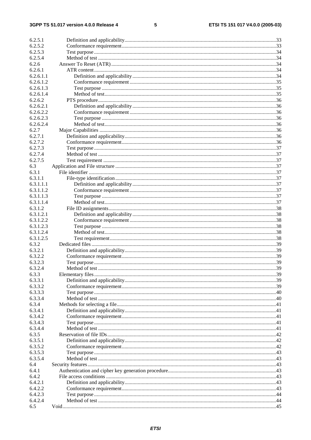#### $\overline{\mathbf{5}}$

| 6.2.5.1   |                |     |
|-----------|----------------|-----|
| 6.2.5.2   |                |     |
| 6.2.5.3   |                |     |
| 6.2.5.4   |                |     |
| 6.2.6     |                |     |
|           |                |     |
| 6.2.6.1   |                |     |
| 6.2.6.1.1 |                |     |
| 6.2.6.1.2 |                |     |
| 6.2.6.1.3 |                |     |
| 6.2.6.1.4 |                |     |
| 6.2.6.2   |                |     |
| 6.2.6.2.1 |                |     |
|           |                |     |
| 6.2.6.2.2 |                |     |
| 6.2.6.2.3 |                |     |
| 6.2.6.2.4 |                |     |
| 6.2.7     |                |     |
| 6.2.7.1   |                |     |
| 6.2.7.2   |                |     |
| 6.2.7.3   |                |     |
| 6.2.7.4   |                |     |
|           |                |     |
| 6.2.7.5   |                |     |
| 6.3       |                |     |
| 6.3.1     |                |     |
| 6.3.1.1   |                |     |
| 6.3.1.1.1 |                |     |
| 6.3.1.1.2 |                |     |
| 6.3.1.1.3 |                |     |
| 6.3.1.1.4 |                |     |
|           |                |     |
| 6.3.1.2   |                |     |
| 6.3.1.2.1 |                |     |
| 6.3.1.2.2 |                |     |
| 6.3.1.2.3 |                |     |
| 6.3.1.2.4 |                |     |
| 6.3.1.2.5 |                |     |
| 6.3.2     |                |     |
| 6.3.2.1   |                |     |
| 6.3.2.2   |                |     |
|           |                |     |
| 6.3.2.3   |                |     |
| 6.3.2.4   | Method of test | .39 |
| 6.3.3     |                |     |
| 6.3.3.1   |                |     |
| 6.3.3.2   |                |     |
| 6.3.3.3   |                |     |
| 6.3.3.4   |                |     |
| 6.3.4     |                |     |
| 6.3.4.1   |                |     |
|           |                |     |
| 6.3.4.2   |                |     |
| 6.3.4.3   |                |     |
| 6.3.4.4   |                |     |
| 6.3.5     |                |     |
| 6.3.5.1   |                |     |
| 6.3.5.2   |                |     |
| 6.3.5.3   |                |     |
| 6.3.5.4   |                |     |
|           |                |     |
| 6.4       |                |     |
| 6.4.1     |                |     |
| 6.4.2     |                |     |
| 6.4.2.1   |                |     |
| 6.4.2.2   |                |     |
| 6.4.2.3   |                |     |
| 6.4.2.4   |                |     |
| 6.5       |                |     |
|           |                |     |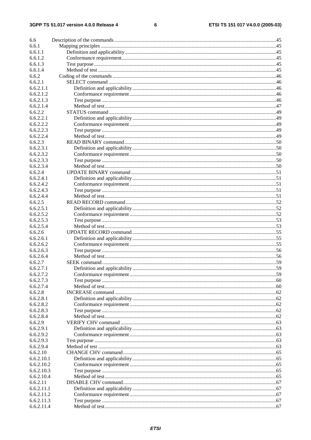#### $\bf 6$

| 6.6                  |  |
|----------------------|--|
| 6.6.1                |  |
| 6.6.1.1              |  |
| 6.6.1.2              |  |
| 6.6.1.3              |  |
| 6.6.1.4              |  |
| 6.6.2                |  |
| 6.6.2.1              |  |
| 6.6.2.1.1            |  |
| 6.6.2.1.2            |  |
| 6.6.2.1.3            |  |
| 6.6.2.1.4            |  |
| 6.6.2.2              |  |
| 6.6.2.2.1            |  |
| 6.6.2.2.2            |  |
| 6.6.2.2.3            |  |
| 6.6.2.2.4            |  |
| 6.6.2.3              |  |
| 6.6.2.3.1            |  |
| 6.6.2.3.2            |  |
| 6.6.2.3.3            |  |
| 6.6.2.3.4            |  |
| 6.6.2.4              |  |
| 6.6.2.4.1            |  |
| 6.6.2.4.2            |  |
| 6.6.2.4.3            |  |
| 6.6.2.4.4            |  |
| 6.6.2.5              |  |
| 6.6.2.5.1            |  |
| 6.6.2.5.2            |  |
| 6.6.2.5.3            |  |
| 6.6.2.5.4            |  |
| 6.6.2.6<br>6.6.2.6.1 |  |
| 6.6.2.6.2            |  |
| 6.6.2.6.3            |  |
| 6.6.2.6.4            |  |
| 6.6.2.7              |  |
| 6.6.2.7.1            |  |
| 6.6.2.7.2            |  |
| 6.6.2.7.3            |  |
| 6.6.2.7.4            |  |
| 6.6.2.8              |  |
| 6.6.2.8.1            |  |
| 6.6.2.8.2            |  |
| 6.6.2.8.3            |  |
| 6.6.2.8.4            |  |
| 6.6.2.9              |  |
| 6.6.2.9.1            |  |
| 6.6.2.9.2            |  |
| 6.6.2.9.3            |  |
| 6.6.2.9.4            |  |
| 6.6.2.10             |  |
| 6.6.2.10.1           |  |
| 6.6.2.10.2           |  |
| 6.6.2.10.3           |  |
| 6.6.2.10.4           |  |
| 6.6.2.11             |  |
| 6.6.2.11.1           |  |
| 6.6.2.11.2           |  |
| 6.6.2.11.3           |  |
| 6.6.2.11.4           |  |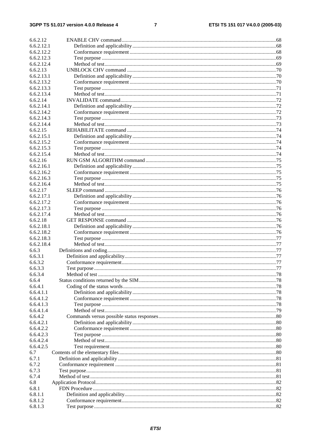#### $\overline{7}$

| 6.6.2.12   |  |
|------------|--|
| 6.6.2.12.1 |  |
| 6.6.2.12.2 |  |
| 6.6.2.12.3 |  |
| 6.6.2.12.4 |  |
| 6.6.2.13   |  |
| 6.6.2.13.1 |  |
| 6.6.2.13.2 |  |
| 6.6.2.13.3 |  |
| 6.6.2.13.4 |  |
|            |  |
| 6.6.2.14   |  |
| 6.6.2.14.1 |  |
| 6.6.2.14.2 |  |
| 6.6.2.14.3 |  |
| 6.6.2.14.4 |  |
| 6.6.2.15   |  |
| 6.6.2.15.1 |  |
| 6.6.2.15.2 |  |
| 6.6.2.15.3 |  |
| 6.6.2.15.4 |  |
| 6.6.2.16   |  |
| 6.6.2.16.1 |  |
| 6.6.2.16.2 |  |
| 6.6.2.16.3 |  |
| 6.6.2.16.4 |  |
| 6.6.2.17   |  |
| 6.6.2.17.1 |  |
| 6.6.2.17.2 |  |
| 6.6.2.17.3 |  |
| 6.6.2.17.4 |  |
| 6.6.2.18   |  |
| 6.6.2.18.1 |  |
| 6.6.2.18.2 |  |
| 6.6.2.18.3 |  |
| 6.6.2.18.4 |  |
| 6.6.3      |  |
| 6.6.3.1    |  |
| 6.6.3.2    |  |
| 6.6.3.3    |  |
| 6.6.3.4    |  |
| 6.6.4      |  |
| 6.6.4.1    |  |
| 6.6.4.1.1  |  |
| 6.6.4.1.2  |  |
| 6.6.4.1.3  |  |
| 6.6.4.1.4  |  |
| 6.6.4.2    |  |
| 6.6.4.2.1  |  |
|            |  |
| 6.6.4.2.2  |  |
| 6.6.4.2.3  |  |
| 6.6.4.2.4  |  |
| 6.6.4.2.5  |  |
| 6.7        |  |
| 6.7.1      |  |
| 6.7.2      |  |
| 6.7.3      |  |
| 6.7.4      |  |
| 6.8        |  |
| 6.8.1      |  |
| 6.8.1.1    |  |
| 6.8.1.2    |  |
| 6.8.1.3    |  |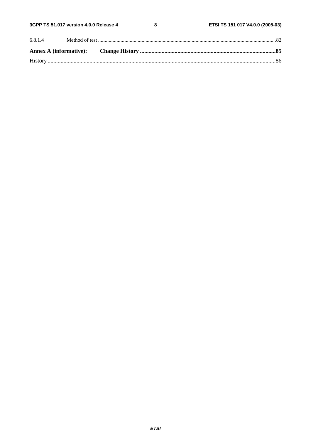$\bf 8$ 

| 6.8.1.4 |  |  |
|---------|--|--|
|         |  |  |
|         |  |  |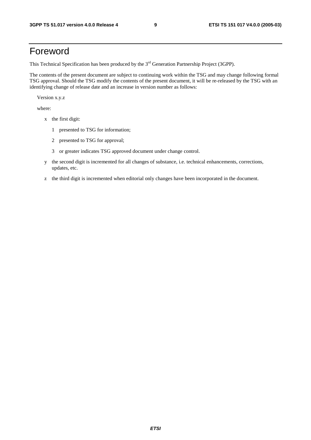## Foreword

This Technical Specification has been produced by the 3<sup>rd</sup> Generation Partnership Project (3GPP).

The contents of the present document are subject to continuing work within the TSG and may change following formal TSG approval. Should the TSG modify the contents of the present document, it will be re-released by the TSG with an identifying change of release date and an increase in version number as follows:

Version x.y.z

where:

- x the first digit:
	- 1 presented to TSG for information;
	- 2 presented to TSG for approval;
	- 3 or greater indicates TSG approved document under change control.
- y the second digit is incremented for all changes of substance, i.e. technical enhancements, corrections, updates, etc.
- z the third digit is incremented when editorial only changes have been incorporated in the document.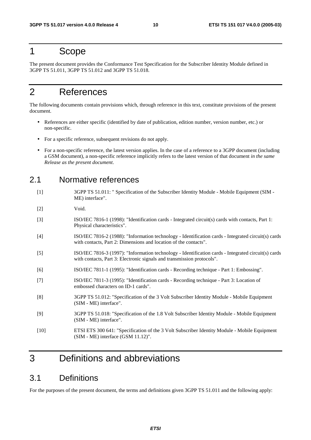## 1 Scope

The present document provides the Conformance Test Specification for the Subscriber Identity Module defined in 3GPP TS 51.011, 3GPP TS 51.012 and 3GPP TS 51.018.

## 2 References

The following documents contain provisions which, through reference in this text, constitute provisions of the present document.

- References are either specific (identified by date of publication, edition number, version number, etc.) or non-specific.
- For a specific reference, subsequent revisions do not apply.
- For a non-specific reference, the latest version applies. In the case of a reference to a 3GPP document (including a GSM document), a non-specific reference implicitly refers to the latest version of that document *in the same Release as the present document*.

### 2.1 Normative references

[1] 3GPP TS 51.011: " Specification of the Subscriber Identity Module - Mobile Equipment (SIM - ME) interface".

[2] Void.

- [3] ISO/IEC 7816-1 (1998): "Identification cards Integrated circuit(s) cards with contacts, Part 1: Physical characteristics".
- [4] ISO/IEC 7816-2 (1988): "Information technology Identification cards Integrated circuit(s) cards with contacts, Part 2: Dimensions and location of the contacts".
- [5] ISO/IEC 7816-3 (1997): "Information technology Identification cards Integrated circuit(s) cards with contacts, Part 3: Electronic signals and transmission protocols".
- [6] ISO/IEC 7811-1 (1995): "Identification cards Recording technique Part 1: Embossing".
- [7] ISO/IEC 7811-3 (1995): "Identification cards Recording technique Part 3: Location of embossed characters on ID-1 cards".
- [8] 3GPP TS 51.012: "Specification of the 3 Volt Subscriber Identity Module Mobile Equipment (SIM - ME) interface".
- [9] 3GPP TS 51.018: "Specification of the 1.8 Volt Subscriber Identity Module Mobile Equipment (SIM - ME) interface".
- [10] ETSI ETS 300 641: "Specification of the 3 Volt Subscriber Identity Module Mobile Equipment (SIM - ME) interface (GSM 11.12)".

## 3 Definitions and abbreviations

## 3.1 Definitions

For the purposes of the present document, the terms and definitions given 3GPP TS 51.011 and the following apply: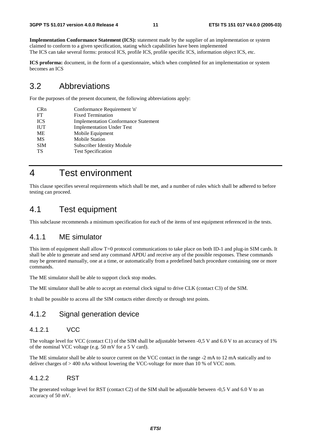**Implementation Conformance Statement (ICS):** statement made by the supplier of an implementation or system claimed to conform to a given specification, stating which capabilities have been implemented The ICS can take several forms: protocol ICS, profile ICS, profile specific ICS, information object ICS, etc.

**ICS proforma:** document, in the form of a questionnaire, which when completed for an implementation or system becomes an ICS

### 3.2 Abbreviations

For the purposes of the present document, the following abbreviations apply:

| <b>CRn</b> | Conformance Requirement 'n'                 |
|------------|---------------------------------------------|
| FT         | <b>Fixed Termination</b>                    |
| <b>ICS</b> | <b>Implementation Conformance Statement</b> |
| <b>IUT</b> | <b>Implementation Under Test</b>            |
| ME         | Mobile Equipment                            |
| <b>MS</b>  | <b>Mobile Station</b>                       |
| <b>SIM</b> | Subscriber Identity Module                  |
| TS         | <b>Test Specification</b>                   |
|            |                                             |

## 4 Test environment

This clause specifies several requirements which shall be met, and a number of rules which shall be adhered to before testing can proceed.

## 4.1 Test equipment

This subclause recommends a minimum specification for each of the items of test equipment referenced in the tests.

### 4.1.1 ME simulator

This item of equipment shall allow T=0 protocol communications to take place on both ID-1 and plug-in SIM cards. It shall be able to generate and send any command APDU and receive any of the possible responses. These commands may be generated manually, one at a time, or automatically from a predefined batch procedure containing one or more commands.

The ME simulator shall be able to support clock stop modes.

The ME simulator shall be able to accept an external clock signal to drive CLK (contact C3) of the SIM.

It shall be possible to access all the SIM contacts either directly or through test points.

### 4.1.2 Signal generation device

### 4.1.2.1 VCC

The voltage level for VCC (contact C1) of the SIM shall be adjustable between -0,5 V and 6.0 V to an accuracy of 1% of the nominal VCC voltage (e.g. 50 mV for a 5 V card).

The ME simulator shall be able to source current on the VCC contact in the range -2 mA to 12 mA statically and to deliver charges of > 400 nAs without lowering the VCC-voltage for more than 10 % of VCC nom.

### 4.1.2.2 RST

The generated voltage level for RST (contact C2) of the SIM shall be adjustable between -0,5 V and 6.0 V to an accuracy of 50 mV.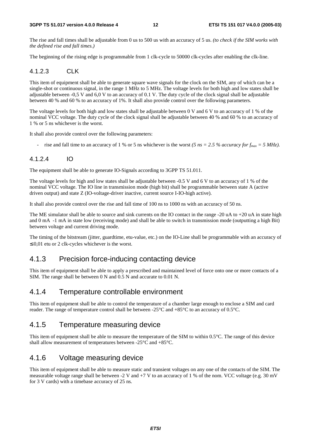#### **3GPP TS 51.017 version 4.0.0 Release 4 12 ETSI TS 151 017 V4.0.0 (2005-03)**

The rise and fall times shall be adjustable from 0 us to 500 us with an accuracy of 5 us. *(to check if the SIM works with the defined rise and fall times.)*

The beginning of the rising edge is programmable from 1 clk-cycle to 50000 clk-cycles after enabling the clk-line.

### 4.1.2.3 CLK

This item of equipment shall be able to generate square wave signals for the clock on the SIM, any of which can be a single-shot or continuous signal, in the range 1 MHz to 5 MHz. The voltage levels for both high and low states shall be adjustable between -0,5 V and 6,0 V to an accuracy of 0.1 V. The duty cycle of the clock signal shall be adjustable between 40 % and 60 % to an accuracy of 1%. It shall also provide control over the following parameters.

The voltage levels for both high and low states shall be adjustable between 0 V and 6 V to an accuracy of 1 % of the nominal VCC voltage. The duty cycle of the clock signal shall be adjustable between 40 % and 60 % to an accuracy of 1 % or 5 ns whichever is the worst.

It shall also provide control over the following parameters:

rise and fall time to an accuracy of 1 % or 5 ns whichever is the worst *(5 ns = 2.5 % accuracy for*  $f_{max} = 5 \text{ MHz}$ *).* 

### 4.1.2.4 IO

The equipment shall be able to generate IO-Signals according to 3GPP TS 51.011.

The voltage levels for high and low states shall be adjustable between -0.5 V and 6 V to an accuracy of 1 % of the nominal VCC voltage. The IO line in transmission mode (high bit) shall be programmable between state A (active driven output) and state Z (IO-voltage-driver inactive, current source I-IO-high active).

It shall also provide control over the rise and fall time of 100 ns to 1000 ns with an accuracy of 50 ns.

The ME simulator shall be able to source and sink currents on the IO contact in the range -20 uA to +20 uA in state high and 0 mA -1 mA in state low (receiving mode) and shall be able to switch in transmission mode (outputting a high Bit) between voltage and current driving mode.

The timing of the bitstream (jitter, guardtime, etu-value, etc.) on the IO-Line shall be programmable with an accuracy of  $\leq 0.01$  etu or 2 clk-cycles whichever is the worst.

## 4.1.3 Precision force-inducing contacting device

This item of equipment shall be able to apply a prescribed and maintained level of force onto one or more contacts of a SIM. The range shall be between 0 N and 0.5 N and accurate to 0.01 N.

### 4.1.4 Temperature controllable environment

This item of equipment shall be able to control the temperature of a chamber large enough to enclose a SIM and card reader. The range of temperature control shall be between -25°C and +85°C to an accuracy of 0.5°C.

### 4.1.5 Temperature measuring device

This item of equipment shall be able to measure the temperature of the SIM to within 0.5°C. The range of this device shall allow measurement of temperatures between -25°C and +85°C.

### 4.1.6 Voltage measuring device

This item of equipment shall be able to measure static and transient voltages on any one of the contacts of the SIM. The measurable voltage range shall be between -2 V and +7 V to an accuracy of 1 % of the nom. VCC voltage (e.g. 30 mV for 3 V cards) with a timebase accuracy of 25 ns.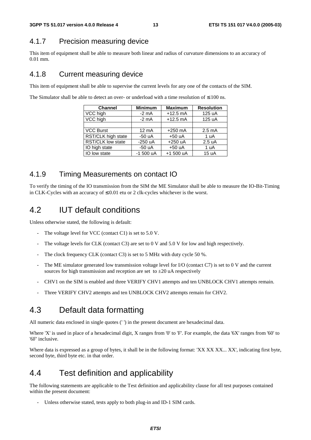## 4.1.7 Precision measuring device

This item of equipment shall be able to measure both linear and radius of curvature dimensions to an accuracy of 0.01 mm.

## 4.1.8 Current measuring device

This item of equipment shall be able to supervise the current levels for any one of the contacts of the SIM.

The Simulator shall be able to detect an over- or underload with a time resolution of  $\leq 100$  ns.

| <b>Channel</b>     | <b>Minimum</b>  | <b>Maximum</b> | <b>Resolution</b> |
|--------------------|-----------------|----------------|-------------------|
| VCC high           | $-2$ mA         | $+12.5$ mA     | 125 uA            |
| VCC high           | $-2$ mA         | $+12.5$ mA     | 125 uA            |
|                    |                 |                |                   |
| <b>VCC Burst</b>   | $12 \text{ mA}$ | $+250$ mA      | $2.5 \text{ mA}$  |
| RST/CLK high state | $-50 uA$        | $+50 uA$       | 1 uA              |
| RST/CLK low state  | $-250$ uA       | $+250$ uA      | 2.5 uA            |
| IO high state      | $-50 uA$        | $+50 uA$       | 1 uA              |
| IO low state       | $-1500 uA$      | $+1500 uA$     | 15 uA             |

## 4.1.9 Timing Measurements on contact IO

To verify the timing of the IO transmission from the SIM the ME Simulator shall be able to measure the IO-Bit-Timing in CLK-Cycles with an accuracy of  $\leq 0.01$  etu or 2 clk-cycles whichever is the worst.

## 4.2 IUT default conditions

Unless otherwise stated, the following is default:

- The voltage level for VCC (contact C1) is set to  $5.0$  V.
- The voltage levels for CLK (contact C3) are set to 0 V and 5.0 V for low and high respectively.
- The clock frequency CLK (contact C3) is set to 5 MHz with duty cycle 50 %.
- The ME simulator generated low transmission voltage level for I/O (contact C7) is set to 0 V and the current sources for high transmission and reception are set to  $\pm 20$  uA respectively
- CHV1 on the SIM is enabled and three VERIFY CHV1 attempts and ten UNBLOCK CHV1 attempts remain.
- Three VERIFY CHV2 attempts and ten UNBLOCK CHV2 attempts remain for CHV2.

## 4.3 Default data formatting

All numeric data enclosed in single quotes (' ') in the present document are hexadecimal data.

Where 'X' is used in place of a hexadecimal digit, X ranges from '0' to 'F'. For example, the data '6X' ranges from '60' to '6F' inclusive.

Where data is expressed as a group of bytes, it shall be in the following format: 'XX XX XX... XX', indicating first byte, second byte, third byte etc. in that order.

## 4.4 Test definition and applicability

The following statements are applicable to the Test definition and applicability clause for all test purposes contained within the present document:

Unless otherwise stated, tests apply to both plug-in and ID-1 SIM cards.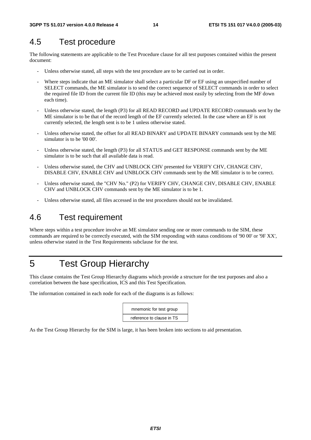## 4.5 Test procedure

The following statements are applicable to the Test Procedure clause for all test purposes contained within the present document:

- Unless otherwise stated, all steps with the test procedure are to be carried out in order.
- Where steps indicate that an ME simulator shall select a particular DF or EF using an unspecified number of SELECT commands, the ME simulator is to send the correct sequence of SELECT commands in order to select the required file ID from the current file ID (this may be achieved most easily by selecting from the MF down each time).
- Unless otherwise stated, the length (P3) for all READ RECORD and UPDATE RECORD commands sent by the ME simulator is to be that of the record length of the EF currently selected. In the case where an EF is not currently selected, the length sent is to be 1 unless otherwise stated.
- Unless otherwise stated, the offset for all READ BINARY and UPDATE BINARY commands sent by the ME simulator is to be '00 00'.
- Unless otherwise stated, the length (P3) for all STATUS and GET RESPONSE commands sent by the ME simulator is to be such that all available data is read.
- Unless otherwise stated, the CHV and UNBLOCK CHV presented for VERIFY CHV, CHANGE CHV, DISABLE CHV, ENABLE CHV and UNBLOCK CHV commands sent by the ME simulator is to be correct.
- Unless otherwise stated, the "CHV No." (P2) for VERIFY CHV, CHANGE CHV, DISABLE CHV, ENABLE CHV and UNBLOCK CHV commands sent by the ME simulator is to be 1.
- Unless otherwise stated, all files accessed in the test procedures should not be invalidated.

## 4.6 Test requirement

Where steps within a test procedure involve an ME simulator sending one or more commands to the SIM, these commands are required to be correctly executed, with the SIM responding with status conditions of '90 00' or '9F XX', unless otherwise stated in the Test Requirements subclause for the test.

## 5 Test Group Hierarchy

This clause contains the Test Group Hierarchy diagrams which provide a structure for the test purposes and also a correlation between the base specification, ICS and this Test Specification.

The information contained in each node for each of the diagrams is as follows:

| mnemonic for test group   |  |
|---------------------------|--|
| reference to clause in TS |  |

As the Test Group Hierarchy for the SIM is large, it has been broken into sections to aid presentation.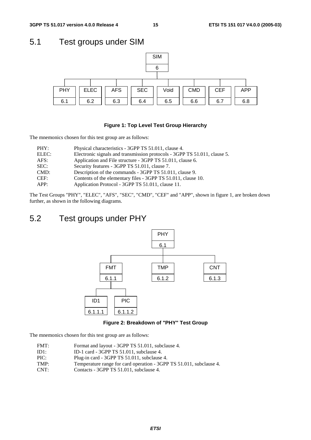## 5.1 Test groups under SIM



#### **Figure 1: Top Level Test Group Hierarchy**

The mnemonics chosen for this test group are as follows:

| PHY:  | Physical characteristics - 3GPP TS 51.011, clause 4.                      |
|-------|---------------------------------------------------------------------------|
| ELEC: | Electronic signals and transmission protocols - 3GPP TS 51.011, clause 5. |
| AFS:  | Application and File structure - 3GPP TS 51.011, clause 6.                |
| SEC:  | Security features - 3GPP TS 51.011, clause 7.                             |
| CMD:  | Description of the commands - 3GPP TS 51.011, clause 9.                   |
| CEF:  | Contents of the elementary files - 3GPP TS 51.011, clause 10.             |
| APP:  | Application Protocol - 3GPP TS 51.011, clause 11.                         |

The Test Groups "PHY", "ELEC", "AFS", "SEC", "CMD", "CEF" and "APP", shown in figure 1, are broken down further, as shown in the following diagrams.

## 5.2 Test groups under PHY



**Figure 2: Breakdown of "PHY" Test Group** 

The mnemonics chosen for this test group are as follows:

- FMT: Format and layout 3GPP TS 51.011, subclause 4.
- ID1: ID-1 card 3GPP TS 51.011, subclause 4.
- PIC: Plug-in card 3GPP TS 51.011, subclause 4.
- TMP: Temperature range for card operation 3GPP TS 51.011, subclause 4.
- CNT: Contacts 3GPP TS 51.011, subclause 4.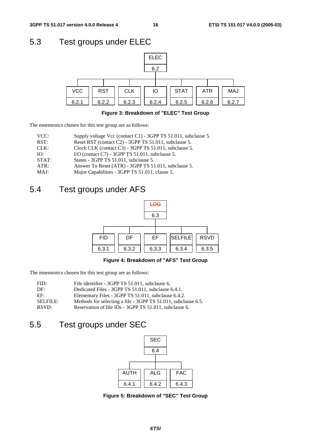## 5.3 Test groups under ELEC



#### **Figure 3: Breakdown of "ELEC" Test Group**

The mnemonics chosen for this test group are as follows:

| VCC:  | Supply voltage Vcc (contact C1) - 3GPP TS 51.011, subclause 5. |
|-------|----------------------------------------------------------------|
| RST:  | Reset RST (contact C2) - 3GPP TS 51.011, subclause 5.          |
| CLK:  | Clock CLK (contact C3) - 3GPP TS 51.011, subclause 5.          |
| IO:   | I/O (contact $C7$ ) - 3GPP TS 51.011, subclause 5.             |
| STAT: | States - 3GPP TS 51.011, subclause 5.                          |
| ATR:  | Answer To Reset (ATR) - 3GPP TS 51.011, subclause 5.           |
| MAJ:  | Major Capabilities - 3GPP TS 51.011, clause 5.                 |
|       |                                                                |

## 5.4 Test groups under AFS



### **Figure 4: Breakdown of "AFS" Test Group**

The mnemonics chosen for this test group are as follows:

| FID:            | File identifier - 3GPP TS 51.011, subclause 6.                |
|-----------------|---------------------------------------------------------------|
| DF:             | Dedicated Files - 3GPP TS 51.011, subclause 6.4.1.            |
| EF              | Elementary Files - 3GPP TS 51.011, subclause 6.4.2.           |
| <b>SELFILE:</b> | Methods for selecting a file - 3GPP TS 51.011, subclause 6.5. |
| RSVD:           | Reservation of file IDs - 3GPP TS 51.011, subclause 6.        |

## 5.5 Test groups under SEC



**Figure 5: Breakdown of "SEC" Test Group**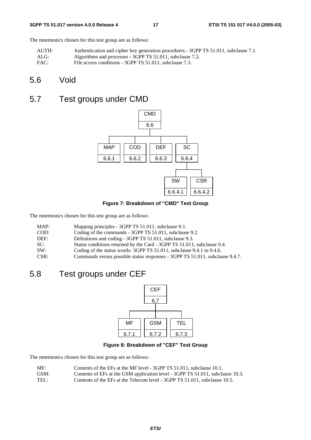#### **3GPP TS 51.017 version 4.0.0 Release 4 17 ETSI TS 151 017 V4.0.0 (2005-03)**

The mnemonics chosen for this test group are as follows:

| AUTH: | Authentication and cipher key generation procedures - 3GPP TS 51.011, subclause 7.1. |
|-------|--------------------------------------------------------------------------------------|
| ALG:  | Algorithms and processes - 3GPP TS 51.011, subclause 7.2.                            |
| FAC:  | File access conditions - 3GPP TS 51.011, subclause 7.3.                              |

## 5.6 Void

## 5.7 Test groups under CMD



**Figure 7: Breakdown of "CMD" Test Group** 

The mnemonics chosen for this test group are as follows:

| MAP: | Mapping principles - 3GPP TS 51.011, subclause 9.1.                          |
|------|------------------------------------------------------------------------------|
| COD: | Coding of the commands - 3GPP TS 51.011, subclause 9.2.                      |
| DEF: | Definitions and coding - 3GPP TS 51.011, subclause 9.3.                      |
| SC:  | Status conditions returned by the Card - 3GPP TS 51.011, subclause 9.4.      |
| SW:  | Coding of the status words-3GPP TS 51.011, subclause 9.4.1 to 9.4.6.         |
| CSR: | Commands versus possible status responses - 3GPP TS 51.011, subclause 9.4.7. |

## 5.8 Test groups under CEF



### **Figure 8: Breakdown of "CEF" Test Group**

The mnemonics chosen for this test group are as follows:

| MF:<br>Contents of the EFs at the MF level - 3GPP TS 51.011, subclause 10.1. |  |
|------------------------------------------------------------------------------|--|
|------------------------------------------------------------------------------|--|

- GSM: Contents of EFs at the GSM application level 3GPP TS 51.011, subclause 10.3.
- TEL: Contents of the EFs at the Telecom level 3GPP TS 51.011, subclause 10.5.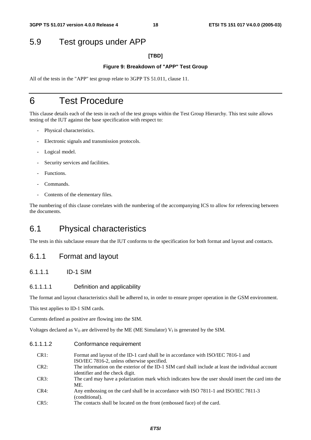## 5.9 Test groups under APP

#### **[TBD]**

#### **Figure 9: Breakdown of "APP" Test Group**

All of the tests in the "APP" test group relate to 3GPP TS 51.011, clause 11.

## 6 Test Procedure

This clause details each of the tests in each of the test groups within the Test Group Hierarchy. This test suite allows testing of the IUT against the base specification with respect to:

- Physical characteristics.
- Electronic signals and transmission protocols.
- Logical model.
- Security services and facilities.
- Functions.
- Commands.
- Contents of the elementary files.

The numbering of this clause correlates with the numbering of the accompanying ICS to allow for referencing between the documents.

## 6.1 Physical characteristics

The tests in this subclause ensure that the IUT conforms to the specification for both format and layout and contacts.

### 6.1.1 Format and layout

### 6.1.1.1 ID-1 SIM

#### 6.1.1.1.1 Definition and applicability

The format and layout characteristics shall be adhered to, in order to ensure proper operation in the GSM environment.

This test applies to ID-1 SIM cards.

Currents defined as positive are flowing into the SIM.

Voltages declared as  $V_0$  are delivered by the ME (ME Simulator)  $V_1$  is generated by the SIM.

#### 6.1.1.1.2 Conformance requirement

| CR <sub>1</sub> : | Format and layout of the ID-1 card shall be in accordance with ISO/IEC 7816-1 and                  |
|-------------------|----------------------------------------------------------------------------------------------------|
|                   | ISO/IEC 7816-2, unless otherwise specified.                                                        |
| CR2:              | The information on the exterior of the ID-1 SIM card shall include at least the individual account |
|                   | identifier and the check digit.                                                                    |
| CR3:              | The card may have a polarization mark which indicates how the user should insert the card into the |
|                   | ME.                                                                                                |
| CR4:              | Any embossing on the card shall be in accordance with ISO 7811-1 and ISO/IEC 7811-3                |
|                   | (conditional).                                                                                     |
| CR5               | The contacts shall be located on the front (embossed face) of the card                             |

CR5: The contacts shall be located on the front (embossed face) of the card.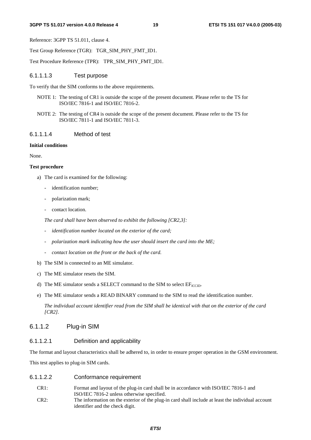Reference: 3GPP TS 51.011, clause 4.

Test Group Reference (TGR): TGR\_SIM\_PHY\_FMT\_ID1.

Test Procedure Reference (TPR): TPR\_SIM\_PHY\_FMT\_ID1.

#### 6.1.1.1.3 Test purpose

To verify that the SIM conforms to the above requirements.

- NOTE 1: The testing of CR1 is outside the scope of the present document. Please refer to the TS for ISO/IEC 7816-1 and ISO/IEC 7816-2.
- NOTE 2: The testing of CR4 is outside the scope of the present document. Please refer to the TS for ISO/IEC 7811-1 and ISO/IEC 7811-3.

#### 6.1.1.1.4 Method of test

#### **Initial conditions**

None.

#### **Test procedure**

- a) The card is examined for the following:
	- identification number;
	- polarization mark;
	- contact location.

 *The card shall have been observed to exhibit the following [CR2,3]:* 

- *identification number located on the exterior of the card;*
- *polarization mark indicating how the user should insert the card into the ME;*
- *contact location on the front or the back of the card.*
- b) The SIM is connected to an ME simulator.
- c) The ME simulator resets the SIM.
- d) The ME simulator sends a SELECT command to the SIM to select  $EF_{\text{ICTD}}$ .
- e) The ME simulator sends a READ BINARY command to the SIM to read the identification number.

 *The individual account identifier read from the SIM shall be identical with that on the exterior of the card [CR2].* 

### 6.1.1.2 Plug-in SIM

#### 6.1.1.2.1 Definition and applicability

The format and layout characteristics shall be adhered to, in order to ensure proper operation in the GSM environment.

This test applies to plug-in SIM cards.

- 6.1.1.2.2 Conformance requirement
	- CR1: Format and layout of the plug-in card shall be in accordance with ISO/IEC 7816-1 and ISO/IEC 7816-2 unless otherwise specified.
	- CR2: The information on the exterior of the plug-in card shall include at least the individual account identifier and the check digit.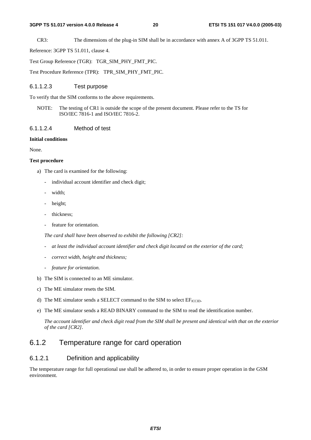CR3: The dimensions of the plug-in SIM shall be in accordance with annex A of 3GPP TS 51.011.

Reference: 3GPP TS 51.011, clause 4.

Test Group Reference (TGR): TGR\_SIM\_PHY\_FMT\_PIC.

Test Procedure Reference (TPR): TPR\_SIM\_PHY\_FMT\_PIC.

#### 6.1.1.2.3 Test purpose

To verify that the SIM conforms to the above requirements.

NOTE: The testing of CR1 is outside the scope of the present document. Please refer to the TS for ISO/IEC 7816-1 and ISO/IEC 7816-2.

#### 6.1.1.2.4 Method of test

#### **Initial conditions**

None.

#### **Test procedure**

- a) The card is examined for the following:
	- individual account identifier and check digit;
	- width:
	- height;
	- thickness;
	- feature for orientation.

 *The card shall have been observed to exhibit the following [CR2]:* 

- *at least the individual account identifier and check digit located on the exterior of the card;*
- *correct width, height and thickness;*
- *feature for orientation.*
- b) The SIM is connected to an ME simulator.
- c) The ME simulator resets the SIM.
- d) The ME simulator sends a SELECT command to the SIM to select  $EF_{\text{ICCD}}$ .
- e) The ME simulator sends a READ BINARY command to the SIM to read the identification number.

*The account identifier and check digit read from the SIM shall be present and identical with that on the exterior of the card [CR2]*.

### 6.1.2 Temperature range for card operation

#### 6.1.2.1 Definition and applicability

The temperature range for full operational use shall be adhered to, in order to ensure proper operation in the GSM environment.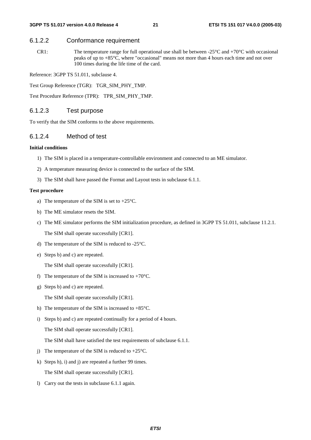### 6.1.2.2 Conformance requirement

CR1: The temperature range for full operational use shall be between  $-25^{\circ}$ C and  $+70^{\circ}$ C with occasional peaks of up to +85°C, where "occasional" means not more than 4 hours each time and not over 100 times during the life time of the card.

Reference: 3GPP TS 51.011, subclause 4.

Test Group Reference (TGR): TGR\_SIM\_PHY\_TMP.

Test Procedure Reference (TPR): TPR\_SIM\_PHY\_TMP.

### 6.1.2.3 Test purpose

To verify that the SIM conforms to the above requirements.

### 6.1.2.4 Method of test

#### **Initial conditions**

- 1) The SIM is placed in a temperature-controllable environment and connected to an ME simulator.
- 2) A temperature measuring device is connected to the surface of the SIM.
- 3) The SIM shall have passed the Format and Layout tests in subclause 6.1.1.

#### **Test procedure**

- a) The temperature of the SIM is set to +25°C.
- b) The ME simulator resets the SIM.
- c) The ME simulator performs the SIM initialization procedure, as defined in 3GPP TS 51.011, subclause 11.2.1. The SIM shall operate successfully [CR1].
- d) The temperature of the SIM is reduced to -25°C.
- e) Steps b) and c) are repeated.

The SIM shall operate successfully [CR1].

- f) The temperature of the SIM is increased to  $+70^{\circ}$ C.
- g) Steps b) and c) are repeated.

The SIM shall operate successfully [CR1].

- h) The temperature of the SIM is increased to  $+85^{\circ}$ C.
- i) Steps b) and c) are repeated continually for a period of 4 hours.

The SIM shall operate successfully [CR1].

The SIM shall have satisfied the test requirements of subclause 6.1.1.

- j) The temperature of the SIM is reduced to  $+25^{\circ}$ C.
- k) Steps h), i) and j) are repeated a further 99 times. The SIM shall operate successfully [CR1].
- l) Carry out the tests in subclause 6.1.1 again.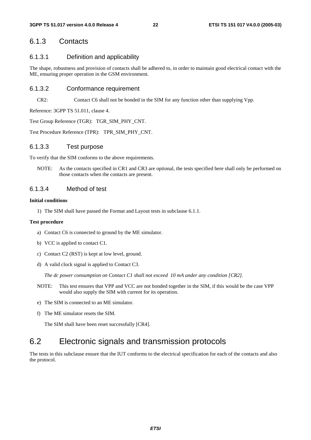### 6.1.3 Contacts

#### 6.1.3.1 Definition and applicability

The shape, robustness and provision of contacts shall be adhered to, in order to maintain good electrical contact with the ME, ensuring proper operation in the GSM environment.

#### 6.1.3.2 Conformance requirement

CR2: Contact C6 shall not be bonded in the SIM for any function other than supplying Vpp.

Reference: 3GPP TS 51.011, clause 4.

Test Group Reference (TGR): TGR\_SIM\_PHY\_CNT.

Test Procedure Reference (TPR): TPR\_SIM\_PHY\_CNT.

#### 6.1.3.3 Test purpose

To verify that the SIM conforms to the above requirements.

NOTE: As the contacts specified in CR1 and CR3 are optional, the tests specified here shall only be performed on those contacts when the contacts are present.

#### 6.1.3.4 Method of test

#### **Initial conditions**

1) The SIM shall have passed the Format and Layout tests in subclause 6.1.1.

#### **Test procedure**

- a) Contact C6 is connected to ground by the ME simulator.
- b) VCC is applied to contact C1.
- c) Contact C2 (RST) is kept at low level, ground.
- d) A valid clock signal is applied to Contact C3.

*The dc power consumption on Contact C1 shall not exceed 10 mA under any condition [CR2].* 

- NOTE: This test ensures that VPP and VCC are not bonded together in the SIM, if this would be the case VPP would also supply the SIM with current for its operation.
- e) The SIM is connected to an ME simulator.
- f) The ME simulator resets the SIM.

The SIM shall have been reset successfully [CR4].

## 6.2 Electronic signals and transmission protocols

The tests in this subclause ensure that the IUT conforms to the electrical specification for each of the contacts and also the protocol.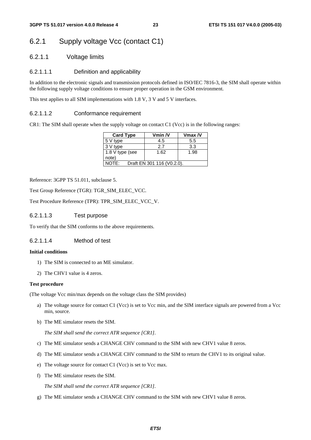## 6.2.1 Supply voltage Vcc (contact C1)

6.2.1.1 Voltage limits

### 6.2.1.1.1 Definition and applicability

In addition to the electronic signals and transmission protocols defined in ISO/IEC 7816-3, the SIM shall operate within the following supply voltage conditions to ensure proper operation in the GSM environment.

This test applies to all SIM implementations with 1.8 V, 3 V and 5 V interfaces.

#### 6.2.1.1.2 Conformance requirement

CR1: The SIM shall operate when the supply voltage on contact C1 (Vcc) is in the following ranges:

| <b>Card Type</b> | Vmin /V                    | $V$ max $N$ |  |
|------------------|----------------------------|-------------|--|
| 5 V type         | 4.5                        | 5.5         |  |
| 3 V type         | 27                         | 3.3         |  |
| 1.8 V type (see  | 1.62                       | 1.98        |  |
| note)            |                            |             |  |
| JOTE:            | Draft EN 301 116 (V0.2.0). |             |  |

Reference: 3GPP TS 51.011, subclause 5.

Test Group Reference (TGR): TGR\_SIM\_ELEC\_VCC.

Test Procedure Reference (TPR): TPR\_SIM\_ELEC\_VCC\_V.

#### 6.2.1.1.3 Test purpose

To verify that the SIM conforms to the above requirements.

#### 6.2.1.1.4 Method of test

#### **Initial conditions**

- 1) The SIM is connected to an ME simulator.
- 2) The CHV1 value is 4 zeros.

#### **Test procedure**

(The voltage Vcc min/max depends on the voltage class the SIM provides)

- a) The voltage source for contact C1 (Vcc) is set to Vcc min, and the SIM interface signals are powered from a Vcc min, source.
- b) The ME simulator resets the SIM.

*The SIM shall send the correct ATR sequence [CR1].* 

- c) The ME simulator sends a CHANGE CHV command to the SIM with new CHV1 value 8 zeros.
- d) The ME simulator sends a CHANGE CHV command to the SIM to return the CHV1 to its original value.
- e) The voltage source for contact C1 (Vcc) is set to Vcc max.
- f) The ME simulator resets the SIM.

*The SIM shall send the correct ATR sequence [CR1].* 

g) The ME simulator sends a CHANGE CHV command to the SIM with new CHV1 value 8 zeros.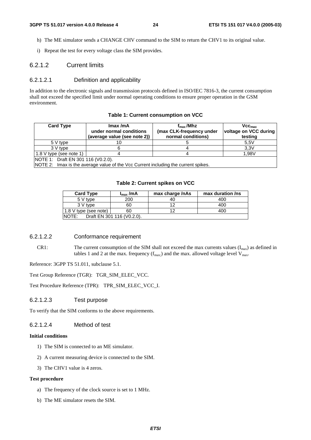- h) The ME simulator sends a CHANGE CHV command to the SIM to return the CHV1 to its original value.
- i) Repeat the test for every voltage class the SIM provides.

#### 6.2.1.2 Current limits

#### 6.2.1.2.1 Definition and applicability

In addition to the electronic signals and transmission protocols defined in ISO/IEC 7816-3, the current consumption shall not exceed the specified limit under normal operating conditions to ensure proper operation in the GSM environment.

| <b>Card Type</b>                   | Imax/mA<br>under normal conditions<br>(average value (see note 2))                 | $f_{\rm max}$ /Mhz<br>(max CLK-frequency under<br>normal conditions) | VCC <sub>max</sub><br>voltage on VCC during<br>testing |
|------------------------------------|------------------------------------------------------------------------------------|----------------------------------------------------------------------|--------------------------------------------------------|
| 5 V type                           |                                                                                    |                                                                      | 5.5V                                                   |
| 3 V type                           |                                                                                    |                                                                      | 3.3V                                                   |
| 1.8 V type (see note 1)            |                                                                                    |                                                                      | 1.98V                                                  |
| NOTE 1: Draft EN 301 116 (V0.2.0). |                                                                                    |                                                                      |                                                        |
|                                    | NOTE 2: Imax is the average value of the Vcc Current including the current spikes. |                                                                      |                                                        |

#### **Table 1: Current consumption on VCC**

#### **Table 2: Current spikes on VCC**

| <b>Card Type</b>      | $I_{\text{max}}$ /mA       | max charge /nAs | max duration /ns |
|-----------------------|----------------------------|-----------------|------------------|
| 5 V type              | 200                        | 40              | 400              |
| 3 V type              | 60                         | 12              | 400              |
| 1.8 V type (see note) | 60                         | ィつ              | 400              |
| NOTE:                 | Draft EN 301 116 (V0.2.0). |                 |                  |

### 6.2.1.2.2 Conformance requirement

CR1: The current consumption of the SIM shall not exceed the max currents values  $(I_{\text{max}})$  as defined in tables 1 and 2 at the max. frequency  $(f_{max})$  and the max. allowed voltage level  $V_{max}$ .

Reference: 3GPP TS 51.011, subclause 5.1.

Test Group Reference (TGR): TGR\_SIM\_ELEC\_VCC.

Test Procedure Reference (TPR): TPR\_SIM\_ELEC\_VCC\_I.

#### 6.2.1.2.3 Test purpose

To verify that the SIM conforms to the above requirements.

#### 6.2.1.2.4 Method of test

#### **Initial conditions**

- 1) The SIM is connected to an ME simulator.
- 2) A current measuring device is connected to the SIM.
- 3) The CHV1 value is 4 zeros.

#### **Test procedure**

- a) The frequency of the clock source is set to 1 MHz.
- b) The ME simulator resets the SIM.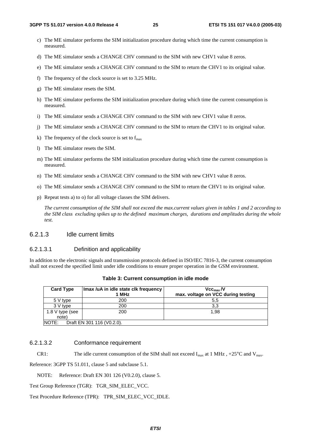- c) The ME simulator performs the SIM initialization procedure during which time the current consumption is measured.
- d) The ME simulator sends a CHANGE CHV command to the SIM with new CHV1 value 8 zeros.
- e) The ME simulator sends a CHANGE CHV command to the SIM to return the CHV1 to its original value.
- f) The frequency of the clock source is set to 3.25 MHz.
- g) The ME simulator resets the SIM.
- h) The ME simulator performs the SIM initialization procedure during which time the current consumption is measured.
- i) The ME simulator sends a CHANGE CHV command to the SIM with new CHV1 value 8 zeros.
- j) The ME simulator sends a CHANGE CHV command to the SIM to return the CHV1 to its original value.
- k) The frequency of the clock source is set to  $f_{\text{max}}$
- l) The ME simulator resets the SIM.
- m) The ME simulator performs the SIM initialization procedure during which time the current consumption is measured.
- n) The ME simulator sends a CHANGE CHV command to the SIM with new CHV1 value 8 zeros.
- o) The ME simulator sends a CHANGE CHV command to the SIM to return the CHV1 to its original value.
- p) Repeat tests a) to o) for all voltage classes the SIM delivers.

 *The current consumption of the SIM shall not exceed the max.current values given in tables 1 and 2 according to the SIM class excluding spikes up to the defined maximum charges, durations and amplitudes during the whole test.* 

#### 6.2.1.3 Idle current limits

#### 6.2.1.3.1 Definition and applicability

In addition to the electronic signals and transmission protocols defined in ISO/IEC 7816-3, the current consumption shall not exceed the specified limit under idle conditions to ensure proper operation in the GSM environment.

| <b>Card Type</b> | Imax /uA in idle state clk frequency | $Vec_{max}N$                       |
|------------------|--------------------------------------|------------------------------------|
|                  | 1 MHz                                | max. voltage on VCC during testing |
| 5 V type         | 200                                  | 5.5                                |
| 3 V type         | 200                                  | 3,3                                |
| 1.8 V type (see  | 200                                  | 1.98                               |
| note)            |                                      |                                    |
| <b>NOTE:</b>     | Draft EN 301 116 (V0.2.0).           |                                    |

#### **Table 3: Current consumption in idle mode**

#### 6.2.1.3.2 Conformance requirement

CR1: The idle current consumption of the SIM shall not exceed  $I_{max}$  at 1 MHz, +25<sup>o</sup>C and  $V_{max}$ .

Reference: 3GPP TS 51.011, clause 5 and subclause 5.1.

NOTE: Reference: Draft EN 301 126 (V0.2.0), clause 5.

Test Group Reference (TGR): TGR\_SIM\_ELEC\_VCC.

Test Procedure Reference (TPR): TPR\_SIM\_ELEC\_VCC\_IDLE.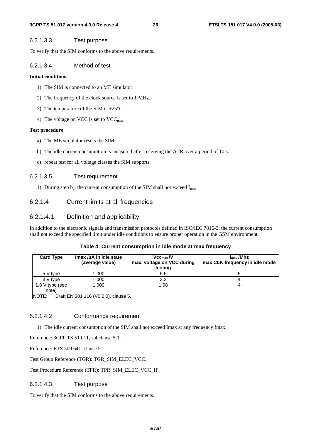#### 6.2.1.3.3 Test purpose

To verify that the SIM conforms to the above requirements.

#### 6.2.1.3.4 Method of test

#### **Initial conditions**

- 1) The SIM is connected to an ME simulator.
- 2) The frequency of the clock source is set to 1 MHz.
- 3) The temperature of the SIM is +25°C.
- 4) The voltage on VCC is set to  $VCC_{\text{max}}$

#### **Test procedure**

- a) The ME simulator resets the SIM.
- b) The idle current consumption is measured after receiving the ATR over a period of 10 s.
- c) repeat test for all voltage classes the SIM supports.

#### 6.2.1.3.5 Test requirement

1) During step b), the current consumption of the SIM shall not exceed  $I_{max}$ 

### 6.2.1.4 Current limits at all frequencies

#### 6.2.1.4.1 Definition and applicability

In addition to the electronic signals and transmission protocols defined in ISO/IEC 7816-3, the current consumption shall not exceed the specified limit under idle conditions to ensure proper operation in the GSM environment.

#### **Table 4: Current consumption in idle mode at max frequency**

| <b>Card Type</b> | Imax /uA in idle state<br>(average value) | Vcc <sub>max</sub> /V<br>max. voltage on VCC during<br>testing | $f_{\rm max}$ /Mhz<br>max CLK frequency in idle mode |
|------------------|-------------------------------------------|----------------------------------------------------------------|------------------------------------------------------|
| 5 V type         | 1 000                                     | 5.5                                                            |                                                      |
| 3 V type         | 1 000                                     | 3.3                                                            |                                                      |
| 1.8 V type (see  | 1 000                                     | 1.98                                                           |                                                      |
| note)            |                                           |                                                                |                                                      |
| <b>NOTE:</b>     | Draft EN 301 116 (V0.2.0), clause 5.      |                                                                |                                                      |

#### 6.2.1.4.2 Conformance requirement

1) The idle current consumption of the SIM shall not exceed Imax at any frequency fmax.

Reference: 3GPP TS 51.011, subclause 5.1.

Reference: ETS 300 641, clause 5.

Test Group Reference (TGR): TGR\_SIM\_ELEC\_VCC.

Test Procedure Reference (TPR): TPR\_SIM\_ELEC\_VCC\_IF.

#### 6.2.1.4.3 Test purpose

To verify that the SIM conforms to the above requirements.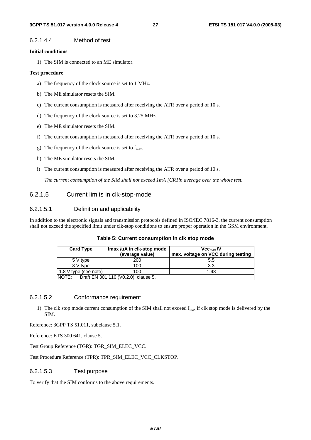#### 6.2.1.4.4 Method of test

#### **Initial conditions**

1) The SIM is connected to an ME simulator.

#### **Test procedure**

- a) The frequency of the clock source is set to 1 MHz.
- b) The ME simulator resets the SIM.
- c) The current consumption is measured after receiving the ATR over a period of 10 s.
- d) The frequency of the clock source is set to 3.25 MHz.
- e) The ME simulator resets the SIM.
- f) The current consumption is measured after receiving the ATR over a period of 10 s.
- g) The frequency of the clock source is set to  $f_{\text{max}}$ .
- h) The ME simulator resets the SIM.*.*
- i) The current consumption is measured after receiving the ATR over a period of 10 s.

 *The current consumption of the SIM shall not exceed 1mA [CR1in average over the whole test.*

#### 6.2.1.5 Current limits in clk-stop-mode

#### 6.2.1.5.1 Definition and applicability

In addition to the electronic signals and transmission protocols defined in ISO/IEC 7816-3, the current consumption shall not exceed the specified limit under clk-stop conditions to ensure proper operation in the GSM environment.

| <b>Card Type</b>              | Imax /uA in clk-stop mode<br>(average value) | Vcc <sub>max</sub> /V<br>max. voltage on VCC during testing |
|-------------------------------|----------------------------------------------|-------------------------------------------------------------|
| 5 V type                      | 200                                          | 5.5                                                         |
| 3 V type                      | 100                                          | 3.3                                                         |
| $\vert$ 1.8 V type (see note) | 100                                          | 1.98                                                        |
| <b>INOTE:</b>                 | Draft EN 301 116 (V0.2.0), clause 5.         |                                                             |

#### **Table 5: Current consumption in clk stop mode**

#### 6.2.1.5.2 Conformance requirement

1) The clk stop mode current consumption of the SIM shall not exceed I<sub>max</sub> if clk stop mode is delivered by the SIM.

Reference: 3GPP TS 51.011, subclause 5.1.

Reference: ETS 300 641, clause 5.

Test Group Reference (TGR): TGR\_SIM\_ELEC\_VCC.

Test Procedure Reference (TPR): TPR\_SIM\_ELEC\_VCC\_CLKSTOP.

#### 6.2.1.5.3 Test purpose

To verify that the SIM conforms to the above requirements.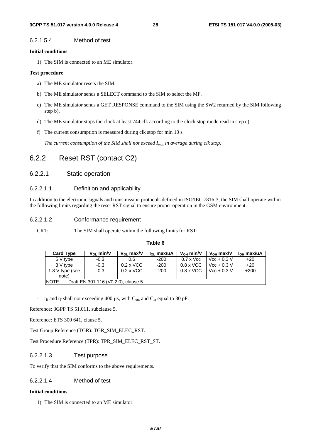#### 6.2.1.5.4 Method of test

#### **Initial conditions**

1) The SIM is connected to an ME simulator.

#### **Test procedure**

- a) The ME simulator resets the SIM.
- b) The ME simulator sends a SELECT command to the SIM to select the MF.
- c) The ME simulator sends a GET RESPONSE command to the SIM using the SW2 returned by the SIM following step b).
- d) The ME simulator stops the clock at least 744 clk according to the clock stop mode read in step c).
- f) The current consumption is measured during clk stop for min 10 s.

*The current consumption of the SIM shall not exceed I<sub>max</sub> in average during clk stop.* 

### 6.2.2 Reset RST (contact C2)

#### 6.2.2.1 Static operation

#### 6.2.2.1.1 Definition and applicability

In addition to the electronic signals and transmission protocols defined in ISO/IEC 7816-3, the SIM shall operate within the following limits regarding the reset RST signal to ensure proper operation in the GSM environment.

#### 6.2.2.1.2 Conformance requirement

CR1: The SIM shall operate within the following limits for RST:

| <b>Card Type</b> | $V_{01}$ min/V                       | $V_{01}$ max/V   | $\ln \text{max/uA}$ | $V_{OH}$ min/V   | $V_{OH}$ max/V | $IOH$ max/uA |
|------------------|--------------------------------------|------------------|---------------------|------------------|----------------|--------------|
| 5 V type         | $-0.3$                               | 0.6              | -200                | $0.7 \times$ Vcc | $Vcc + 0.3 V$  | $+20$        |
| 3 V type         | $-0.3$                               | $0.2 \times$ VCC | $-200$              | $0.8 \times$ VCC | $Vcc + 0.3 V$  | $+20$        |
| 1.8 V type (see  | $-0.3$                               | $0.2 \times$ VCC | $-200$              | $0.8 \times$ VCC | $Vcc + 0.3 V$  | $+200$       |
| note)            |                                      |                  |                     |                  |                |              |
| NOTE:            | Draft EN 301 116 (V0.2.0), clause 5. |                  |                     |                  |                |              |

**Table 6** 

 $t_R$  and  $t_F$  shall not exceeding 400 µs, with  $C_{out}$  and  $C_{in}$  equal to 30 pF.

Reference: 3GPP TS 51.011, subclause 5.

Reference: ETS 300 641, clause 5.

Test Group Reference (TGR): TGR\_SIM\_ELEC\_RST.

Test Procedure Reference (TPR): TPR\_SIM\_ELEC\_RST\_ST.

#### 6.2.2.1.3 Test purpose

To verify that the SIM conforms to the above requirements.

### 6.2.2.1.4 Method of test

#### **Initial conditions**

1) The SIM is connected to an ME simulator.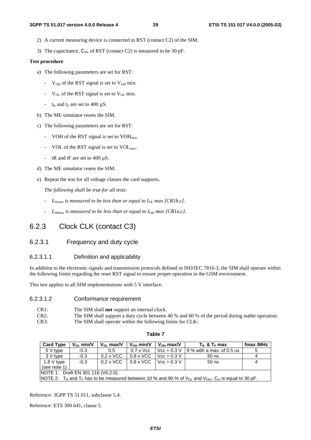- 2) A current measuring device is connected to RST (contact C2) of the SIM.
- 3) The capacitance,  $C_{in}$ , of RST (contact C2) is measured to be 30 pF.

#### **Test procedure**

- a) The following parameters are set for RST:
	- $V_{OH}$  of the RST signal is set to  $V_{OH}$  min.
	- $V_{OL}$  of the RST signal is set to  $V_{OL}$  min.
	- $t_R$  and  $t_F$  are set to 400  $\mu$ S.
- b) The ME simulator resets the SIM.
- c) The following parameters are set for RST:
	- VOH of the RST signal is set to  $VOH<sub>max</sub>$ .
	- VOL of the RST signal is set to VOL<sub>max</sub>.
	- tR and tF are set to 400 µS.
- d) The ME simulator resets the SIM.
- e) Repeat the test for all voltage classes the card supports.

 *The following shall be true for all tests:* 

- $I_{OLmax}$  is measured to be less than or equal to  $I_{OL}$  max [CR1b,c].
- *- I*<sub>OHmax</sub> is measured to be less than or equal to  $I_{OH}$  max [CR1a,c].

### 6.2.3 Clock CLK (contact C3)

#### 6.2.3.1 Frequency and duty cycle

#### 6.2.3.1.1 Definition and applicability

In addition to the electronic signals and transmission protocols defined in ISO/IEC 7816-3, the SIM shall operate within the following limits regarding the reset RST signal to ensure proper operation in the GSM environment.

This test applies to all SIM implementations with 5 V interface.

#### 6.2.3.1.2 Conformance requirement

| CR1:    | The SIM shall <b>not</b> support an internal clock.                                             |
|---------|-------------------------------------------------------------------------------------------------|
| $CR2$ : | The SIM shall support a duty cycle between 40 % and 60 % of the period during stable operation. |
| CR3:    | The SIM shall operate within the following limits for CLK:                                      |

| able |  |
|------|--|
|------|--|

| <b>Card Type</b>                                                                                                                                               | $V_{\Omega}$ min/V | $V_{\Omega}$ max/V | $V_{OH}$ min/V   | $V_{OH}$ max/V | $T_R$ & $T_F$ max           | fmax /MHz |
|----------------------------------------------------------------------------------------------------------------------------------------------------------------|--------------------|--------------------|------------------|----------------|-----------------------------|-----------|
| 5 V type                                                                                                                                                       | $-0.3$             | 0.5                | $0.7 \times$ Vcc | $Vcc + 0.3 V$  | $19%$ with a max, of 0.5 us | 5         |
| 3 V type                                                                                                                                                       | $-0.3$             | $0.2 \times$ VCC   | $0.8 \times$ VCC | $Vec + 0.3 V$  | $50$ ns                     | 4         |
| 1.8 V type                                                                                                                                                     | $-0.3$             | $0.2 \times$ VCC   | $0.8 \times$ VCC | $Vec + 0.3 V$  | $50$ ns                     | 4         |
| (see note 1)                                                                                                                                                   |                    |                    |                  |                |                             |           |
| <b>NOTE 1: Draft EN 301 116 (V0.2.0).</b>                                                                                                                      |                    |                    |                  |                |                             |           |
| NOTE 2: T <sub>R</sub> and T <sub>F</sub> has to be measured between 10 % and 90 % of V <sub>OL</sub> and V <sub>OH</sub> ; C <sub>in</sub> is equal to 30 pF. |                    |                    |                  |                |                             |           |

Reference: 3GPP TS 51.011, subclause 5.4.

Reference: ETS 300 641, clause 5.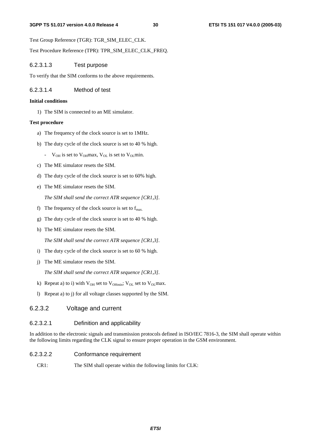Test Group Reference (TGR): TGR\_SIM\_ELEC\_CLK.

Test Procedure Reference (TPR): TPR\_SIM\_ELEC\_CLK\_FREQ.

#### 6.2.3.1.3 Test purpose

To verify that the SIM conforms to the above requirements.

#### 6.2.3.1.4 Method of test

#### **Initial conditions**

1) The SIM is connected to an ME simulator.

#### **Test procedure**

- a) The frequency of the clock source is set to 1MHz.
- b) The duty cycle of the clock source is set to 40 % high.
	- $V_{OH}$  is set to  $V_{OH}$  max,  $V_{OL}$  is set to  $V_{OL}$  min.
- c) The ME simulator resets the SIM.
- d) The duty cycle of the clock source is set to 60% high.
- e) The ME simulator resets the SIM.

 *The SIM shall send the correct ATR sequence [CR1,3].* 

- f) The frequency of the clock source is set to  $f_{\text{max}}$ .
- g) The duty cycle of the clock source is set to 40 % high.
- h) The ME simulator resets the SIM.

 *The SIM shall send the correct ATR sequence [CR1,3].* 

- i) The duty cycle of the clock source is set to 60 % high.
- j) The ME simulator resets the SIM.

 *The SIM shall send the correct ATR sequence [CR1,3].* 

- k) Repeat a) to i) with  $V_{OH}$  set to  $V_{OH}$ <sub>min</sub>;  $V_{OL}$  set to  $V_{OL}$  max.
- l) Repeat a) to j) for all voltage classes supported by the SIM.

#### 6.2.3.2 Voltage and current

#### 6.2.3.2.1 Definition and applicability

In addition to the electronic signals and transmission protocols defined in ISO/IEC 7816-3, the SIM shall operate within the following limits regarding the CLK signal to ensure proper operation in the GSM environment.

#### 6.2.3.2.2 Conformance requirement

CR1: The SIM shall operate within the following limits for CLK: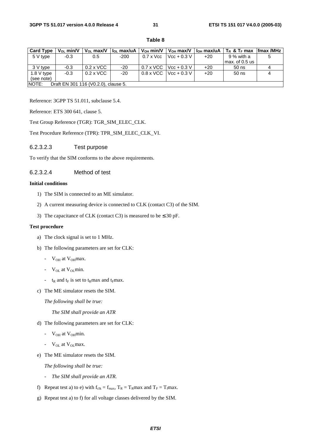| <b>Card Type</b> | $V_{OL}$ min/V | $V_{OL}$ max/V                       | l <sub>o∟</sub> max/uA | $V_{OH}$ min/V   | $V_{OH}$ max/V | l <sub>on</sub> max/uA | $T_R$ & $T_F$ max | fmax /MHz |
|------------------|----------------|--------------------------------------|------------------------|------------------|----------------|------------------------|-------------------|-----------|
| 5 V type         | $-0.3$         | 0.5                                  | $-200$                 | $0.7 \times$ Vcc | $Vcc + 0.3 V$  | $+20$                  | 9 % with a        |           |
|                  |                |                                      |                        |                  |                |                        | max. of 0.5 us    |           |
| 3 V type         | $-0.3$         | $0.2 \times$ VCC                     | -20                    | $0.7 \times$ VCC | $Vcc + 0.3 V$  | $+20$                  | $50$ ns           |           |
| 1.8 V type       | $-0.3$         | $0.2 \times$ VCC                     | $-20$                  | $0.8 \times$ VCC | $Vcc + 0.3 V$  | $+20$                  | $50$ ns           |           |
| (see note)       |                |                                      |                        |                  |                |                        |                   |           |
| NOTE:            |                | Draft EN 301 116 (V0.2.0), clause 5. |                        |                  |                |                        |                   |           |

**Table 8** 

Reference: 3GPP TS 51.011, subclause 5.4.

Reference: ETS 300 641, clause 5.

Test Group Reference (TGR): TGR\_SIM\_ELEC\_CLK.

Test Procedure Reference (TPR): TPR\_SIM\_ELEC\_CLK\_VI.

#### 6.2.3.2.3 Test purpose

To verify that the SIM conforms to the above requirements.

#### 6.2.3.2.4 Method of test

#### **Initial conditions**

- 1) The SIM is connected to an ME simulator.
- 2) A current measuring device is connected to CLK (contact C3) of the SIM.
- 3) The capacitance of CLK (contact C3) is measured to be  $\leq 30$  pF.

#### **Test procedure**

- a) The clock signal is set to 1 MHz.
- b) The following parameters are set for CLK:
	- $V_{OH}$  at  $V_{OH}$  max.
	- $V_{OL}$  at  $V_{OL}$  min.
	- $t_R$  and  $t_F$  is set to  $t_R$ max and  $t_F$ max.
- c) The ME simulator resets the SIM.

 *The following shall be true:* 

*The SIM shall provide an ATR* 

- d) The following parameters are set for CLK:
	- $V_{OH}$  at  $V_{OH}$ min.
	- V<sub>OL</sub> at V<sub>OL</sub>max.
- e) The ME simulator resets the SIM.

 *The following shall be true:* 

- *The SIM shall provide an ATR.*
- f) Repeat test a) to e) with  $f_{clk} = f_{max}$ ,  $T_R = T_R$ max and  $T_F = T_f$ max.
- g) Repeat test a) to f) for all voltage classes delivered by the SIM.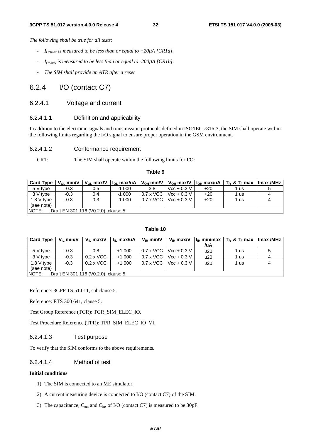*The following shall be true for all tests:* 

- $I_{OHmax}$  *is measured to be less than or equal to +20* $\mu$ *A [CR1a].*
- *IOLmax is measured to be less than or equal to -200*µ*A [CR1b].*
- *The SIM shall provide an ATR after a reset*

### 6.2.4 I/O (contact C7)

#### 6.2.4.1 Voltage and current

#### 6.2.4.1.1 Definition and applicability

In addition to the electronic signals and transmission protocols defined in ISO/IEC 7816-3, the SIM shall operate within the following limits regarding the I/O signal to ensure proper operation in the GSM environment.

#### 6.2.4.1.2 Conformance requirement

CR1: The SIM shall operate within the following limits for I/O:

#### **Table 9**

| <b>Card Type</b> | $V_{01}$ min/V |                                      |         |                  |                         |       | $V_{OL}$ max/V   $I_{OL}$ max/uA   $V_{OH}$ min/V   $V_{OH}$ max/V   $I_{OH}$ max/uA   $T_R$ & $T_F$ max   fmax /MHz |  |
|------------------|----------------|--------------------------------------|---------|------------------|-------------------------|-------|----------------------------------------------------------------------------------------------------------------------|--|
| 5 V type         | $-0.3$         | 0.5                                  | $-1000$ | 3.8              | $Vec + 0.3 V$           | $+20$ | 1 us                                                                                                                 |  |
| 3 V tvpe         | $-0.3$         | 0.4                                  | $-1000$ | $0.7 \times$ VCC | $Vcc + 0.3 V$           | $+20$ | 1 us                                                                                                                 |  |
| 1.8 V type       | $-0.3$         | 0.3                                  | $-1000$ |                  | 0.7 x VCC   Vcc + 0.3 V | $+20$ | 1 us                                                                                                                 |  |
| (see note)       |                |                                      |         |                  |                         |       |                                                                                                                      |  |
| NOTE:            |                | Draft EN 301 116 (V0.2.0), clause 5. |         |                  |                         |       |                                                                                                                      |  |

#### **Table 10**

| <b>Card Type</b>                              | $V_{\parallel}$ min/V | $V_{\rm II}$ max/V | I <sub>II</sub> max/uA | $V_{\text{H}}$ min/V | $\mathsf{V}_{\mathsf{H}}$ max/V       |     | $ I_{\text{H}} $ min/max $ T_{\text{R}} $ & $T_{\text{F}}$ max $ $ fmax /MHz |  |
|-----------------------------------------------|-----------------------|--------------------|------------------------|----------------------|---------------------------------------|-----|------------------------------------------------------------------------------|--|
|                                               |                       |                    |                        |                      |                                       | /uA |                                                                              |  |
| 5 V type                                      | $-0.3$                | 0.8                | $+1000$                |                      | $0.7 \times$ VCC Vcc + 0.3 V          | ±20 | 1 us                                                                         |  |
| 3 V type                                      | $-0.3$                | $0.2 \times$ VCC   | $+1000$                |                      | $0.7 \times$ VCC Vcc + 0.3 V          | ±20 | 1 us                                                                         |  |
| 1.8 V type                                    | $-0.3$                | $0.2 \times$ VCC   | $+1000$                |                      | $0.7 \times \text{VCC}$   Vcc + 0.3 V | ±20 | 1 us                                                                         |  |
| (see note)                                    |                       |                    |                        |                      |                                       |     |                                                                              |  |
| NOTE:<br>Draft EN 301 116 (V0.2.0), clause 5. |                       |                    |                        |                      |                                       |     |                                                                              |  |

Reference: 3GPP TS 51.011, subclause 5.

Reference: ETS 300 641, clause 5.

Test Group Reference (TGR): TGR\_SIM\_ELEC\_IO.

Test Procedure Reference (TPR): TPR\_SIM\_ELEC\_IO\_VI.

#### 6.2.4.1.3 Test purpose

To verify that the SIM conforms to the above requirements.

#### 6.2.4.1.4 Method of test

#### **Initial conditions**

- 1) The SIM is connected to an ME simulator.
- 2) A current measuring device is connected to I/O (contact C7) of the SIM.
- 3) The capacitance,  $C_{\text{out}}$  and  $C_{\text{in}}$ , of I/O (contact C7) is measured to be 30pF.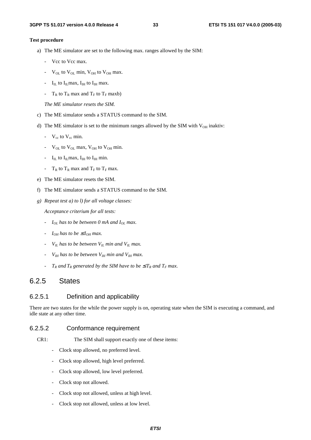#### **Test procedure**

- a) The ME simulator are set to the following max. ranges allowed by the SIM:
	- Vcc to Vcc max.
	- $V_{OL}$  to  $V_{OL}$  min,  $V_{OH}$  to  $V_{OH}$  max.
	- $I_{IL}$  to  $I_{IL}$  max,  $I_{IH}$  to  $I_{IH}$  max.
	- $T_R$  to  $T_R$  max and  $T_F$  to  $T_F$  maxb)

 *The ME simulator resets the SIM.* 

- c) The ME simulator sends a STATUS command to the SIM.
- d) The ME simulator is set to the minimum ranges allowed by the SIM with  $V_{OH}$  inaktiv:
	- $V_{cc}$  to  $V_{cc}$  min.
	- $V_{\text{OL}}$  to  $V_{\text{OL}}$  max,  $V_{\text{OH}}$  to  $V_{\text{OH}}$  min.
	- $I_{II}$  to  $I_{II}$  max,  $I_{III}$  to  $I_{III}$  min.
	- $T_R$  to  $T_R$  max and  $T_F$  to  $T_F$  max.
- e) The ME simulator resets the SIM.
- f) The ME simulator sends a STATUS command to the SIM.
- *g) Repeat test a) to l) for all voltage classes:*

 *Acceptance criterium for all tests:* 

- *- I<sub>OL</sub>* has to be between 0 mA and I<sub>OL</sub> max.
- *-*  $I_{OH}$  has to be  $\leq I_{OH}$  max.
- *-*  $V_{II}$  has to be between  $V_{II}$  min and  $V_{II}$  max.
- $V_{IH}$  has to be between  $V_{IH}$  min and  $V_{IH}$  max.
- $T_R$  and  $T_R$  generated by the SIM have to be  $\leq T_R$  and  $T_F$  max.

### 6.2.5 States

#### 6.2.5.1 Definition and applicability

There are two states for the while the power supply is on, operating state when the SIM is executing a command, and idle state at any other time.

#### 6.2.5.2 Conformance requirement

- CR1: The SIM shall support exactly one of these items:
	- Clock stop allowed, no preferred level.
	- Clock stop allowed, high level preferred.
	- Clock stop allowed, low level preferred.
	- Clock stop not allowed.
	- Clock stop not allowed, unless at high level.
	- Clock stop not allowed, unless at low level.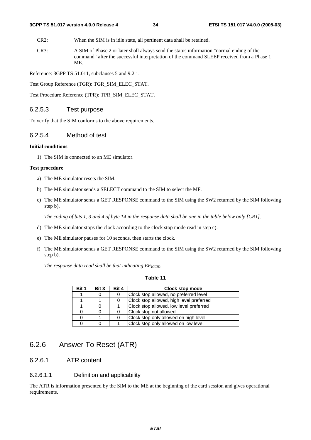CR2: When the SIM is in idle state, all pertinent data shall be retained.

CR3: A SIM of Phase 2 or later shall always send the status information "normal ending of the command" after the successful interpretation of the command SLEEP received from a Phase 1 ME.

Reference: 3GPP TS 51.011, subclauses 5 and 9.2.1.

Test Group Reference (TGR): TGR\_SIM\_ELEC\_STAT.

Test Procedure Reference (TPR): TPR\_SIM\_ELEC\_STAT.

### 6.2.5.3 Test purpose

To verify that the SIM conforms to the above requirements.

#### 6.2.5.4 Method of test

#### **Initial conditions**

1) The SIM is connected to an ME simulator.

#### **Test procedure**

- a) The ME simulator resets the SIM.
- b) The ME simulator sends a SELECT command to the SIM to select the MF.
- c) The ME simulator sends a GET RESPONSE command to the SIM using the SW2 returned by the SIM following step b).

 *The coding of bits 1, 3 and 4 of byte 14 in the response data shall be one in the table below only [CR1].* 

- d) The ME simulator stops the clock according to the clock stop mode read in step c).
- e) The ME simulator pauses for 10 seconds, then starts the clock.
- f) The ME simulator sends a GET RESPONSE command to the SIM using the SW2 returned by the SIM following step b).

The response data read shall be that indicating  $EF_{ICCD}$ .

#### **Table 11**

| Bit 1 | Bit 3 | Bit 4 | Clock stop mode                          |
|-------|-------|-------|------------------------------------------|
|       |       | 0     | Clock stop allowed, no preferred level   |
|       |       | 0     | Clock stop allowed, high level preferred |
|       |       |       | Clock stop allowed, low level preferred  |
|       |       |       | Clock stop not allowed                   |
|       |       | 0     | Clock stop only allowed on high level    |
|       |       |       | Clock stop only allowed on low level     |

### 6.2.6 Answer To Reset (ATR)

### 6.2.6.1 ATR content

#### 6.2.6.1.1 Definition and applicability

The ATR is information presented by the SIM to the ME at the beginning of the card session and gives operational requirements.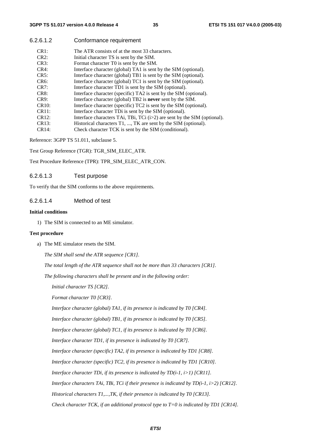6.2.6.1.2 Conformance requirement

| CR1:    | The ATR consists of at the most 33 characters.                             |
|---------|----------------------------------------------------------------------------|
| CR2:    | Initial character TS is sent by the SIM.                                   |
| CR3:    | Format character T0 is sent by the SIM.                                    |
| CR4:    | Interface character (global) TA1 is sent by the SIM (optional).            |
| CR5:    | Interface character (global) TB1 is sent by the SIM (optional).            |
| $CR6$ : | Interface character (global) TC1 is sent by the SIM (optional).            |
| CR7:    | Interface character TD1 is sent by the SIM (optional).                     |
| CR8:    | Interface character (specific) TA2 is sent by the SIM (optional).          |
| CR9:    | Interface character (global) TB2 is <b>never</b> sent by the SIM.          |
| CR10:   | Interface character (specific) TC2 is sent by the SIM (optional).          |
| CR11:   | Interface character TDi is sent by the SIM (optional).                     |
| CR12:   | Interface characters TAi, TBi, TCi $(i>2)$ are sent by the SIM (optional). |
| CR13:   | Historical characters T1, , TK are sent by the SIM (optional).             |
| CR14:   | Check character TCK is sent by the SIM (conditional).                      |
|         |                                                                            |

Reference: 3GPP TS 51.011, subclause 5.

Test Group Reference (TGR): TGR\_SIM\_ELEC\_ATR.

Test Procedure Reference (TPR): TPR\_SIM\_ELEC\_ATR\_CON.

#### 6.2.6.1.3 Test purpose

To verify that the SIM conforms to the above requirements.

#### 6.2.6.1.4 Method of test

#### **Initial conditions**

1) The SIM is connected to an ME simulator.

#### **Test procedure**

a) The ME simulator resets the SIM.

*The SIM shall send the ATR sequence [CR1].* 

 *The total length of the ATR sequence shall not be more than 33 characters [CR1].* 

 *The following characters shall be present and in the following order:* 

 *Initial character TS [CR2].* 

 *Format character T0 [CR3].* 

 *Interface character (global) TA1, if its presence is indicated by T0 [CR4].* 

 *Interface character (global) TB1, if its presence is indicated by T0 [CR5].* 

 *Interface character (global) TC1, if its presence is indicated by T0 [CR6].* 

 *Interface character TD1, if its presence is indicated by T0 [CR7].* 

 *Interface character (specific) TA2, if its presence is indicated by TD1 [CR8].* 

 *Interface character (specific) TC2, if its presence is indicated by TD1 [CR10].* 

 *Interface character TDi, if its presence is indicated by TD(i-1, i>1) [CR11].* 

 *Interface characters TAi, TBi, TCi if their presence is indicated by TD(i-1, i>2) [CR12].* 

 *Historical characters T1,...,TK, if their presence is indicated by T0 [CR13].* 

 *Check character TCK, if an additional protocol type to T=0 is indicated by TD1 [CR14].*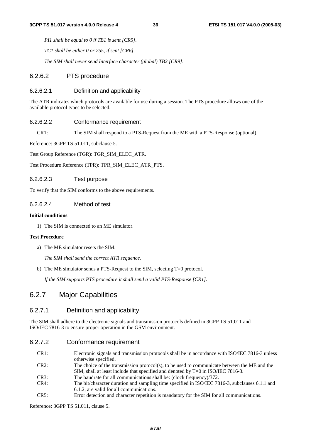*PI1 shall be equal to 0 if TB1 is sent [CR5].* 

 *TC1 shall be either 0 or 255, if sent [CR6].* 

 *The SIM shall never send Interface character (global) TB2 [CR9].* 

# 6.2.6.2 PTS procedure

#### 6.2.6.2.1 Definition and applicability

The ATR indicates which protocols are available for use during a session. The PTS procedure allows one of the available protocol types to be selected.

#### 6.2.6.2.2 Conformance requirement

CR1: The SIM shall respond to a PTS-Request from the ME with a PTS-Response (optional).

Reference: 3GPP TS 51.011, subclause 5.

Test Group Reference (TGR): TGR\_SIM\_ELEC\_ATR.

Test Procedure Reference (TPR): TPR\_SIM\_ELEC\_ATR\_PTS.

#### 6.2.6.2.3 Test purpose

To verify that the SIM conforms to the above requirements.

# 6.2.6.2.4 Method of test

#### **Initial conditions**

1) The SIM is connected to an ME simulator.

#### **Test Procedure**

a) The ME simulator resets the SIM.

 *The SIM shall send the correct ATR sequence.* 

b) The ME simulator sends a PTS-Request to the SIM, selecting T=0 protocol.

 *If the SIM supports PTS procedure it shall send a valid PTS-Response [CR1].* 

# 6.2.7 Major Capabilities

## 6.2.7.1 Definition and applicability

The SIM shall adhere to the electronic signals and transmission protocols defined in 3GPP TS 51.011 and ISO/IEC 7816-3 to ensure proper operation in the GSM environment.

# 6.2.7.2 Conformance requirement

| CR1: | Electronic signals and transmission protocols shall be in accordance with ISO/IEC 7816-3 unless |
|------|-------------------------------------------------------------------------------------------------|
|      | otherwise specified.                                                                            |
| CR2: | The choice of the transmission protocol(s), to be used to communicate between the ME and the    |
|      | SIM, shall at least include that specified and denoted by $T=0$ in ISO/IEC 7816-3.              |
| CR3: | The baudrate for all communications shall be: (clock frequency)/372.                            |
| CR4: | The bit/character duration and sampling time specified in ISO/IEC 7816-3, subclauses 6.1.1 and  |
|      | 6.1.2, are valid for all communications.                                                        |
|      |                                                                                                 |

CR5: Error detection and character repetition is mandatory for the SIM for all communications.

Reference: 3GPP TS 51.011, clause 5.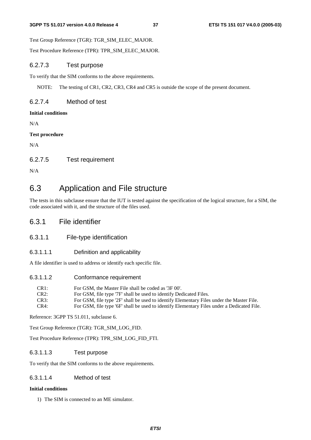Test Group Reference (TGR): TGR\_SIM\_ELEC\_MAJOR.

Test Procedure Reference (TPR): TPR\_SIM\_ELEC\_MAJOR.

# 6.2.7.3 Test purpose

To verify that the SIM conforms to the above requirements.

NOTE: The testing of CR1, CR2, CR3, CR4 and CR5 is outside the scope of the present document.

# 6.2.7.4 Method of test

## **Initial conditions**

N/A

# **Test procedure**

N/A

# 6.2.7.5 Test requirement

N/A

# 6.3 Application and File structure

The tests in this subclause ensure that the IUT is tested against the specification of the logical structure, for a SIM, the code associated with it, and the structure of the files used.

# 6.3.1 File identifier

# 6.3.1.1 File-type identification

# 6.3.1.1.1 Definition and applicability

A file identifier is used to address or identify each specific file.

# 6.3.1.1.2 Conformance requirement

| CR <sub>1</sub> : | For GSM, the Master File shall be coded as '3F 00'.                                        |
|-------------------|--------------------------------------------------------------------------------------------|
| CR2:              | For GSM, file type '7F' shall be used to identify Dedicated Files.                         |
| CR3:              | For GSM, file type '2F' shall be used to identify Elementary Files under the Master File.  |
| CR4:              | For GSM, file type '6F' shall be used to identify Elementary Files under a Dedicated File. |

Reference: 3GPP TS 51.011, subclause 6.

Test Group Reference (TGR): TGR\_SIM\_LOG\_FID.

Test Procedure Reference (TPR): TPR\_SIM\_LOG\_FID\_FTI.

# 6.3.1.1.3 Test purpose

To verify that the SIM conforms to the above requirements.

# 6.3.1.1.4 Method of test

### **Initial conditions**

1) The SIM is connected to an ME simulator.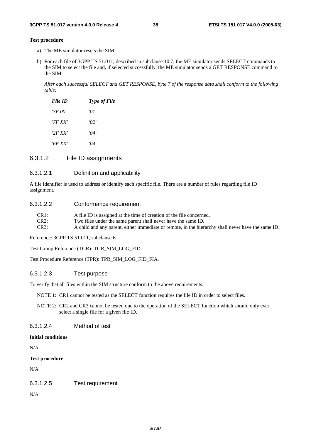#### **Test procedure**

- a) The ME simulator resets the SIM.
- b) For each file of 3GPP TS 51.011, described in subclause 10.7, the ME simulator sends SELECT commands to the SIM to select the file and, if selected successfully, the ME simulator sends a GET RESPONSE command to the SIM.

 *After each successful SELECT and GET RESPONSE, byte 7 of the response data shall conform to the following table:* 

| File ID | <b>Type of File</b> |
|---------|---------------------|
| '3F 00' | 'O I                |
| '7F XX' | 2'                  |
| '2F XX' | '04'                |
| '6F XX' | '04'                |

# 6.3.1.2 File ID assignments

#### 6.3.1.2.1 Definition and applicability

A file identifier is used to address or identify each specific file. There are a number of rules regarding file ID assignment.

#### 6.3.1.2.2 Conformance requirement

| $CR1$ : | A file ID is assigned at the time of creation of the file concerned.                               |
|---------|----------------------------------------------------------------------------------------------------|
| $CR2$ : | Two files under the same parent shall never have the same ID.                                      |
| CR3:    | A child and any parent, either immediate or remote, in the hierarchy shall never have the same ID. |

Reference: 3GPP TS 51.011, subclause 6.

Test Group Reference (TGR): TGR\_SIM\_LOG\_FID.

Test Procedure Reference (TPR): TPR\_SIM\_LOG\_FID\_FIA.

### 6.3.1.2.3 Test purpose

To verify that all files within the SIM structure conform to the above requirements.

NOTE 1: CR1 cannot be tested as the SELECT function requires the file ID in order to select files.

NOTE 2: CR2 and CR3 cannot be tested due to the operation of the SELECT function which should only ever select a single file for a given file ID.

## 6.3.1.2.4 Method of test

#### **Initial conditions**

N/A

#### **Test procedure**

N/A

# 6.3.1.2.5 Test requirement

N/A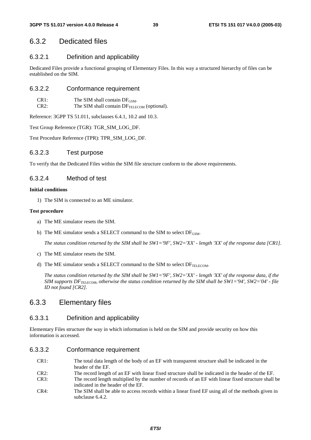# 6.3.2 Dedicated files

# 6.3.2.1 Definition and applicability

Dedicated Files provide a functional grouping of Elementary Files. In this way a structured hierarchy of files can be established on the SIM.

# 6.3.2.2 Conformance requirement

| CR1: | The SIM shall contain $DF_{GSM}$ .                      |
|------|---------------------------------------------------------|
| CR2: | The SIM shall contain DF <sub>TELECOM</sub> (optional). |

Reference: 3GPP TS 51.011, subclauses 6.4.1, 10.2 and 10.3.

Test Group Reference (TGR): TGR\_SIM\_LOG\_DF.

Test Procedure Reference (TPR): TPR\_SIM\_LOG\_DF.

# 6.3.2.3 Test purpose

To verify that the Dedicated Files within the SIM file structure conform to the above requirements.

# 6.3.2.4 Method of test

#### **Initial conditions**

1) The SIM is connected to an ME simulator.

#### **Test procedure**

- a) The ME simulator resets the SIM.
- b) The ME simulator sends a SELECT command to the SIM to select  $DF_{GSM}$ .

*The status condition returned by the SIM shall be SW1='9F', SW2='XX' - length 'XX' of the response data [CR1].* 

- c) The ME simulator resets the SIM.
- d) The ME simulator sends a SELECT command to the SIM to select  $DF_{TELECOM}$ .

 *The status condition returned by the SIM shall be SW1='9F', SW2='XX' - length 'XX' of the response data, if the SIM supports DF<sub>TELECOM</sub>, otherwise the status condition returned by the SIM shall be SW1='94', SW2='04' - file ID not found [CR2].* 

# 6.3.3 Elementary files

# 6.3.3.1 Definition and applicability

Elementary Files structure the way in which information is held on the SIM and provide security on how this information is accessed.

# 6.3.3.2 Conformance requirement

- CR1: The total data length of the body of an EF with transparent structure shall be indicated in the header of the EF.
- CR2: The record length of an EF with linear fixed structure shall be indicated in the header of the EF.
- CR3: The record length multiplied by the number of records of an EF with linear fixed structure shall be indicated in the header of the EF.
- CR4: The SIM shall be able to access records within a linear fixed EF using all of the methods given in subclause 6.4.2.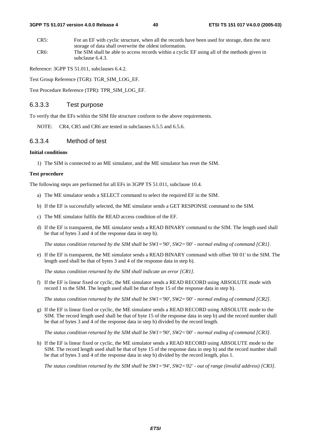CR5: For an EF with cyclic structure, when all the records have been used for storage, then the next storage of data shall overwrite the oldest information. CR6: The SIM shall be able to access records within a cyclic EF using all of the methods given in subclause 6.4.3.

Reference: 3GPP TS 51.011, subclauses 6.4.2.

Test Group Reference (TGR): TGR\_SIM\_LOG\_EF.

Test Procedure Reference (TPR): TPR\_SIM\_LOG\_EF.

### 6.3.3.3 Test purpose

To verify that the EFs within the SIM file structure conform to the above requirements.

NOTE: CR4, CR5 and CR6 are tested in subclauses 6.5.5 and 6.5.6.

# 6.3.3.4 Method of test

#### **Initial conditions**

1) The SIM is connected to an ME simulator, and the ME simulator has reset the SIM.

#### **Test procedure**

The following steps are performed for all EFs in 3GPP TS 51.011, subclause 10.4.

- a) The ME simulator sends a SELECT command to select the required EF in the SIM.
- b) If the EF is successfully selected, the ME simulator sends a GET RESPONSE command to the SIM.
- c) The ME simulator fulfils the READ access condition of the EF.
- d) If the EF is transparent, the ME simulator sends a READ BINARY command to the SIM. The length used shall be that of bytes 3 and 4 of the response data in step b).

 *The status condition returned by the SIM shall be SW1='90', SW2='00' - normal ending of command [CR1].* 

e) If the EF is transparent, the ME simulator sends a READ BINARY command with offset '00 01' to the SIM. The length used shall be that of bytes 3 and 4 of the response data in step b).

*The status condition returned by the SIM shall indicate an error [CR1].* 

f) If the EF is linear fixed or cyclic, the ME simulator sends a READ RECORD using ABSOLUTE mode with record 1 to the SIM. The length used shall be that of byte 15 of the response data in step b).

 *The status condition returned by the SIM shall be SW1='90', SW2='00' - normal ending of command [CR2].* 

g) If the EF is linear fixed or cyclic, the ME simulator sends a READ RECORD using ABSOLUTE mode to the SIM. The record length used shall be that of byte 15 of the response data in step b) and the record number shall be that of bytes 3 and 4 of the response data in step b) divided by the record length.

 *The status condition returned by the SIM shall be SW1='90', SW2='00' - normal ending of command [CR3].* 

h) If the EF is linear fixed or cyclic, the ME simulator sends a READ RECORD using ABSOLUTE mode to the SIM. The record length used shall be that of byte 15 of the response data in step b) and the record number shall be that of bytes 3 and 4 of the response data in step b) divided by the record length, plus 1.

*The status condition returned by the SIM shall be SW1='94', SW2='02' - out of range (invalid address) [CR3].*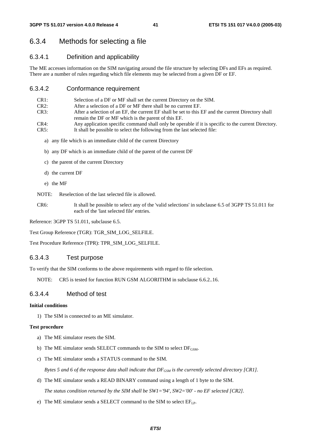# 6.3.4 Methods for selecting a file

## 6.3.4.1 Definition and applicability

The ME accesses information on the SIM navigating around the file structure by selecting DFs and EFs as required. There are a number of rules regarding which file elements may be selected from a given DF or EF.

# 6.3.4.2 Conformance requirement

| CR <sub>1</sub> : | Selection of a DF or MF shall set the current Directory on the SIM.                                 |
|-------------------|-----------------------------------------------------------------------------------------------------|
| CR2:              | After a selection of a DF or MF there shall be no current EF.                                       |
| CR3:              | After a selection of an EF, the current EF shall be set to this EF and the current Directory shall  |
|                   | remain the DF or MF which is the parent of this EF.                                                 |
| CR4:              | Any application specific command shall only be operable if it is specific to the current Directory. |
| CR5:              | It shall be possible to select the following from the last selected file:                           |

- a) any file which is an immediate child of the current Directory
- b) any DF which is an immediate child of the parent of the current DF
- c) the parent of the current Directory
- d) the current DF
- e) the MF
- NOTE: Reselection of the last selected file is allowed.
- CR6: It shall be possible to select any of the 'valid selections' in subclause 6.5 of 3GPP TS 51.011 for each of the 'last selected file' entries.

Reference: 3GPP TS 51.011, subclause 6.5.

Test Group Reference (TGR): TGR\_SIM\_LOG\_SELFILE.

Test Procedure Reference (TPR): TPR\_SIM\_LOG\_SELFILE.

## 6.3.4.3 Test purpose

To verify that the SIM conforms to the above requirements with regard to file selection.

NOTE: CR5 is tested for function RUN GSM ALGORITHM in subclause 6.6.2..16.

# 6.3.4.4 Method of test

#### **Initial conditions**

1) The SIM is connected to an ME simulator.

#### **Test procedure**

- a) The ME simulator resets the SIM.
- b) The ME simulator sends SELECT commands to the SIM to select  $DF_{GSM}$ .
- c) The ME simulator sends a STATUS command to the SIM.

*Bytes 5 and 6 of the response data shall indicate that*  $DF_{GSM}$  *is the currently selected directory [CR1].* 

d) The ME simulator sends a READ BINARY command using a length of 1 byte to the SIM.

 *The status condition returned by the SIM shall be SW1='94', SW2='00' - no EF selected [CR2].* 

e) The ME simulator sends a SELECT command to the SIM to select  $EF_{LP}$ .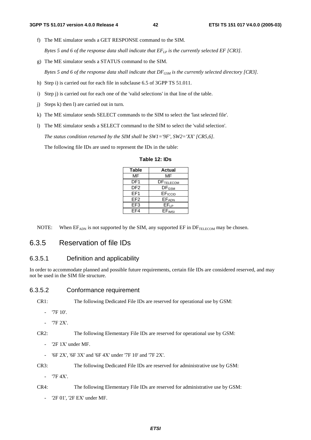f) The ME simulator sends a GET RESPONSE command to the SIM.

*Bytes 5 and 6 of the response data shall indicate that*  $E_{LP}$  *is the currently selected EF [CR3].* 

g) The ME simulator sends a STATUS command to the SIM.

*Bytes 5 and 6 of the response data shall indicate that DF<sub>GSM</sub> is the currently selected directory [CR3].* 

- h) Step i) is carried out for each file in subclause 6.5 of 3GPP TS 51.011.
- i) Step j) is carried out for each one of the 'valid selections' in that line of the table.
- j) Steps k) then l) are carried out in turn.
- k) The ME simulator sends SELECT commands to the SIM to select the 'last selected file'.
- l) The ME simulator sends a SELECT command to the SIM to select the 'valid selection'.

 *The status condition returned by the SIM shall be SW1='9F', SW2='XX' [CR5,6].* 

The following file IDs are used to represent the IDs in the table:

**Table 12: IDs** 

| <b>Table</b>    | <b>Actual</b> |
|-----------------|---------------|
| MF              | MF            |
| DF1             | DFTELECOM     |
| DF <sub>2</sub> | $DF_{GSM}$    |
| EF1             | EFICCID       |
| FF2             | <b>EFADN</b>  |
| EF <sub>3</sub> | $EF_{LP}$     |
| FF4             | EFIMSI        |

NOTE: When  $EF_{ADN}$  is not supported by the SIM, any supported  $EF$  in  $DF_{TEECOM}$  may be chosen.

# 6.3.5 Reservation of file IDs

# 6.3.5.1 Definition and applicability

In order to accommodate planned and possible future requirements, certain file IDs are considered reserved, and may not be used in the SIM file structure.

# 6.3.5.2 Conformance requirement

CR1: The following Dedicated File IDs are reserved for operational use by GSM:

- '7F 10'.
- '7F 2X'.

CR2: The following Elementary File IDs are reserved for operational use by GSM:

- '2F 1X' under MF.
- '6F 2X', '6F 3X' and '6F 4X' under '7F 10' and '7F 2X'.
- CR3: The following Dedicated File IDs are reserved for administrative use by GSM:
	- '7F 4X'.

CR4: The following Elementary File IDs are reserved for administrative use by GSM:

'2F 01', '2F EX' under MF.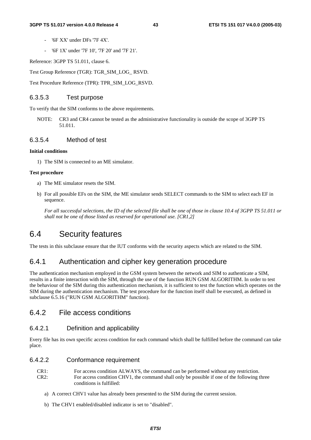- '6F XX' under DFs '7F 4X'.
- '6F 1X' under '7F 10', '7F 20' and '7F 21'.

Reference: 3GPP TS 51.011, clause 6.

Test Group Reference (TGR): TGR\_SIM\_LOG\_ RSVD.

Test Procedure Reference (TPR): TPR\_SIM\_LOG\_RSVD.

# 6.3.5.3 Test purpose

To verify that the SIM conforms to the above requirements.

NOTE: CR3 and CR4 cannot be tested as the administrative functionality is outside the scope of 3GPP TS 51.011.

#### 6.3.5.4 Method of test

#### **Initial conditions**

1) The SIM is connected to an ME simulator.

#### **Test procedure**

- a) The ME simulator resets the SIM.
- b) For all possible EFs on the SIM, the ME simulator sends SELECT commands to the SIM to select each EF in sequence.

 *For all successful selections, the ID of the selected file shall be one of those in clause 10.4 of 3GPP TS 51.011 or shall not be one of those listed as reserved for operational use. [CR1,2]* 

# 6.4 Security features

The tests in this subclause ensure that the IUT conforms with the security aspects which are related to the SIM.

# 6.4.1 Authentication and cipher key generation procedure

The authentication mechanism employed in the GSM system between the network and SIM to authenticate a SIM, results in a finite interaction with the SIM, through the use of the function RUN GSM ALGORITHM. In order to test the behaviour of the SIM during this authentication mechanism, it is sufficient to test the function which operates on the SIM during the authentication mechanism. The test procedure for the function itself shall be executed, as defined in subclause 6.5.16 ("RUN GSM ALGORITHM" function).

# 6.4.2 File access conditions

# 6.4.2.1 Definition and applicability

Every file has its own specific access condition for each command which shall be fulfilled before the command can take place.

### 6.4.2.2 Conformance requirement

| CR1: | For access condition ALWAYS, the command can be performed without any restriction.          |
|------|---------------------------------------------------------------------------------------------|
| CR2: | For access condition CHV1, the command shall only be possible if one of the following three |
|      | conditions is fulfilled:                                                                    |

- a) A correct CHV1 value has already been presented to the SIM during the current session.
- b) The CHV1 enabled/disabled indicator is set to "disabled".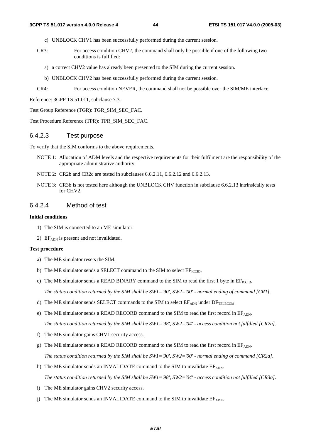- c) UNBLOCK CHV1 has been successfully performed during the current session.
- CR3: For access condition CHV2, the command shall only be possible if one of the following two conditions is fulfilled:
	- a) a correct CHV2 value has already been presented to the SIM during the current session.
	- b) UNBLOCK CHV2 has been successfully performed during the current session.
- CR4: For access condition NEVER, the command shall not be possible over the SIM/ME interface.

Reference: 3GPP TS 51.011, subclause 7.3.

Test Group Reference (TGR): TGR\_SIM\_SEC\_FAC.

Test Procedure Reference (TPR): TPR\_SIM\_SEC\_FAC.

# 6.4.2.3 Test purpose

To verify that the SIM conforms to the above requirements.

- NOTE 1: Allocation of ADM levels and the respective requirements for their fulfilment are the responsibility of the appropriate administrative authority.
- NOTE 2: CR2b and CR2c are tested in subclauses 6.6.2.11, 6.6.2.12 and 6.6.2.13.
- NOTE 3: CR3b is not tested here although the UNBLOCK CHV function in subclause 6.6.2.13 intrinsically tests for CHV2.

# 6.4.2.4 Method of test

#### **Initial conditions**

- 1) The SIM is connected to an ME simulator.
- 2)  $EF<sub>ADN</sub>$  is present and not invalidated.

## **Test procedure**

- a) The ME simulator resets the SIM.
- b) The ME simulator sends a SELECT command to the SIM to select  $EF_{\text{ICCD}}$ .
- c) The ME simulator sends a READ BINARY command to the SIM to read the first 1 byte in  $EF_{\text{ICCD}}$ .

 *The status condition returned by the SIM shall be SW1='90', SW2='00' - normal ending of command [CR1].* 

- d) The ME simulator sends SELECT commands to the SIM to select  $EF_{ADN}$  under  $DF_{TELECOM}$ .
- e) The ME simulator sends a READ RECORD command to the SIM to read the first record in  $EF_{ADN}$ .

 *The status condition returned by the SIM shall be SW1='98', SW2='04' - access condition not fulfilled [CR2a].* 

- f) The ME simulator gains CHV1 security access.
- g) The ME simulator sends a READ RECORD command to the SIM to read the first record in EFADN.  *The status condition returned by the SIM shall be SW1='90', SW2='00' - normal ending of command [CR2a].*
- h) The ME simulator sends an INVALIDATE command to the SIM to invalidate  $E_{ADN}$ .  *The status condition returned by the SIM shall be SW1='98', SW2='04' - access condition not fulfilled [CR3a].*
- i) The ME simulator gains CHV2 security access.
- j) The ME simulator sends an INVALIDATE command to the SIM to invalidate  $EF_{ADN}$ .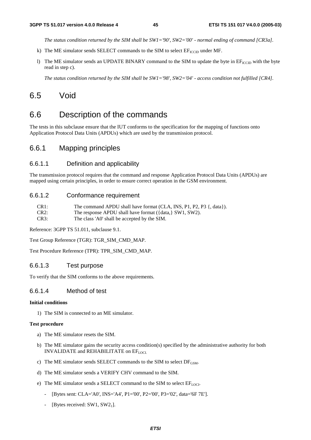*The status condition returned by the SIM shall be SW1='90', SW2='00' - normal ending of command [CR3a].* 

- k) The ME simulator sends SELECT commands to the SIM to select  $EF_{\text{ICCD}}$  under MF.
- l) The ME simulator sends an UPDATE BINARY command to the SIM to update the byte in  $E_{\text{ICCID}}$  with the byte read in step c).

 *The status condition returned by the SIM shall be SW1='98', SW2='04' - access condition not fulfilled [CR4].* 

# 6.5 Void

# 6.6 Description of the commands

The tests in this subclause ensure that the IUT conforms to the specification for the mapping of functions onto Application Protocol Data Units (APDUs) which are used by the transmission protocol.

# 6.6.1 Mapping principles

## 6.6.1.1 Definition and applicability

The transmission protocol requires that the command and response Application Protocol Data Units (APDUs) are mapped using certain principles, in order to ensure correct operation in the GSM environment.

## 6.6.1.2 Conformance requirement

| CR1: | The command APDU shall have format (CLA, INS, P1, P2, P3 {, data}). |
|------|---------------------------------------------------------------------|
|------|---------------------------------------------------------------------|

- CR2: The response APDU shall have format ({data,} SW1, SW2).
- CR3: The class 'A0' shall be accepted by the SIM.

Reference: 3GPP TS 51.011, subclause 9.1.

Test Group Reference (TGR): TGR\_SIM\_CMD\_MAP.

Test Procedure Reference (TPR): TPR\_SIM\_CMD\_MAP.

## 6.6.1.3 Test purpose

To verify that the SIM conforms to the above requirements.

# 6.6.1.4 Method of test

## **Initial conditions**

1) The SIM is connected to an ME simulator.

#### **Test procedure**

- a) The ME simulator resets the SIM.
- b) The ME simulator gains the security access condition(s) specified by the administrative authority for both INVALIDATE and REHABILITATE on EFLOCI.
- c) The ME simulator sends SELECT commands to the SIM to select  $DF_{GSM}$ .
- d) The ME simulator sends a VERIFY CHV command to the SIM.
- e) The ME simulator sends a SELECT command to the SIM to select  $EF_{LOCI}$ .
	- [Bytes sent: CLA='A0', INS='A4', P1='00', P2='00', P3='02', data='6F 7E'].
	- [Bytes received: SW1, SW2<sub>1</sub>].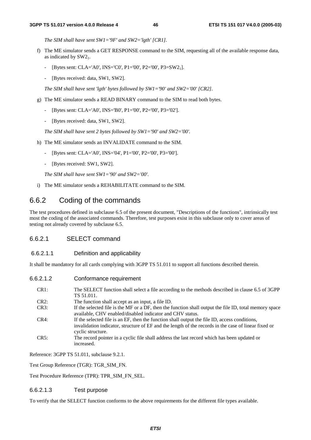*The SIM shall have sent SW1='9F' and SW2='lgth' [CR1].* 

- f) The ME simulator sends a GET RESPONSE command to the SIM, requesting all of the available response data, as indicated by  $SW2_1$ .
	- [Bytes sent: CLA='A0', INS='C0', P1='00', P2='00', P3=SW21].
	- [Bytes received: data, SW1, SW2].

 *The SIM shall have sent 'lgth' bytes followed by SW1='90' and SW2='00' [CR2].* 

- g) The ME simulator sends a READ BINARY command to the SIM to read both bytes.
	- [Bytes sent: CLA='A0', INS='B0', P1='00', P2='00', P3='02'].
	- [Bytes received: data, SW1, SW2].

 *The SIM shall have sent 2 bytes followed by SW1='90' and SW2='00'.* 

- h) The ME simulator sends an INVALIDATE command to the SIM.
	- [Bytes sent: CLA='A0', INS='04', P1='00', P2='00', P3='00'].
	- [Bytes received: SW1, SW2].

 *The SIM shall have sent SW1='90' and SW2='00'.* 

i) The ME simulator sends a REHABILITATE command to the SIM.

# 6.6.2 Coding of the commands

The test procedures defined in subclause 6.5 of the present document, "Descriptions of the functions", intrinsically test most the coding of the associated commands. Therefore, test purposes exist in this subclause only to cover areas of testing not already covered by subclause 6.5.

# 6.6.2.1 SELECT command

# 6.6.2.1.1 Definition and applicability

It shall be mandatory for all cards complying with 3GPP TS 51.011 to support all functions described therein.

6.6.2.1.2 Conformance requirement

| CR1:    | The SELECT function shall select a file according to the methods described in clause 6.5 of 3GPP<br>TS 51.011.                                                                                                             |
|---------|----------------------------------------------------------------------------------------------------------------------------------------------------------------------------------------------------------------------------|
| CR2:    | The function shall accept as an input, a file ID.                                                                                                                                                                          |
| CR3:    | If the selected file is the MF or a DF, then the function shall output the file ID, total memory space<br>available, CHV enabled/disabled indicator and CHV status.                                                        |
| $CR4$ : | If the selected file is an EF, then the function shall output the file ID, access conditions,<br>invalidation indicator, structure of EF and the length of the records in the case of linear fixed or<br>cyclic structure. |
| CR5:    | The record pointer in a cyclic file shall address the last record which has been updated or<br>increased.                                                                                                                  |

Reference: 3GPP TS 51.011, subclause 9.2.1.

Test Group Reference (TGR): TGR\_SIM\_FN.

Test Procedure Reference (TPR): TPR\_SIM\_FN\_SEL.

# 6.6.2.1.3 Test purpose

To verify that the SELECT function conforms to the above requirements for the different file types available.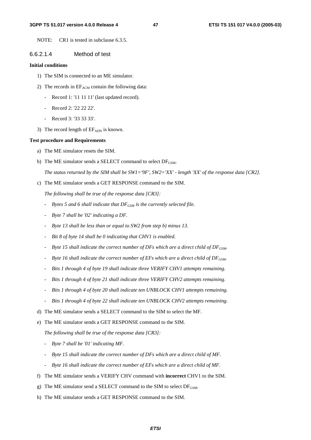#### **3GPP TS 51.017 version 4.0.0 Release 4 47 ETSI TS 151 017 V4.0.0 (2005-03)**

NOTE: CR1 is tested in subclause 6.3.5.

## 6.6.2.1.4 Method of test

#### **Initial conditions**

- 1) The SIM is connected to an ME simulator.
- 2) The records in  $EF_{ACM}$  contain the following data:
	- Record 1: '11 11 11' (last updated record).
	- Record 2: '22 22 22'.
	- Record 3: '33 33 33'.
- 3) The record length of  $EF_{ADN}$  is known.

#### **Test procedure and Requirements**

- a) The ME simulator resets the SIM.
- b) The ME simulator sends a SELECT command to select  $DF_{GSM}$ .

*The status returned by the SIM shall be SW1='9F', SW2='XX' - length 'XX' of the response data [CR2].* 

c) The ME simulator sends a GET RESPONSE command to the SIM.

 *The following shall be true of the response data [CR3]:* 

- *Bytes 5 and 6 shall indicate that DF<sub>GSM</sub> is the currently selected file.*
- *Byte 7 shall be '02' indicating a DF.*
- *Byte 13 shall be less than or equal to SW2 from step b) minus 13.*
- *Bit 8 of byte 14 shall be 0 indicating that CHV1 is enabled.*
- *Byte 15 shall indicate the correct number of DFs which are a direct child of*  $DF_{GSM}$ *.*
- <sup>-</sup> Byte 16 shall indicate the correct number of EFs which are a direct child of DF<sub>GSM</sub>.
- *Bits 1 through 4 of byte 19 shall indicate three VERIFY CHV1 attempts remaining.*
- *Bits 1 through 4 of byte 21 shall indicate three VERIFY CHV2 attempts remaining.*
- Bits 1 through 4 of byte 20 shall indicate ten UNBLOCK CHV1 attempts remaining.
- Bits 1 through 4 of byte 22 shall indicate ten UNBLOCK CHV2 attempts remaining.
- d) The ME simulator sends a SELECT command to the SIM to select the MF.

e) The ME simulator sends a GET RESPONSE command to the SIM.

 *The following shall be true of the response data [CR3]:* 

- *Byte 7 shall be '01' indicating MF.*
- *Byte 15 shall indicate the correct number of DFs which are a direct child of MF.*
- *Byte 16 shall indicate the correct number of EFs which are a direct child of MF.*
- f) The ME simulator sends a VERIFY CHV command with **incorrect** CHV1 to the SIM.
- g) The ME simulator send a SELECT command to the SIM to select  $DF_{GSM}$ .
- h) The ME simulator sends a GET RESPONSE command to the SIM.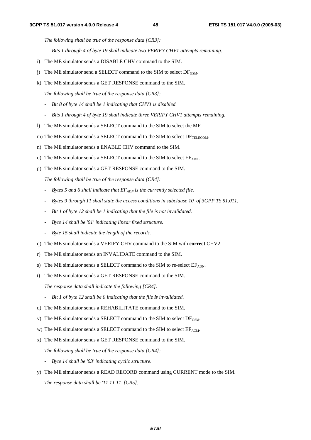*The following shall be true of the response data [CR3]:* 

- *Bits 1 through 4 of byte 19 shall indicate two VERIFY CHV1 attempts remaining.*
- i) The ME simulator sends a DISABLE CHV command to the SIM.
- j) The ME simulator send a SELECT command to the SIM to select  $DF_{GSM}$ .
- k) The ME simulator sends a GET RESPONSE command to the SIM.

 *The following shall be true of the response data [CR3]:* 

- *Bit 8 of byte 14 shall be 1 indicating that CHV1 is disabled.*
- *Bits 1 through 4 of byte 19 shall indicate three VERIFY CHV1 attempts remaining.*
- l) The ME simulator sends a SELECT command to the SIM to select the MF.
- m) The ME simulator sends a SELECT command to the SIM to select  $DF_{TELECOM}$ .
- n) The ME simulator sends a ENABLE CHV command to the SIM.
- o) The ME simulator sends a SELECT command to the SIM to select  $EF_{ADN}$ .
- p) The ME simulator sends a GET RESPONSE command to the SIM.

 *The following shall be true of the response data [CR4]:* 

- *-* Bytes 5 and 6 shall indicate that  $EF_{ADN}$  is the currently selected file.
- *Bytes 9 through 11 shall state the access conditions in subclause 10 of 3GPP TS 51.011.*
- *Bit 1 of byte 12 shall be 1 indicating that the file is not invalidated.*
- *Byte 14 shall be '01' indicating linear fixed structure.*
- *Byte 15 shall indicate the length of the records.*
- q) The ME simulator sends a VERIFY CHV command to the SIM with **correct** CHV2.
- r) The ME simulator sends an INVALIDATE command to the SIM.
- s) The ME simulator sends a SELECT command to the SIM to re-select  $EF_{ADN}$ .
- t) The ME simulator sends a GET RESPONSE command to the SIM.

 *The response data shall indicate the following [CR4]:* 

- *Bit 1 of byte 12 shall be 0 indicating that the file is invalidated.*
- u) The ME simulator sends a REHABILITATE command to the SIM.
- v) The ME simulator sends a SELECT command to the SIM to select  $DF_{GSM}$ .
- w) The ME simulator sends a SELECT command to the SIM to select  $EF_{ACM}$ .
- x) The ME simulator sends a GET RESPONSE command to the SIM.

 *The following shall be true of the response data [CR4]:* 

- *Byte 14 shall be '03' indicating cyclic structure.*
- y) The ME simulator sends a READ RECORD command using CURRENT mode to the SIM.  *The response data shall be '11 11 11' [CR5].*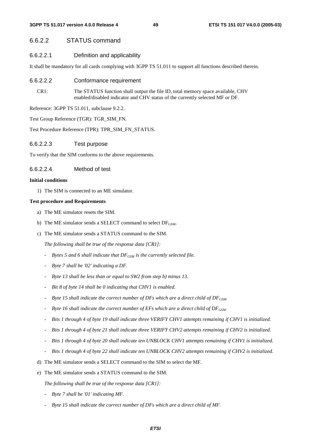# 6.6.2.2 STATUS command

6.6.2.2.1 Definition and applicability

It shall be mandatory for all cards complying with 3GPP TS 51.011 to support all functions described therein.

- 6.6.2.2.2 Conformance requirement
	- CR1: The STATUS function shall output the file ID, total memory space available, CHV enabled/disabled indicator and CHV status of the currently selected MF or DF.

Reference: 3GPP TS 51.011, subclause 9.2.2.

Test Group Reference (TGR): TGR\_SIM\_FN.

Test Procedure Reference (TPR): TPR\_SIM\_FN\_STATUS.

6.6.2.2.3 Test purpose

To verify that the SIM conforms to the above requirements.

## 6.6.2.2.4 Method of test

#### **Initial conditions**

1) The SIM is connected to an ME simulator.

#### **Test procedure and Requirements**

- a) The ME simulator resets the SIM.
- b) The ME simulator sends a SELECT command to select  $DF_{GSM}$ .
- c) The ME simulator sends a STATUS command to the SIM.

 *The following shall be true of the response data [CR1]:* 

- <sup>-</sup> Bytes 5 and 6 shall indicate that DF<sub>GSM</sub> is the currently selected file.
- *Byte 7 shall be '02' indicating a DF.*
- *Byte 13 shall be less than or equal to SW2 from step b) minus 13.*
- *Bit 8 of byte 14 shall be 0 indicating that CHV1 is enabled.*
- Byte 15 shall indicate the correct number of DFs which are a direct child of DF<sub>GSM</sub>.
- *Byte 16 shall indicate the correct number of EFs which are a direct child of DF<sub>GSM</sub>.*
- *Bits 1 through 4 of byte 19 shall indicate three VERIFY CHV1 attempts remaining if CHV1 is initialized.*
- *Bits 1 through 4 of byte 21 shall indicate three VERIFY CHV2 attempts remaining if CHV2 is initialized.*
- *Bits 1 through 4 of byte 20 shall indicate ten UNBLOCK CHV1 attempts remaining if CHV1 is initialized.*
- *Bits 1 through 4 of byte 22 shall indicate ten UNBLOCK CHV2 attempts remaining if CHV2 is initialized.*
- d) The ME simulator sends a SELECT command to the SIM to select the MF.
- e) The ME simulator sends a STATUS command to the SIM.

 *The following shall be true of the response data [CR1]:* 

- *Byte 7 shall be '01' indicating MF.*
- *Byte 15 shall indicate the correct number of DFs which are a direct child of MF.*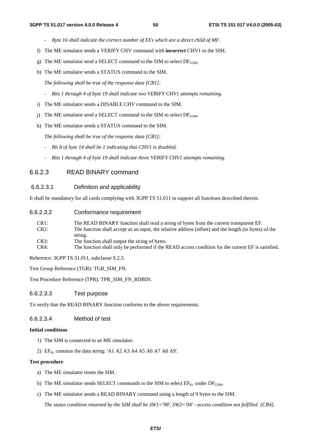- *Byte 16 shall indicate the correct number of EFs which are a direct child of MF.*
- f) The ME simulator sends a VERIFY CHV command with **incorrect** CHV1 to the SIM.
- g) The ME simulator send a SELECT command to the SIM to select  $DF_{GSM}$ .
- h) The ME simulator sends a STATUS command to the SIM.

 *The following shall be true of the response data [CR1]:* 

- *Bits 1 through 4 of byte 19 shall indicate two VERIFY CHV1 attempts remaining.*
- i) The ME simulator sends a DISABLE CHV command to the SIM.
- j) The ME simulator send a SELECT command to the SIM to select  $DF_{GSM}$ .
- k) The ME simulator sends a STATUS command to the SIM.

 *The following shall be true of the response data [CR1]:* 

- *Bit 8 of byte 14 shall be 1 indicating that CHV1 is disabled.*
- *Bits 1 through 4 of byte 19 shall indicate three VERIFY CHV1 attempts remaining.*

## 6.6.2.3 READ BINARY command

#### 6.6.2.3.1 Definition and applicability

It shall be mandatory for all cards complying with 3GPP TS 51.011 to support all functions described therein.

| 6.6.2.3.2 | Conformance requirement |  |
|-----------|-------------------------|--|
|-----------|-------------------------|--|

| CR1: | The READ BINARY function shall read a string of bytes from the current transparent EF.                |
|------|-------------------------------------------------------------------------------------------------------|
| CR2: | The function shall accept as an input, the relative address (offset) and the length (in bytes) of the |
|      | string.                                                                                               |
| CR3: | The function shall output the string of bytes.                                                        |
| CR4: | The function shall only be performed if the READ access condition for the current EF is satisfied.    |

Reference: 3GPP TS 51.011, subclause 9.2.3.

Test Group Reference (TGR): TGR\_SIM\_FN.

Test Procedure Reference (TPR): TPR\_SIM\_FN\_RDBIN.

6.6.2.3.3 Test purpose

To verify that the READ BINARY function conforms to the above requirements.

#### 6.6.2.3.4 Method of test

#### **Initial conditions**

- 1) The SIM is connected to an ME simulator.
- 2)  $EF_{Kc}$  contains the data string: 'A1 A2 A3 A4 A5 A6 A7 A8 A9'.

#### **Test procedure**

- a) The ME simulator resets the SIM.
- b) The ME simulator sends SELECT commands to the SIM to select  $EF_{Kc}$  under  $DF_{GSM}$ .
- c) The ME simulator sends a READ BINARY command using a length of 9 bytes to the SIM.

*The status condition returned by the SIM shall be SW1='98', SW2='04' - access condition not fulfilled [CR4].*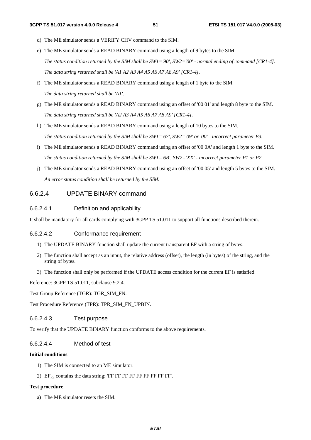- d) The ME simulator sends a VERIFY CHV command to the SIM.
- e) The ME simulator sends a READ BINARY command using a length of 9 bytes to the SIM.  *The status condition returned by the SIM shall be SW1='90', SW2='00' - normal ending of command [CR1-4]. The data string returned shall be 'A1 A2 A3 A4 A5 A6 A7 A8 A9' [CR1-4].*
- f) The ME simulator sends a READ BINARY command using a length of 1 byte to the SIM.  *The data string returned shall be 'A1'.*
- g) The ME simulator sends a READ BINARY command using an offset of '00 01' and length 8 byte to the SIM.  *The data string returned shall be 'A2 A3 A4 A5 A6 A7 A8 A9' [CR1-4].*
- h) The ME simulator sends a READ BINARY command using a length of 10 bytes to the SIM.  *The status condition returned by the SIM shall be SW1='67', SW2='09' or '00' - incorrect parameter P3.*
- i) The ME simulator sends a READ BINARY command using an offset of '00 0A' and length 1 byte to the SIM.  *The status condition returned by the SIM shall be SW1='6B', SW2='XX' - incorrect parameter P1 or P2.*
- j) The ME simulator sends a READ BINARY command using an offset of '00 05' and length 5 bytes to the SIM.  *An error status condition shall be returned by the SIM.*

# 6.6.2.4 UPDATE BINARY command

#### 6.6.2.4.1 Definition and applicability

It shall be mandatory for all cards complying with 3GPP TS 51.011 to support all functions described therein.

# 6.6.2.4.2 Conformance requirement

- 1) The UPDATE BINARY function shall update the current transparent EF with a string of bytes.
- 2) The function shall accept as an input, the relative address (offset), the length (in bytes) of the string, and the string of bytes.
- 3) The function shall only be performed if the UPDATE access condition for the current EF is satisfied.

Reference: 3GPP TS 51.011, subclause 9.2.4.

Test Group Reference (TGR): TGR\_SIM\_FN.

Test Procedure Reference (TPR): TPR\_SIM\_FN\_UPBIN.

## 6.6.2.4.3 Test purpose

To verify that the UPDATE BINARY function conforms to the above requirements.

#### 6.6.2.4.4 Method of test

#### **Initial conditions**

- 1) The SIM is connected to an ME simulator.
- 2)  $EF_{Kc}$  contains the data string: 'FF FF FF FF FF FF FF FF FF'.

#### **Test procedure**

a) The ME simulator resets the SIM.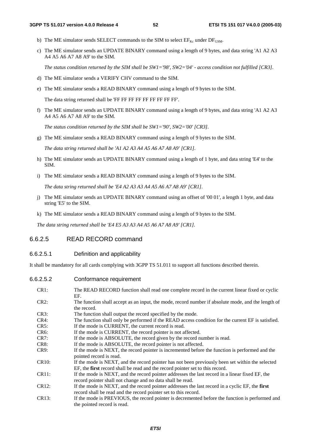- b) The ME simulator sends SELECT commands to the SIM to select  $EF_{Kc}$  under  $DF_{GSM}$ .
- c) The ME simulator sends an UPDATE BINARY command using a length of 9 bytes, and data string 'A1 A2 A3 A4 A5 A6 A7 A8 A9' to the SIM.

 *The status condition returned by the SIM shall be SW1='98', SW2='04' - access condition not fulfilled [CR3].* 

- d) The ME simulator sends a VERIFY CHV command to the SIM.
- e) The ME simulator sends a READ BINARY command using a length of 9 bytes to the SIM.

The data string returned shall be 'FF FF FF FF FF FF FF FF FF'.

f) The ME simulator sends an UPDATE BINARY command using a length of 9 bytes, and data string 'A1 A2 A3 A4 A5 A6 A7 A8 A9' to the SIM.

 *The status condition returned by the SIM shall be SW1='90', SW2='00' [CR3].* 

g) The ME simulator sends a READ BINARY command using a length of 9 bytes to the SIM.

*The data string returned shall be 'A1 A2 A3 A4 A5 A6 A7 A8 A9' [CR1].* 

- h) The ME simulator sends an UPDATE BINARY command using a length of 1 byte, and data string 'E4' to the SIM.
- i) The ME simulator sends a READ BINARY command using a length of 9 bytes to the SIM.

 *The data string returned shall be 'E4 A2 A3 A3 A4 A5 A6 A7 A8 A9' [CR1].* 

- j) The ME simulator sends an UPDATE BINARY command using an offset of '00 01', a length 1 byte, and data string 'E5' to the SIM.
- k) The ME simulator sends a READ BINARY command using a length of 9 bytes to the SIM.

 *The data string returned shall be 'E4 E5 A3 A3 A4 A5 A6 A7 A8 A9' [CR1].*

# 6.6.2.5 READ RECORD command

# 6.6.2.5.1 Definition and applicability

It shall be mandatory for all cards complying with 3GPP TS 51.011 to support all functions described therein.

6.6.2.5.2 Conformance requirement

| CR1:               | The READ RECORD function shall read one complete record in the current linear fixed or cyclic<br>EF.                                                                              |
|--------------------|-----------------------------------------------------------------------------------------------------------------------------------------------------------------------------------|
| $CR2$ :            | The function shall accept as an input, the mode, record number if absolute mode, and the length of<br>the record.                                                                 |
| CR3:               | The function shall output the record specified by the mode.                                                                                                                       |
| $CR4$ :            | The function shall only be performed if the READ access condition for the current EF is satisfied.                                                                                |
| CR5:               | If the mode is CURRENT, the current record is read.                                                                                                                               |
| $CR6$ :            | If the mode is CURRENT, the record pointer is not affected.                                                                                                                       |
| CR7:               | If the mode is ABSOLUTE, the record given by the record number is read.                                                                                                           |
| CR8:               | If the mode is ABSOLUTE, the record pointer is not affected.                                                                                                                      |
| CR9:               | If the mode is NEXT, the record pointer is incremented before the function is performed and the<br>pointed record is read.                                                        |
| CR <sub>10</sub> : | If the mode is NEXT, and the record pointer has not been previously been set within the selected<br>EF, the first record shall be read and the record pointer set to this record. |
| CR11:              | If the mode is NEXT, and the record pointer addresses the last record in a linear fixed EF, the<br>record pointer shall not change and no data shall be read.                     |
| CR12:              | If the mode is NEXT, and the record pointer addresses the last record in a cyclic EF, the first<br>record shall be read and the record pointer set to this record.                |
| CR13:              | If the mode is PREVIOUS, the record pointer is decremented before the function is performed and<br>the pointed record is read.                                                    |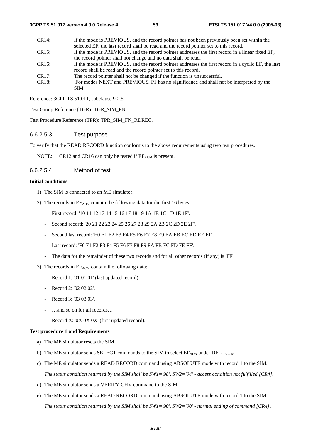| CR14:              | If the mode is PREVIOUS, and the record pointer has not been previously been set within the         |
|--------------------|-----------------------------------------------------------------------------------------------------|
|                    | selected EF, the last record shall be read and the record pointer set to this record.               |
| CR15:              | If the mode is PREVIOUS, and the record pointer addresses the first record in a linear fixed EF,    |
|                    | the record pointer shall not change and no data shall be read.                                      |
| CR <sub>16</sub> : | If the mode is PREVIOUS, and the record pointer addresses the first record in a cyclic EF, the last |
|                    | record shall be read and the record pointer set to this record.                                     |
| CR17:              | The record pointer shall not be changed if the function is unsuccessful.                            |
| CR <sub>18</sub> : | For modes NEXT and PREVIOUS, P1 has no significance and shall not be interpreted by the             |
|                    | SIM.                                                                                                |

Reference: 3GPP TS 51.011, subclause 9.2.5.

Test Group Reference (TGR): TGR\_SIM\_FN.

Test Procedure Reference (TPR): TPR\_SIM\_FN\_RDREC.

# 6.6.2.5.3 Test purpose

To verify that the READ RECORD function conforms to the above requirements using two test procedures.

NOTE: CR12 and CR16 can only be tested if  $EF_{ACM}$  is present.

# 6.6.2.5.4 Method of test

# **Initial conditions**

- 1) The SIM is connected to an ME simulator.
- 2) The records in  $EF<sub>ADN</sub>$  contain the following data for the first 16 bytes:
	- First record: '10 11 12 13 14 15 16 17 18 19 1A 1B 1C 1D 1E 1F'.
	- Second record: '20 21 22 23 24 25 26 27 28 29 2A 2B 2C 2D 2E 2F'.
	- Second last record: 'E0 E1 E2 E3 E4 E5 E6 E7 E8 E9 EA EB EC ED EE EF'.
	- Last record: 'F0 F1 F2 F3 F4 F5 F6 F7 F8 F9 FA FB FC FD FE FF'.
	- The data for the remainder of these two records and for all other records (if any) is 'FF'.
- 3) The records in  $EF_{ACM}$  contain the following data:
	- Record 1: '01 01 01' (last updated record).
	- Record 2: '02 02 02'.
	- Record 3: '03 03 03'.
	- …and so on for all records…
	- Record X: '0X 0X 0X' (first updated record).

# **Test procedure 1 and Requirements**

- a) The ME simulator resets the SIM.
- b) The ME simulator sends SELECT commands to the SIM to select  $EF_{ADN}$  under  $DF_{TELECOM}$ .
- c) The ME simulator sends a READ RECORD command using ABSOLUTE mode with record 1 to the SIM. *The status condition returned by the SIM shall be SW1='98', SW2='04' - access condition not fulfilled [CR4].*
- d) The ME simulator sends a VERIFY CHV command to the SIM.
- e) The ME simulator sends a READ RECORD command using ABSOLUTE mode with record 1 to the SIM. *The status condition returned by the SIM shall be SW1='90', SW2='00' - normal ending of command [CR4].*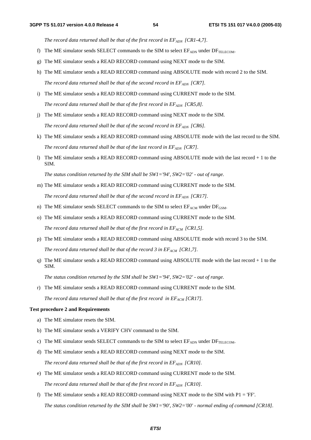The record data returned shall be that of the first record in EF<sub>ADN</sub> [CR1-4,7].

- f) The ME simulator sends SELECT commands to the SIM to select  $EF_{ADN}$  under  $DF_{TELECOM}$ .
- g) The ME simulator sends a READ RECORD command using NEXT mode to the SIM.
- h) The ME simulator sends a READ RECORD command using ABSOLUTE mode with record 2 to the SIM. The record data returned shall be that of the second record in  $EF_{ADN}$  [CR7].
- i) The ME simulator sends a READ RECORD command using CURRENT mode to the SIM. *The record data returned shall be that of the first record in*  $EF_{ADM}$  *[CR5,8].*
- j) The ME simulator sends a READ RECORD command using NEXT mode to the SIM. *The record data returned shall be that of the second record in*  $EF_{ADN}$  *[CR6].*
- k) The ME simulator sends a READ RECORD command using ABSOLUTE mode with the last record to the SIM. *The record data returned shall be that of the last record in*  $EF_{ADN}$  *[CR7].*
- l) The ME simulator sends a READ RECORD command using ABSOLUTE mode with the last record + 1 to the SIM.

*The status condition returned by the SIM shall be SW1='94', SW2='02' - out of range.* 

m) The ME simulator sends a READ RECORD command using CURRENT mode to the SIM.

The record data returned shall be that of the second record in  $EF_{ADN}$  [CR17].

- n) The ME simulator sends SELECT commands to the SIM to select  $E_{ACM}$  under  $DF_{GSM}$ .
- o) The ME simulator sends a READ RECORD command using CURRENT mode to the SIM. The record data returned shall be that of the first record in  $EF_{ACM}$  [CR1,5].
- p) The ME simulator sends a READ RECORD command using ABSOLUTE mode with record 3 to the SIM. The record data returned shall be that of the record 3 in  $EF_{ACM}$  [CR1,7].
- q) The ME simulator sends a READ RECORD command using ABSOLUTE mode with the last record  $+1$  to the SIM.

*The status condition returned by the SIM shall be SW1='94', SW2='02' - out of range.* 

r) The ME simulator sends a READ RECORD command using CURRENT mode to the SIM. The record data returned shall be that of the first record in  $EF_{ACM}$  [CR17].

#### **Test procedure 2 and Requirements**

- a) The ME simulator resets the SIM.
- b) The ME simulator sends a VERIFY CHV command to the SIM.
- c) The ME simulator sends SELECT commands to the SIM to select  $EF_{ADN}$  under  $DF_{TELFGOM}$ .
- d) The ME simulator sends a READ RECORD command using NEXT mode to the SIM. The record data returned shall be that of the first record in EF<sub>ADN</sub> [CR10].
- e) The ME simulator sends a READ RECORD command using CURRENT mode to the SIM. The record data returned shall be that of the first record in  $EF_{ADN}$  [CR10].
- f) The ME simulator sends a READ RECORD command using NEXT mode to the SIM with  $P1 = 'FF'.$ *The status condition returned by the SIM shall be SW1='90', SW2='00' - normal ending of command [CR18].*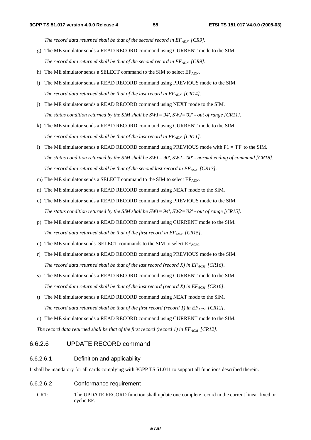The record data returned shall be that of the second record in EF<sub>ADN</sub> [CR9].

- g) The ME simulator sends a READ RECORD command using CURRENT mode to the SIM. *The record data returned shall be that of the second record in*  $EF_{ADN}$  *[CR9].*
- h) The ME simulator sends a SELECT command to the SIM to select  $EF_{ADN}$ .
- i) The ME simulator sends a READ RECORD command using PREVIOUS mode to the SIM. The record data returned shall be that of the last record in  $EF_{ADN}$  [CR14].
- j) The ME simulator sends a READ RECORD command using NEXT mode to the SIM. *The status condition returned by the SIM shall be SW1='94', SW2='02' - out of range [CR11].*
- k) The ME simulator sends a READ RECORD command using CURRENT mode to the SIM. *The record data returned shall be that of the last record in*  $EF_{ADN}$  *[CR11].*
- l) The ME simulator sends a READ RECORD command using PREVIOUS mode with  $P1 = 'FF'$  to the SIM. *The status condition returned by the SIM shall be SW1='90', SW2='00' - normal ending of command [CR18].*  The record data returned shall be that of the second last record in  $EF_{ADN}$  [CR13].
- m) The ME simulator sends a SELECT command to the SIM to select  $EF_{ADN}$ .
- n) The ME simulator sends a READ RECORD command using NEXT mode to the SIM.
- o) The ME simulator sends a READ RECORD command using PREVIOUS mode to the SIM. *The status condition returned by the SIM shall be SW1='94', SW2='02' - out of range [CR15].*
- p) The ME simulator sends a READ RECORD command using CURRENT mode to the SIM. *The record data returned shall be that of the first record in EF<sub>ADN</sub> [CR15].*
- q) The ME simulator sends SELECT commands to the SIM to select  $EF_{ACM}$ .
- r) The ME simulator sends a READ RECORD command using PREVIOUS mode to the SIM. *The record data returned shall be that of the last record (record X) in*  $EF_{ACM}$  *[CR16].*
- s) The ME simulator sends a READ RECORD command using CURRENT mode to the SIM. The record data returned shall be that of the last record (record X) in  $EF_{ACM}$  [CR16].
- t) The ME simulator sends a READ RECORD command using NEXT mode to the SIM. The record data returned shall be that of the first record (record 1) in  $EF_{ACM}$  [CR12].
- u) The ME simulator sends a READ RECORD command using CURRENT mode to the SIM. *The record data returned shall be that of the first record (record 1) in*  $EF_{ACM}$  *[CR12].*

# 6.6.2.6 UPDATE RECORD command

# 6.6.2.6.1 Definition and applicability

It shall be mandatory for all cards complying with 3GPP TS 51.011 to support all functions described therein.

- 6.6.2.6.2 Conformance requirement
	- CR1: The UPDATE RECORD function shall update one complete record in the current linear fixed or cyclic EF.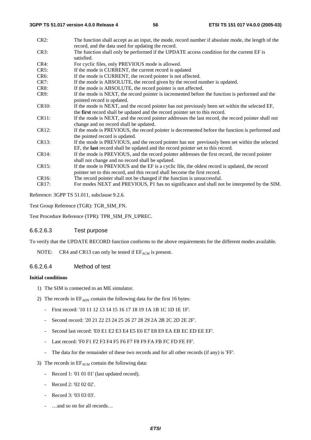| $CR2$ :            | The function shall accept as an input, the mode, record number if absolute mode, the length of the<br>record, and the data used for updating the record.                           |
|--------------------|------------------------------------------------------------------------------------------------------------------------------------------------------------------------------------|
| CR3:               | The function shall only be performed if the UPDATE access condition for the current EF is<br>satisfied.                                                                            |
| $CR4$ :            | For cyclic files, only PREVIOUS mode is allowed.                                                                                                                                   |
| CR5:               | If the mode is CURRENT, the current record is updated                                                                                                                              |
| $CR6$ :            | If the mode is CURRENT, the record pointer is not affected.                                                                                                                        |
| CR7:               | If the mode is ABSOLUTE, the record given by the record number is updated.                                                                                                         |
| CR8:               | If the mode is ABSOLUTE, the record pointer is not affected.                                                                                                                       |
| CR9:               | If the mode is NEXT, the record pointer is incremented before the function is performed and the<br>pointed record is updated.                                                      |
| CR <sub>10</sub> : | If the mode is NEXT, and the record pointer has not previously been set within the selected EF,                                                                                    |
|                    | the first record shall be updated and the record pointer set to this record.                                                                                                       |
| CR11:              | If the mode is NEXT, and the record pointer addresses the last record, the record pointer shall not<br>change and no record shall be updated.                                      |
| CR12:              | If the mode is PREVIOUS, the record pointer is decremented before the function is performed and<br>the pointed record is updated.                                                  |
| CR13:              | If the mode is PREVIOUS, and the record pointer has not previously been set within the selected<br>EF, the last record shall be updated and the record pointer set to this record. |
| CR14:              | If the mode is PREVIOUS, and the record pointer addresses the first record, the record pointer<br>shall not change and no record shall be updated.                                 |
| CR15:              | If the mode is PREVIOUS and the EF is a cyclic file, the oldest record is updated, the record<br>pointer set to this record, and this record shall become the first record.        |
| CR16:              | The record pointer shall not be changed if the function is unsuccessful.                                                                                                           |
| CR17:              | For modes NEXT and PREVIOUS, P1 has no significance and shall not be interpreted by the SIM.                                                                                       |

Reference: 3GPP TS 51.011, subclause 9.2.6.

Test Group Reference (TGR): TGR\_SIM\_FN.

Test Procedure Reference (TPR): TPR\_SIM\_FN\_UPREC.

#### 6.6.2.6.3 Test purpose

To verify that the UPDATE RECORD function conforms to the above requirements for the different modes available.

NOTE: CR4 and CR13 can only be tested if  $EF_{ACM}$  is present.

# 6.6.2.6.4 Method of test

## **Initial conditions**

- 1) The SIM is connected to an ME simulator.
- 2) The records in  $EF_{\text{ADN}}$  contain the following data for the first 16 bytes:
	- First record: '10 11 12 13 14 15 16 17 18 19 1A 1B 1C 1D 1E 1F'.
	- Second record: '20 21 22 23 24 25 26 27 28 29 2A 2B 2C 2D 2E 2F'.
	- Second last record: 'E0 E1 E2 E3 E4 E5 E6 E7 E8 E9 EA EB EC ED EE EF'.
	- Last record: 'F0 F1 F2 F3 F4 F5 F6 F7 F8 F9 FA FB FC FD FE FF'.
	- The data for the remainder of these two records and for all other records (if any) is 'FF'.
- 3) The records in  $EF_{ACM}$  contain the following data:
	- Record 1: '01 01 01' (last updated record).
	- Record 2: '02 02 02'.
	- Record 3: '03 03 03'.
	- ...and so on for all records...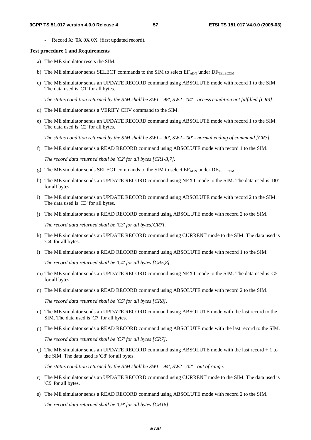Record X: '0X 0X 0X' (first updated record).

#### **Test procedure 1 and Requirements**

- a) The ME simulator resets the SIM.
- b) The ME simulator sends SELECT commands to the SIM to select  $EF_{ADN}$  under  $DF_{TELECOM}$ .
- c) The ME simulator sends an UPDATE RECORD command using ABSOLUTE mode with record 1 to the SIM. The data used is 'C1' for all bytes.

*The status condition returned by the SIM shall be SW1='98', SW2='04' - access condition not fulfilled [CR3].* 

- d) The ME simulator sends a VERIFY CHV command to the SIM.
- e) The ME simulator sends an UPDATE RECORD command using ABSOLUTE mode with record 1 to the SIM. The data used is 'C2' for all bytes.

*The status condition returned by the SIM shall be SW1='90', SW2='00' - normal ending of command [CR3].* 

f) The ME simulator sends a READ RECORD command using ABSOLUTE mode with record 1 to the SIM.

*The record data returned shall be 'C2' for all bytes [CR1-3,7].* 

- g) The ME simulator sends SELECT commands to the SIM to select  $EF_{ADN}$  under  $DF_{TEEFCOM}$ .
- h) The ME simulator sends an UPDATE RECORD command using NEXT mode to the SIM. The data used is 'D0' for all bytes.
- i) The ME simulator sends an UPDATE RECORD command using ABSOLUTE mode with record 2 to the SIM. The data used is 'C3' for all bytes.
- j) The ME simulator sends a READ RECORD command using ABSOLUTE mode with record 2 to the SIM.

*The record data returned shall be 'C3' for all bytes[CR7].* 

- k) The ME simulator sends an UPDATE RECORD command using CURRENT mode to the SIM. The data used is 'C4' for all bytes.
- l) The ME simulator sends a READ RECORD command using ABSOLUTE mode with record 1 to the SIM.

*The record data returned shall be 'C4' for all bytes [CR5,8].* 

- m) The ME simulator sends an UPDATE RECORD command using NEXT mode to the SIM. The data used is 'C5' for all bytes.
- n) The ME simulator sends a READ RECORD command using ABSOLUTE mode with record 2 to the SIM.

*The record data returned shall be 'C5' for all bytes [CR8].* 

- o) The ME simulator sends an UPDATE RECORD command using ABSOLUTE mode with the last record to the SIM. The data used is 'C7' for all bytes.
- p) The ME simulator sends a READ RECORD command using ABSOLUTE mode with the last record to the SIM. *The record data returned shall be 'C7' for all bytes [CR7].*
- q) The ME simulator sends an UPDATE RECORD command using ABSOLUTE mode with the last record + 1 to the SIM. The data used is 'C8' for all bytes.

*The status condition returned by the SIM shall be SW1='94', SW2='02' - out of range.* 

- r) The ME simulator sends an UPDATE RECORD command using CURRENT mode to the SIM. The data used is 'C9' for all bytes.
- s) The ME simulator sends a READ RECORD command using ABSOLUTE mode with record 2 to the SIM.

*The record data returned shall be 'C9' for all bytes [CR16].*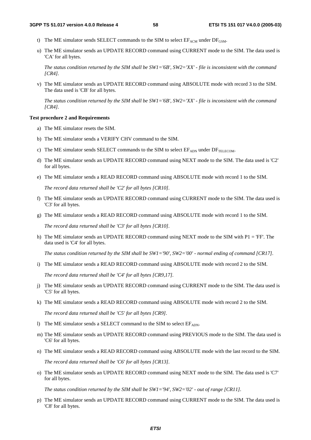- t) The ME simulator sends SELECT commands to the SIM to select  $EF_{ACM}$  under  $DF_{GSM}$ .
- u) The ME simulator sends an UPDATE RECORD command using CURRENT mode to the SIM. The data used is 'CA' for all bytes.

*The status condition returned by the SIM shall be SW1='6B', SW2='XX' - file is inconsistent with the command [CR4].* 

v) The ME simulator sends an UPDATE RECORD command using ABSOLUTE mode with record 3 to the SIM. The data used is 'CB' for all bytes.

*The status condition returned by the SIM shall be SW1='6B', SW2='XX' - file is inconsistent with the command [CR4].* 

#### **Test procedure 2 and Requirements**

- a) The ME simulator resets the SIM.
- b) The ME simulator sends a VERIFY CHV command to the SIM.
- c) The ME simulator sends SELECT commands to the SIM to select  $EF_{\text{ADN}}$  under  $DF_{\text{TELECOM}}$ .
- d) The ME simulator sends an UPDATE RECORD command using NEXT mode to the SIM. The data used is 'C2' for all bytes.
- e) The ME simulator sends a READ RECORD command using ABSOLUTE mode with record 1 to the SIM.

*The record data returned shall be 'C2' for all bytes [CR10].* 

- f) The ME simulator sends an UPDATE RECORD command using CURRENT mode to the SIM. The data used is 'C3' for all bytes.
- g) The ME simulator sends a READ RECORD command using ABSOLUTE mode with record 1 to the SIM. *The record data returned shall be 'C3' for all bytes [CR10].*
- h) The ME simulator sends an UPDATE RECORD command using NEXT mode to the SIM with P1 = 'FF'. The data used is 'C4' for all bytes.

*The status condition returned by the SIM shall be SW1='90', SW2='00' - normal ending of command [CR17].* 

- i) The ME simulator sends a READ RECORD command using ABSOLUTE mode with record 2 to the SIM. *The record data returned shall be 'C4' for all bytes [CR9,17].*
- j) The ME simulator sends an UPDATE RECORD command using CURRENT mode to the SIM. The data used is 'C5' for all bytes.
- k) The ME simulator sends a READ RECORD command using ABSOLUTE mode with record 2 to the SIM.

*The record data returned shall be 'C5' for all bytes [CR9].* 

- l) The ME simulator sends a SELECT command to the SIM to select  $EF_{ADN}$ .
- m) The ME simulator sends an UPDATE RECORD command using PREVIOUS mode to the SIM. The data used is 'C6' for all bytes.
- n) The ME simulator sends a READ RECORD command using ABSOLUTE mode with the last record to the SIM. *The record data returned shall be 'C6' for all bytes [CR13].*
- o) The ME simulator sends an UPDATE RECORD command using NEXT mode to the SIM. The data used is 'C7' for all bytes.

*The status condition returned by the SIM shall be SW1='94', SW2='02' - out of range [CR11].* 

p) The ME simulator sends an UPDATE RECORD command using CURRENT mode to the SIM. The data used is 'C8' for all bytes.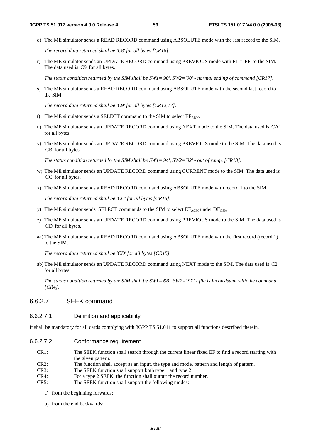q) The ME simulator sends a READ RECORD command using ABSOLUTE mode with the last record to the SIM.

*The record data returned shall be 'C8' for all bytes [CR16].* 

r) The ME simulator sends an UPDATE RECORD command using PREVIOUS mode with  $P1 = 'FF'$  to the SIM. The data used is 'C9' for all bytes.

*The status condition returned by the SIM shall be SW1='90', SW2='00' - normal ending of command [CR17].* 

s) The ME simulator sends a READ RECORD command using ABSOLUTE mode with the second last record to the SIM.

*The record data returned shall be 'C9' for all bytes [CR12,17].* 

- t) The ME simulator sends a SELECT command to the SIM to select  $EF_{ADN}$ .
- u) The ME simulator sends an UPDATE RECORD command using NEXT mode to the SIM. The data used is 'CA' for all bytes.
- v) The ME simulator sends an UPDATE RECORD command using PREVIOUS mode to the SIM. The data used is 'CB' for all bytes.

*The status condition returned by the SIM shall be SW1='94', SW2='02' - out of range [CR13].* 

- w) The ME simulator sends an UPDATE RECORD command using CURRENT mode to the SIM. The data used is 'CC' for all bytes.
- x) The ME simulator sends a READ RECORD command using ABSOLUTE mode with record 1 to the SIM.

*The record data returned shall be 'CC' for all bytes [CR16].* 

- y) The ME simulator sends SELECT commands to the SIM to select  $E_{ACM}$  under  $DF_{GSM}$ .
- z) The ME simulator sends an UPDATE RECORD command using PREVIOUS mode to the SIM. The data used is 'CD' for all bytes.
- aa) The ME simulator sends a READ RECORD command using ABSOLUTE mode with the first record (record 1) to the SIM.

*The record data returned shall be 'CD' for all bytes [CR15].* 

ab) The ME simulator sends an UPDATE RECORD command using NEXT mode to the SIM. The data used is 'C2' for all bytes.

 *The status condition returned by the SIM shall be SW1='6B', SW2='XX' - file is inconsistent with the command [CR4].* 

# 6.6.2.7 SEEK command

# 6.6.2.7.1 Definition and applicability

It shall be mandatory for all cards complying with 3GPP TS 51.011 to support all functions described therein.

- 6.6.2.7.2 Conformance requirement
	- CR1: The SEEK function shall search through the current linear fixed EF to find a record starting with the given pattern.
	- CR2: The function shall accept as an input, the type and mode, pattern and length of pattern.
	- CR3: The SEEK function shall support both type 1 and type 2.
	- CR4: For a type 2 SEEK, the function shall output the record number.
	- CR5: The SEEK function shall support the following modes:
		- a) from the beginning forwards;
		- b) from the end backwards;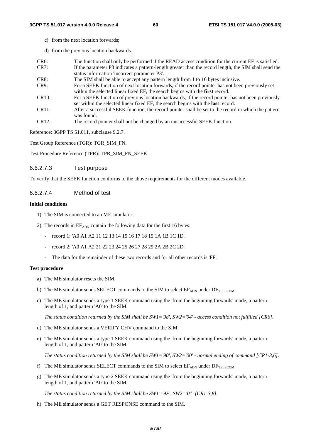- c) from the next location forwards;
- d) from the previous location backwards.

| $CR6$ : | The function shall only be performed if the READ access condition for the current EF is satisfied.    |
|---------|-------------------------------------------------------------------------------------------------------|
| CR7:    | If the parameter P3 indicates a pattern-length greater than the record length, the SIM shall send the |
|         | status information 'incorrect parameter P3'.                                                          |

- CR8: The SIM shall be able to accept any pattern length from 1 to 16 bytes inclusive.
- CR9: For a SEEK function of next location forwards, if the record pointer has not been previously set within the selected linear fixed EF, the search begins with the **first** record.
- CR10: For a SEEK function of previous location backwards, if the record pointer has not been previously set within the selected linear fixed EF, the search begins with the **last** record.
- CR11: After a successful SEEK function, the record pointer shall be set to the record in which the pattern was found.
- CR12: The record pointer shall not be changed by an unsuccessful SEEK function.

Reference: 3GPP TS 51.011, subclause 9.2.7.

Test Group Reference (TGR): TGR\_SIM\_FN.

Test Procedure Reference (TPR): TPR\_SIM\_FN\_SEEK.

## 6.6.2.7.3 Test purpose

To verify that the SEEK function conforms to the above requirements for the different modes available.

# 6.6.2.7.4 Method of test

#### **Initial conditions**

- 1) The SIM is connected to an ME simulator.
- 2) The records in  $EF_{ADN}$  contain the following data for the first 16 bytes:
	- record 1: 'A0 A1 A2 11 12 13 14 15 16 17 18 19 1A 1B 1C 1D'.
	- record 2: 'A0 A1 A2 21 22 23 24 25 26 27 28 29 2A 2B 2C 2D'.
	- The data for the remainder of these two records and for all other records is 'FF'.

#### **Test procedure**

- a) The ME simulator resets the SIM.
- b) The ME simulator sends SELECT commands to the SIM to select  $EF_{ADN}$  under  $DF_{TELECOM}$ .
- c) The ME simulator sends a type 1 SEEK command using the 'from the beginning forwards' mode, a patternlength of 1, and pattern 'A0' to the SIM.

*The status condition returned by the SIM shall be SW1='98', SW2='04' - access condition not fulfilled [CR6].* 

- d) The ME simulator sends a VERIFY CHV command to the SIM.
- e) The ME simulator sends a type 1 SEEK command using the 'from the beginning forwards' mode, a patternlength of 1, and pattern 'A0' to the SIM.

*The status condition returned by the SIM shall be SW1='90', SW2='00' - normal ending of command [CR1-3,6].* 

- f) The ME simulator sends SELECT commands to the SIM to select  $EF_{ADN}$  under  $DF_{TELECOM}$ .
- g) The ME simulator sends a type 2 SEEK command using the 'from the beginning forwards' mode, a patternlength of 1, and pattern 'A0' to the SIM.

*The status condition returned by the SIM shall be SW1='9F', SW2='01' [CR1-3,8].* 

h) The ME simulator sends a GET RESPONSE command to the SIM.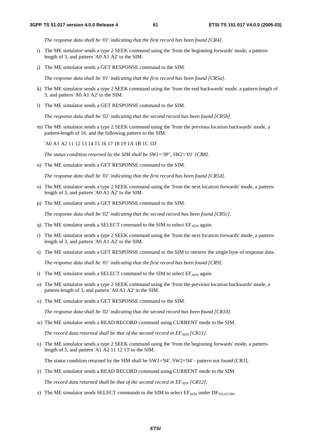*The response data shall be '01' indicating that the first record has been found [CR4].* 

- i) The ME simulator sends a type 2 SEEK command using the 'from the beginning forwards' mode, a patternlength of 3, and pattern 'A0 A1 A2' to the SIM.
- j) The ME simulator sends a GET RESPONSE command to the SIM.

 *The response data shall be '01' indicating that the first record has been found [CR5a].* 

- k) The ME simulator sends a type 2 SEEK command using the 'from the end backwards' mode, a pattern-length of 3, and pattern 'A0 A1 A2' to the SIM.
- l) The ME simulator sends a GET RESPONSE command to the SIM.

 *The response data shall be '02' indicating that the second record has been found [CR5b].* 

m) The ME simulator sends a type 2 SEEK command using the 'from the previous location backwards' mode, a pattern-length of 16, and the following pattern to the SIM:

'A0 A1 A2 11 12 13 14 15 16 17 18 19 1A 1B 1C 1D'

*The status condition returned by the SIM shall be SW1='9F', SW2='01' [CR8].* 

n) The ME simulator sends a GET RESPONSE command to the SIM.

 *The response data shall be '01' indicating that the first record has been found [CR5d].* 

- o) The ME simulator sends a type 2 SEEK command using the 'from the next location forwards' mode, a patternlength of 3, and pattern 'A0 A1 A2' to the SIM.
- p) The ME simulator sends a GET RESPONSE command to the SIM.

 *The response data shall be '02' indicating that the second record has been found [CR5c].* 

- q) The ME simulator sends a SELECT command to the SIM to select  $EF_{ADN}$  again.
- r) The ME simulator sends a type 2 SEEK command using the 'from the next location forwards' mode, a patternlength of 3, and pattern 'A0 A1 A2' to the SIM.
- s) The ME simulator sends a GET RESPONSE command to the SIM to retrieve the single byte of response data.

 *The response data shall be '01' indicating that the first record has been found [CR9].* 

- t) The ME simulator sends a SELECT command to the SIM to select  $EF_{ADN}$  again.
- u) The ME simulator sends a type 2 SEEK command using the 'from the previous location backwards' mode, a pattern-length of 3, and pattern 'A0 A1 A2' to the SIM.
- v) The ME simulator sends a GET RESPONSE command to the SIM.

 *The response data shall be '02' indicating that the second record has been found [CR10].* 

w) The ME simulator sends a READ RECORD command using CURRENT mode to the SIM.

The record data returned shall be that of the second record in  $EF_{ADM}$  [CR11].

x) The ME simulator sends a type 2 SEEK command using the 'from the beginning forwards' mode, a patternlength of 5, and pattern 'A1 A2 11 12 13' to the SIM.

The status condition returned by the SIM shall be SW1='94', SW2='04' - pattern not found [CR1].

y) The ME simulator sends a READ RECORD command using CURRENT mode to the SIM.

*The record data returned shall be that of the second record in*  $EF_{ADN}$  *[CR12].* 

z) The ME simulator sends SELECT commands to the SIM to select  $E_{\text{ADM}}$  under  $DF_{\text{TELECOM}}$ .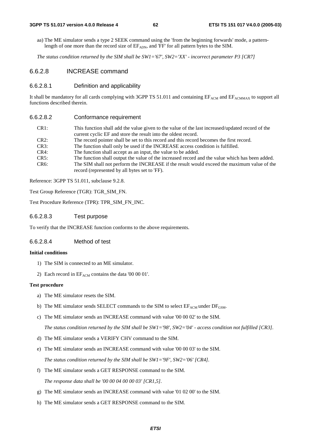#### **3GPP TS 51.017 version 4.0.0 Release 4 62 ETSI TS 151 017 V4.0.0 (2005-03)**

aa) The ME simulator sends a type 2 SEEK command using the 'from the beginning forwards' mode, a patternlength of one more than the record size of EFADN, and 'FF' for all pattern bytes to the SIM.

 *The status condition returned by the SIM shall be SW1='67', SW2='XX' - incorrect parameter P3 [CR7]*

#### 6.6.2.8 INCREASE command

#### 6.6.2.8.1 Definition and applicability

It shall be mandatory for all cards complying with 3GPP TS 51.011 and containing  $EF_{ACM}$  and  $EF_{ACMMAX}$  to support all functions described therein.

#### 6.6.2.8.2 Conformance requirement

| CR <sub>1</sub> : | This function shall add the value given to the value of the last increased/updated record of the<br>current cyclic EF and store the result into the oldest record. |
|-------------------|--------------------------------------------------------------------------------------------------------------------------------------------------------------------|
| CR2:              | The record pointer shall be set to this record and this record becomes the first record.                                                                           |
| CR3:              | The function shall only be used if the INCREASE access condition is fulfilled.                                                                                     |
| CR4:              | The function shall accept as an input, the value to be added.                                                                                                      |
| CR5:              | The function shall output the value of the increased record and the value which has been added.                                                                    |
| $CR6$ :           | The SIM shall not perform the INCREASE if the result would exceed the maximum value of the                                                                         |
|                   | record (represented by all bytes set to 'FF).                                                                                                                      |

Reference: 3GPP TS 51.011, subclause 9.2.8.

Test Group Reference (TGR): TGR\_SIM\_FN.

Test Procedure Reference (TPR): TPR\_SIM\_FN\_INC.

## 6.6.2.8.3 Test purpose

To verify that the INCREASE function conforms to the above requirements.

#### 6.6.2.8.4 Method of test

#### **Initial conditions**

- 1) The SIM is connected to an ME simulator.
- 2) Each record in  $EF_{ACM}$  contains the data '00 00 01'.

#### **Test procedure**

- a) The ME simulator resets the SIM.
- b) The ME simulator sends SELECT commands to the SIM to select  $EF_{ACM}$  under  $DF_{GSM}$ .
- c) The ME simulator sends an INCREASE command with value '00 00 02' to the SIM.

 *The status condition returned by the SIM shall be SW1='98', SW2='04' - access condition not fulfilled [CR3].* 

- d) The ME simulator sends a VERIFY CHV command to the SIM.
- e) The ME simulator sends an INCREASE command with value '00 00 03' to the SIM. *The status condition returned by the SIM shall be SW1='9F', SW2='06' [CR4].*
- f) The ME simulator sends a GET RESPONSE command to the SIM.  *The response data shall be '00 00 04 00 00 03' [CR1,5].*
- g) The ME simulator sends an INCREASE command with value '01 02 00' to the SIM.
- h) The ME simulator sends a GET RESPONSE command to the SIM.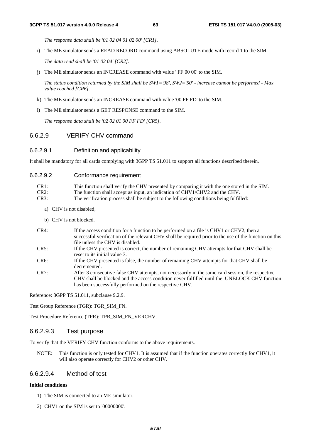*The response data shall be '01 02 04 01 02 00' [CR1].* 

- i) The ME simulator sends a READ RECORD command using ABSOLUTE mode with record 1 to the SIM.  *The data read shall be '01 02 04' [CR2].*
- j) The ME simulator sends an INCREASE command with value ' FF 00 00' to the SIM.

 *The status condition returned by the SIM shall be SW1='98', SW2='50' - increase cannot be performed - Max value reached [CR6].* 

- k) The ME simulator sends an INCREASE command with value '00 FF FD' to the SIM.
- l) The ME simulator sends a GET RESPONSE command to the SIM.

 *The response data shall be '02 02 01 00 FF FD' [CR5].* 

# 6.6.2.9 VERIFY CHV command

#### 6.6.2.9.1 Definition and applicability

It shall be mandatory for all cards complying with 3GPP TS 51.011 to support all functions described therein.

| CR1: | This function shall verify the CHV presented by comparing it with the one stored in the SIM. |
|------|----------------------------------------------------------------------------------------------|
| CR2: | The function shall accept as input, an indication of CHV1/CHV2 and the CHV.                  |
| CR3: | The verification process shall be subject to the following conditions being fulfilled:       |

- a) CHV is not disabled;
- b) CHV is not blocked.
- CR4: If the access condition for a function to be performed on a file is CHV1 or CHV2, then a successful verification of the relevant CHV shall be required prior to the use of the function on this file unless the CHV is disabled.
- CR5: If the CHV presented is correct, the number of remaining CHV attempts for that CHV shall be reset to its initial value 3.
- CR6: If the CHV presented is false, the number of remaining CHV attempts for that CHV shall be decremented.
- CR7: After 3 consecutive false CHV attempts, not necessarily in the same card session, the respective CHV shall be blocked and the access condition never fulfilled until the UNBLOCK CHV function has been successfully performed on the respective CHV.

Reference: 3GPP TS 51.011, subclause 9.2.9.

Test Group Reference (TGR): TGR\_SIM\_FN.

Test Procedure Reference (TPR): TPR\_SIM\_FN\_VERCHV.

# 6.6.2.9.3 Test purpose

To verify that the VERIFY CHV function conforms to the above requirements.

NOTE: This function is only tested for CHV1. It is assumed that if the function operates correctly for CHV1, it will also operate correctly for CHV2 or other CHV.

## 6.6.2.9.4 Method of test

#### **Initial conditions**

- 1) The SIM is connected to an ME simulator.
- 2) CHV1 on the SIM is set to '00000000'.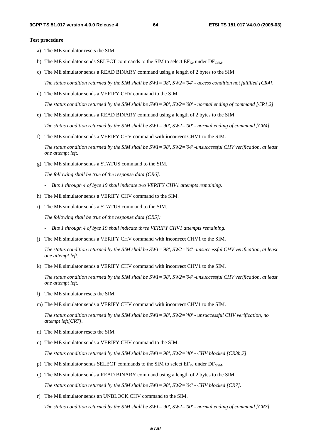#### **Test procedure**

- a) The ME simulator resets the SIM.
- b) The ME simulator sends SELECT commands to the SIM to select  $EF_{Kc}$  under  $DF_{GSM}$ .
- c) The ME simulator sends a READ BINARY command using a length of 2 bytes to the SIM.

 *The status condition returned by the SIM shall be SW1='98', SW2='04' - access condition not fulfilled [CR4].* 

d) The ME simulator sends a VERIFY CHV command to the SIM.

 *The status condition returned by the SIM shall be SW1='90', SW2='00' - normal ending of command [CR1,2].* 

e) The ME simulator sends a READ BINARY command using a length of 2 bytes to the SIM.

 *The status condition returned by the SIM shall be SW1='90', SW2='00' - normal ending of command [CR4].* 

f) The ME simulator sends a VERIFY CHV command with **incorrect** CHV1 to the SIM.

 *The status condition returned by the SIM shall be SW1='98', SW2='04' -unsuccessful CHV verification, at least one attempt left.* 

g) The ME simulator sends a STATUS command to the SIM.

 *The following shall be true of the response data [CR6]:* 

- *Bits 1 through 4 of byte 19 shall indicate two VERIFY CHV1 attempts remaining.*
- h) The ME simulator sends a VERIFY CHV command to the SIM.
- i) The ME simulator sends a STATUS command to the SIM.

 *The following shall be true of the response data [CR5]:* 

- *Bits 1 through 4 of byte 19 shall indicate three VERIFY CHV1 attempts remaining.*
- j) The ME simulator sends a VERIFY CHV command with **incorrect** CHV1 to the SIM.

 *The status condition returned by the SIM shall be SW1='98', SW2='04' -unsuccessful CHV verification, at least one attempt left.* 

k) The ME simulator sends a VERIFY CHV command with **incorrect** CHV1 to the SIM.

 *The status condition returned by the SIM shall be SW1='98', SW2='04' -unsuccessful CHV verification, at least one attempt left.* 

- l) The ME simulator resets the SIM.
- m) The ME simulator sends a VERIFY CHV command with **incorrect** CHV1 to the SIM.

 *The status condition returned by the SIM shall be SW1='98', SW2='40' - unsuccessful CHV verification, no attempt left[CR7].* 

- n) The ME simulator resets the SIM.
- o) The ME simulator sends a VERIFY CHV command to the SIM.

 *The status condition returned by the SIM shall be SW1='98', SW2='40' - CHV blocked [CR3b,7].* 

- p) The ME simulator sends SELECT commands to the SIM to select  $EF_{Kc}$  under  $DF_{GSM}$ .
- q) The ME simulator sends a READ BINARY command using a length of 2 bytes to the SIM.

 *The status condition returned by the SIM shall be SW1='98', SW2='04' - CHV blocked [CR7].* 

r) The ME simulator sends an UNBLOCK CHV command to the SIM.

 *The status condition returned by the SIM shall be SW1='90', SW2='00' - normal ending of command [CR7].*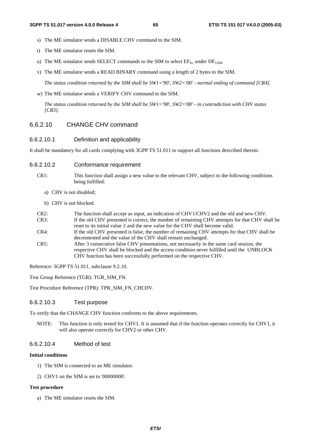- s) The ME simulator sends a DISABLE CHV command to the SIM.
- t) The ME simulator resets the SIM.
- u) The ME simulator sends SELECT commands to the SIM to select  $EF_{Kc}$  under  $DF_{GSM}$ .
- v) The ME simulator sends a READ BINARY command using a length of 2 bytes to the SIM.

 *The status condition returned by the SIM shall be SW1='90', SW2='00' - normal ending of command [CR4].* 

w) The ME simulator sends a VERIFY CHV command to the SIM.

 *The status condition returned by the SIM shall be SW1='98', SW2='08' - in contradiction with CHV status [CR3].* 

# 6.6.2.10 CHANGE CHV command

#### 6.6.2.10.1 Definition and applicability

It shall be mandatory for all cards complying with 3GPP TS 51.011 to support all functions described therein.

- 6.6.2.10.2 Conformance requirement
	- CR1: This function shall assign a new value to the relevant CHV, subject to the following conditions being fulfilled:
		- a) CHV is not disabled;
		- b) CHV is not blocked.

| $CR2$ : | The function shall accept as input, an indication of CHV1/CHV2 and the old and new CHV.         |
|---------|-------------------------------------------------------------------------------------------------|
| CR3:    | If the old CHV presented is correct, the number of remaining CHV attempts for that CHV shall be |
|         | reset to its initial value 3 and the new value for the CHV shall become valid.                  |
| CR4:    | If the old CHV presented is false, the number of remaining CHV attempts for that CHV shall be   |
|         | decremented and the value of the CHV shall remain unchanged.                                    |
| CR5:    | After 3 consecutive false CHV presentations, not necessarily in the same card session, the      |
|         | respective CHV shall be blocked and the access condition never fulfilled until the UNBLOCK      |
|         | CHV function has been successfully performed on the respective CHV.                             |

Reference: 3GPP TS 51.011, subclause 9.2.10.

Test Group Reference (TGR): TGR\_SIM\_FN.

Test Procedure Reference (TPR): TPR\_SIM\_FN\_CHCHV.

#### 6.6.2.10.3 Test purpose

To verify that the CHANGE CHV function conforms to the above requirements.

NOTE: This function is only tested for CHV1. It is assumed that if the function operates correctly for CHV1, it will also operate correctly for CHV2 or other CHV.

#### 6.6.2.10.4 Method of test

#### **Initial conditions**

- 1) The SIM is connected to an ME simulator.
- 2) CHV1 on the SIM is set to '00000000'.

## **Test procedure**

a) The ME simulator resets the SIM.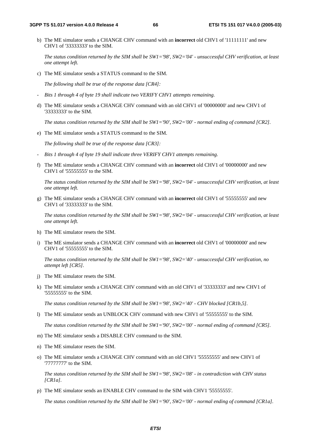b) The ME simulator sends a CHANGE CHV command with an **incorrect** old CHV1 of '11111111' and new CHV1 of '33333333' to the SIM.

 *The status condition returned by the SIM shall be SW1='98', SW2='04' - unsuccessful CHV verification, at least one attempt left.* 

c) The ME simulator sends a STATUS command to the SIM.

 *The following shall be true of the response data [CR4]:* 

- *Bits 1 through 4 of byte 19 shall indicate two VERIFY CHV1 attempts remaining.*
- d) The ME simulator sends a CHANGE CHV command with an old CHV1 of '00000000' and new CHV1 of '33333333' to the SIM.

 *The status condition returned by the SIM shall be SW1='90', SW2='00' - normal ending of command [CR2].* 

e) The ME simulator sends a STATUS command to the SIM.

 *The following shall be true of the response data [CR3]:* 

- *Bits 1 through 4 of byte 19 shall indicate three VERIFY CHV1 attempts remaining.*
- f) The ME simulator sends a CHANGE CHV command with an **incorrect** old CHV1 of '00000000' and new CHV1 of '55555555' to the SIM.

 *The status condition returned by the SIM shall be SW1='98', SW2='04' - unsuccessful CHV verification, at least one attempt left.* 

g) The ME simulator sends a CHANGE CHV command with an **incorrect** old CHV1 of '55555555' and new CHV1 of '33333333' to the SIM.

 *The status condition returned by the SIM shall be SW1='98', SW2='04' - unsuccessful CHV verification, at least one attempt left.* 

- h) The ME simulator resets the SIM.
- i) The ME simulator sends a CHANGE CHV command with an **incorrect** old CHV1 of '00000000' and new CHV1 of '55555555' to the SIM.

 *The status condition returned by the SIM shall be SW1='98', SW2='40' - unsuccessful CHV verification, no attempt left [CR5].* 

- j) The ME simulator resets the SIM.
- k) The ME simulator sends a CHANGE CHV command with an old CHV1 of '33333333' and new CHV1 of '55555555' to the SIM.

 *The status condition returned by the SIM shall be SW1='98', SW2='40' - CHV blocked [CR1b,5].* 

l) The ME simulator sends an UNBLOCK CHV command with new CHV1 of '55555555' to the SIM.

 *The status condition returned by the SIM shall be SW1='90', SW2='00' - normal ending of command [CR5].* 

- m) The ME simulator sends a DISABLE CHV command to the SIM.
- n) The ME simulator resets the SIM.
- o) The ME simulator sends a CHANGE CHV command with an old CHV1 '55555555' and new CHV1 of '77777777' to the SIM.

 *The status condition returned by the SIM shall be SW1='98', SW2='08' - in contradiction with CHV status [CR1a].* 

p) The ME simulator sends an ENABLE CHV command to the SIM with CHV1 '55555555'.

 *The status condition returned by the SIM shall be SW1='90', SW2='00' - normal ending of command [CR1a].*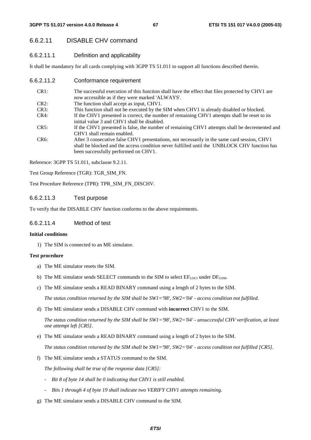# 6.6.2.11 DISABLE CHV command

# 6.6.2.11.1 Definition and applicability

It shall be mandatory for all cards complying with 3GPP TS 51.011 to support all functions described therein.

6.6.2.11.2 Conformance requirement

| CR1:              | The successful execution of this function shall have the effect that files protected by CHV1 are                                                                                                                                     |
|-------------------|--------------------------------------------------------------------------------------------------------------------------------------------------------------------------------------------------------------------------------------|
|                   | now accessible as if they were marked 'ALWAYS'.                                                                                                                                                                                      |
| CR2:              | The function shall accept as input, CHV1.                                                                                                                                                                                            |
| CR3:              | This function shall not be executed by the SIM when CHV1 is already disabled or blocked.                                                                                                                                             |
| $CR4$ :           | If the CHV1 presented is correct, the number of remaining CHV1 attempts shall be reset to its<br>initial value 3 and CHV1 shall be disabled.                                                                                         |
| CR5:              | If the CHV1 presented is false, the number of remaining CHV1 attempts shall be decremented and<br>CHV1 shall remain enabled.                                                                                                         |
| CR <sub>6</sub> : | After 3 consecutive false CHV1 presentations, not necessarily in the same card session, CHV1<br>shall be blocked and the access condition never fulfilled until the UNBLOCK CHV function has<br>been successfully performed on CHV1. |

Reference: 3GPP TS 51.011, subclause 9.2.11.

Test Group Reference (TGR): TGR\_SIM\_FN.

Test Procedure Reference (TPR): TPR\_SIM\_FN\_DISCHV.

# 6.6.2.11.3 Test purpose

To verify that the DISABLE CHV function conforms to the above requirements.

#### 6.6.2.11.4 Method of test

#### **Initial conditions**

1) The SIM is connected to an ME simulator.

#### **Test procedure**

- a) The ME simulator resets the SIM.
- b) The ME simulator sends SELECT commands to the SIM to select  $EF_{LOCI}$  under  $DF_{GSM}$ .
- c) The ME simulator sends a READ BINARY command using a length of 2 bytes to the SIM.

 *The status condition returned by the SIM shall be SW1='98', SW2='04' - access condition not fulfilled.* 

d) The ME simulator sends a DISABLE CHV command with **incorrect** CHV1 to the SIM.

 *The status condition returned by the SIM shall be SW1='98', SW2='04' - unsuccessful CHV verification, at least one attempt left [CR5].* 

e) The ME simulator sends a READ BINARY command using a length of 2 bytes to the SIM.

 *The status condition returned by the SIM shall be SW1='98', SW2='04' - access condition not fulfilled [CR5].* 

f) The ME simulator sends a STATUS command to the SIM.

 *The following shall be true of the response data [CR5]:* 

- *Bit 8 of byte 14 shall be 0 indicating that CHV1 is still enabled.*
- *Bits 1 through 4 of byte 19 shall indicate two VERIFY CHV1 attempts remaining.*
- g) The ME simulator sends a DISABLE CHV command to the SIM.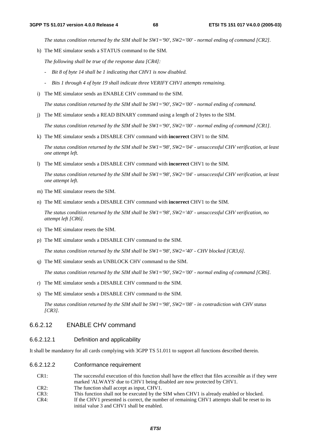*The status condition returned by the SIM shall be SW1='90', SW2='00' - normal ending of command [CR2].* 

h) The ME simulator sends a STATUS command to the SIM.

 *The following shall be true of the response data [CR4]:* 

- *Bit 8 of byte 14 shall be 1 indicating that CHV1 is now disabled.*
- *Bits 1 through 4 of byte 19 shall indicate three VERIFY CHV1 attempts remaining.*
- i) The ME simulator sends an ENABLE CHV command to the SIM.

 *The status condition returned by the SIM shall be SW1='90', SW2='00' - normal ending of command.* 

j) The ME simulator sends a READ BINARY command using a length of 2 bytes to the SIM.

 *The status condition returned by the SIM shall be SW1='90', SW2='00' - normal ending of command [CR1].* 

k) The ME simulator sends a DISABLE CHV command with **incorrect** CHV1 to the SIM.

 *The status condition returned by the SIM shall be SW1='98', SW2='04' - unsuccessful CHV verification, at least one attempt left.* 

l) The ME simulator sends a DISABLE CHV command with **incorrect** CHV1 to the SIM.

 *The status condition returned by the SIM shall be SW1='98', SW2='04' - unsuccessful CHV verification, at least one attempt left.* 

- m) The ME simulator resets the SIM.
- n) The ME simulator sends a DISABLE CHV command with **incorrect** CHV1 to the SIM.

 *The status condition returned by the SIM shall be SW1='98', SW2='40' - unsuccessful CHV verification, no attempt left [CR6].* 

- o) The ME simulator resets the SIM.
- p) The ME simulator sends a DISABLE CHV command to the SIM.

 *The status condition returned by the SIM shall be SW1='98', SW2='40' - CHV blocked [CR3,6].* 

q) The ME simulator sends an UNBLOCK CHV command to the SIM.

 *The status condition returned by the SIM shall be SW1='90', SW2='00' - normal ending of command [CR6].* 

- r) The ME simulator sends a DISABLE CHV command to the SIM.
- s) The ME simulator sends a DISABLE CHV command to the SIM.

 *The status condition returned by the SIM shall be SW1='98', SW2='08' - in contradiction with CHV status [CR3].* 

# 6.6.2.12 ENABLE CHV command

#### 6.6.2.12.1 Definition and applicability

It shall be mandatory for all cards complying with 3GPP TS 51.011 to support all functions described therein.

- 6.6.2.12.2 Conformance requirement
	- CR1: The successful execution of this function shall have the effect that files accessible as if they were marked 'ALWAYS' due to CHV1 being disabled are now protected by CHV1. CR2: The function shall accept as input, CHV1. CR3: This function shall not be executed by the SIM when CHV1 is already enabled or blocked. CR4: If the CHV1 presented is correct, the number of remaining CHV1 attempts shall be reset to its initial value 3 and CHV1 shall be enabled.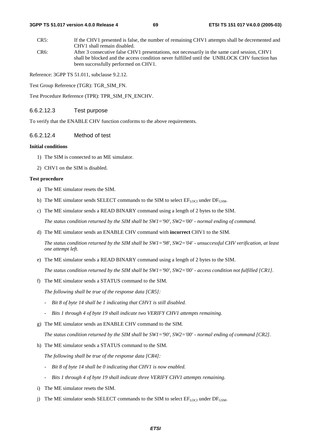CR5: If the CHV1 presented is false, the number of remaining CHV1 attempts shall be decremented and CHV1 shall remain disabled. CR6: After 3 consecutive false CHV1 presentations, not necessarily in the same card session, CHV1 shall be blocked and the access condition never fulfilled until the UNBLOCK CHV function has

been successfully performed on CHV1.

Reference: 3GPP TS 51.011, subclause 9.2.12.

Test Group Reference (TGR): TGR\_SIM\_FN.

Test Procedure Reference (TPR): TPR\_SIM\_FN\_ENCHV.

## 6.6.2.12.3 Test purpose

To verify that the ENABLE CHV function conforms to the above requirements.

#### 6.6.2.12.4 Method of test

#### **Initial conditions**

- 1) The SIM is connected to an ME simulator.
- 2) CHV1 on the SIM is disabled.

#### **Test procedure**

- a) The ME simulator resets the SIM.
- b) The ME simulator sends SELECT commands to the SIM to select  $EF_{LOCI}$  under  $DF_{GSM}$ .
- c) The ME simulator sends a READ BINARY command using a length of 2 bytes to the SIM.

 *The status condition returned by the SIM shall be SW1='90', SW2='00' - normal ending of command.* 

d) The ME simulator sends an ENABLE CHV command with **incorrect** CHV1 to the SIM.

 *The status condition returned by the SIM shall be SW1='98', SW2='04' - unsuccessful CHV verification, at least one attempt left.* 

e) The ME simulator sends a READ BINARY command using a length of 2 bytes to the SIM.

 *The status condition returned by the SIM shall be SW1='90', SW2='00' - access condition not fulfilled [CR1].* 

f) The ME simulator sends a STATUS command to the SIM.

 *The following shall be true of the response data [CR5]:* 

- *Bit 8 of byte 14 shall be 1 indicating that CHV1 is still disabled.*
- *Bits 1 through 4 of byte 19 shall indicate two VERIFY CHV1 attempts remaining.*
- g) The ME simulator sends an ENABLE CHV command to the SIM.

 *The status condition returned by the SIM shall be SW1='90', SW2='00' - normal ending of command [CR2].* 

h) The ME simulator sends a STATUS command to the SIM.

 *The following shall be true of the response data [CR4]:* 

- *Bit 8 of byte 14 shall be 0 indicating that CHV1 is now enabled.*
- *Bits 1 through 4 of byte 19 shall indicate three VERIFY CHV1 attempts remaining.*
- i) The ME simulator resets the SIM.
- j) The ME simulator sends SELECT commands to the SIM to select  $EF_{LOCI}$  under  $DF_{GSM}$ .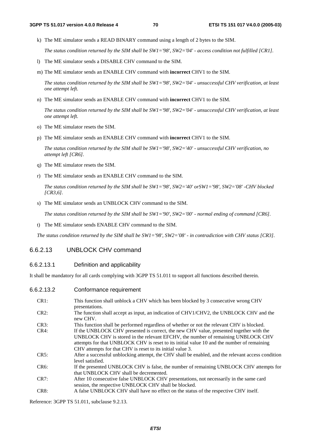k) The ME simulator sends a READ BINARY command using a length of 2 bytes to the SIM.

 *The status condition returned by the SIM shall be SW1='98', SW2='04' - access condition not fulfilled [CR1].* 

- l) The ME simulator sends a DISABLE CHV command to the SIM.
- m) The ME simulator sends an ENABLE CHV command with **incorrect** CHV1 to the SIM.

 *The status condition returned by the SIM shall be SW1='98', SW2='04' - unsuccessful CHV verification, at least one attempt left.* 

n) The ME simulator sends an ENABLE CHV command with **incorrect** CHV1 to the SIM.

 *The status condition returned by the SIM shall be SW1='98', SW2='04' - unsuccessful CHV verification, at least one attempt left.* 

- o) The ME simulator resets the SIM.
- p) The ME simulator sends an ENABLE CHV command with **incorrect** CHV1 to the SIM.

 *The status condition returned by the SIM shall be SW1='98', SW2='40' - unsuccessful CHV verification, no attempt left [CR6].* 

- q) The ME simulator resets the SIM.
- r) The ME simulator sends an ENABLE CHV command to the SIM.

 *The status condition returned by the SIM shall be SW1='98', SW2='40' orSW1='98', SW2='08' -CHV blocked [CR3,6].* 

s) The ME simulator sends an UNBLOCK CHV command to the SIM.

 *The status condition returned by the SIM shall be SW1='90', SW2='00' - normal ending of command [CR6].* 

t) The ME simulator sends ENABLE CHV command to the SIM.

 *The status condition returned by the SIM shall be SW1='98', SW2='08' - in contradiction with CHV status [CR3].*

# 6.6.2.13 UNBLOCK CHV command

#### 6.6.2.13.1 Definition and applicability

It shall be mandatory for all cards complying with 3GPP TS 51.011 to support all functions described therein.

CR1: This function shall unblock a CHV which has been blocked by 3 consecutive wrong CHV presentations. CR2: The function shall accept as input, an indication of CHV1/CHV2, the UNBLOCK CHV and the new CHV. CR3: This function shall be performed regardless of whether or not the relevant CHV is blocked. CR4: If the UNBLOCK CHV presented is correct, the new CHV value, presented together with the UNBLOCK CHV is stored in the relevant EFCHV, the number of remaining UNBLOCK CHV attempts for that UNBLOCK CHV is reset to its initial value 10 and the number of remaining CHV attempts for that CHV is reset to its initial value 3. CR5: After a successful unblocking attempt, the CHV shall be enabled, and the relevant access condition level satisfied. CR6: If the presented UNBLOCK CHV is false, the number of remaining UNBLOCK CHV attempts for that UNBLOCK CHV shall be decremented. CR7: After 10 consecutive false UNBLOCK CHV presentations, not necessarily in the same card session, the respective UNBLOCK CHV shall be blocked. CR8: A false UNBLOCK CHV shall have no effect on the status of the respective CHV itself.

Reference: 3GPP TS 51.011, subclause 9.2.13.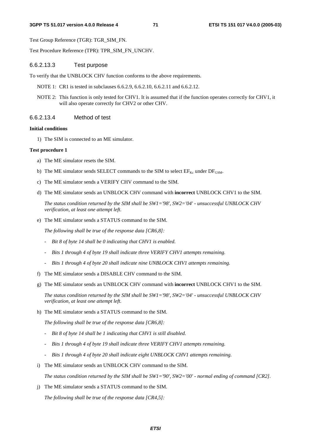Test Group Reference (TGR): TGR\_SIM\_FN.

Test Procedure Reference (TPR): TPR\_SIM\_FN\_UNCHV.

#### 6.6.2.13.3 Test purpose

To verify that the UNBLOCK CHV function conforms to the above requirements.

- NOTE 1: CR1 is tested in subclauses 6.6.2.9, 6.6.2.10, 6.6.2.11 and 6.6.2.12.
- NOTE 2: This function is only tested for CHV1. It is assumed that if the function operates correctly for CHV1, it will also operate correctly for CHV2 or other CHV.

#### 6.6.2.13.4 Method of test

#### **Initial conditions**

1) The SIM is connected to an ME simulator.

#### **Test procedure 1**

- a) The ME simulator resets the SIM.
- b) The ME simulator sends SELECT commands to the SIM to select  $EF_{Kc}$  under  $DF_{GSM}$ .
- c) The ME simulator sends a VERIFY CHV command to the SIM.
- d) The ME simulator sends an UNBLOCK CHV command with **incorrect** UNBLOCK CHV1 to the SIM.

 *The status condition returned by the SIM shall be SW1='98', SW2='04' - unsuccessful UNBLOCK CHV verification, at least one attempt left.* 

e) The ME simulator sends a STATUS command to the SIM.

 *The following shall be true of the response data [CR6,8]:* 

- *Bit 8 of byte 14 shall be 0 indicating that CHV1 is enabled.*
- *Bits 1 through 4 of byte 19 shall indicate three VERIFY CHV1 attempts remaining.*
- *Bits 1 through 4 of byte 20 shall indicate nine UNBLOCK CHV1 attempts remaining.*
- f) The ME simulator sends a DISABLE CHV command to the SIM.
- g) The ME simulator sends an UNBLOCK CHV command with **incorrect** UNBLOCK CHV1 to the SIM.

 *The status condition returned by the SIM shall be SW1='98', SW2='04' - unsuccessful UNBLOCK CHV verification, at least one attempt left.* 

h) The ME simulator sends a STATUS command to the SIM.

 *The following shall be true of the response data [CR6,8]:* 

- *Bit 8 of byte 14 shall be 1 indicating that CHV1 is still disabled.*
- *Bits 1 through 4 of byte 19 shall indicate three VERIFY CHV1 attempts remaining.*
- *Bits 1 through 4 of byte 20 shall indicate eight UNBLOCK CHV1 attempts remaining.*
- i) The ME simulator sends an UNBLOCK CHV command to the SIM.

 *The status condition returned by the SIM shall be SW1='90', SW2='00' - normal ending of command [CR2].* 

j) The ME simulator sends a STATUS command to the SIM.

 *The following shall be true of the response data [CR4,5]:*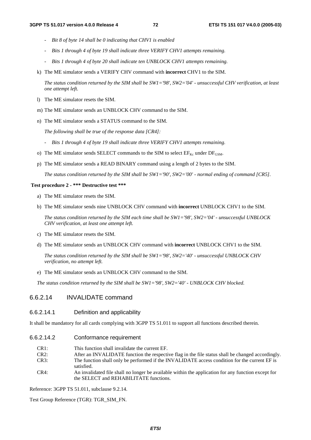- *Bit 8 of byte 14 shall be 0 indicating that CHV1 is enabled*
- *Bits 1 through 4 of byte 19 shall indicate three VERIFY CHV1 attempts remaining.*
- *Bits 1 through 4 of byte 20 shall indicate ten UNBLOCK CHV1 attempts remaining.*
- k) The ME simulator sends a VERIFY CHV command with **incorrect** CHV1 to the SIM.

 *The status condition returned by the SIM shall be SW1='98', SW2='04' - unsuccessful CHV verification, at least one attempt left.* 

- l) The ME simulator resets the SIM.
- m) The ME simulator sends an UNBLOCK CHV command to the SIM.
- n) The ME simulator sends a STATUS command to the SIM.

 *The following shall be true of the response data [CR4]:* 

- *Bits 1 through 4 of byte 19 shall indicate three VERIFY CHV1 attempts remaining.*
- o) The ME simulator sends SELECT commands to the SIM to select  $EF_{Kc}$  under  $DF_{GSM}$ .
- p) The ME simulator sends a READ BINARY command using a length of 2 bytes to the SIM.

 *The status condition returned by the SIM shall be SW1='90', SW2='00' - normal ending of command [CR5].* 

#### **Test procedure 2 - \*\*\* Destructive test \*\*\***

- a) The ME simulator resets the SIM.
- b) The ME simulator sends nine UNBLOCK CHV command with **incorrect** UNBLOCK CHV1 to the SIM.

 *The status condition returned by the SIM each time shall be SW1='98', SW2='04' - unsuccessful UNBLOCK CHV verification, at least one attempt left.* 

- c) The ME simulator resets the SIM.
- d) The ME simulator sends an UNBLOCK CHV command with **incorrect** UNBLOCK CHV1 to the SIM.

 *The status condition returned by the SIM shall be SW1='98', SW2='40' - unsuccessful UNBLOCK CHV verification, no attempt left.* 

e) The ME simulator sends an UNBLOCK CHV command to the SIM.

 *The status condition returned by the SIM shall be SW1='98', SW2='40' - UNBLOCK CHV blocked.*

# 6.6.2.14 INVALIDATE command

6.6.2.14.1 Definition and applicability

It shall be mandatory for all cards complying with 3GPP TS 51.011 to support all functions described therein.

- 6.6.2.14.2 Conformance requirement
	- CR1: This function shall invalidate the current EF.
	- CR2: After an INVALIDATE function the respective flag in the file status shall be changed accordingly. CR3: The function shall only be performed if the INVALIDATE access condition for the current EF is satisfied.
	- CR4: An invalidated file shall no longer be available within the application for any function except for the SELECT and REHABILITATE functions.

Reference: 3GPP TS 51.011, subclause 9.2.14.

Test Group Reference (TGR): TGR\_SIM\_FN.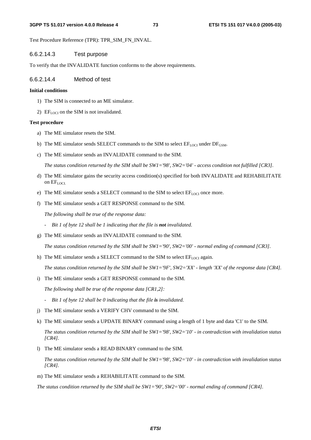Test Procedure Reference (TPR): TPR\_SIM\_FN\_INVAL.

# 6.6.2.14.3 Test purpose

To verify that the INVALIDATE function conforms to the above requirements.

# 6.6.2.14.4 Method of test

### **Initial conditions**

- 1) The SIM is connected to an ME simulator.
- 2)  $EF_{LOCI}$  on the SIM is not invalidated.

## **Test procedure**

- a) The ME simulator resets the SIM.
- b) The ME simulator sends SELECT commands to the SIM to select  $EF_{\text{LOCI}}$  under  $DF_{\text{GSM}}$ .
- c) The ME simulator sends an INVALIDATE command to the SIM.

 *The status condition returned by the SIM shall be SW1='98', SW2='04' - access condition not fulfilled [CR3].* 

- d) The ME simulator gains the security access condition(s) specified for both INVALIDATE and REHABILITATE on EFLOCI.
- e) The ME simulator sends a SELECT command to the SIM to select  $EF_{LOCI}$  once more.
- f) The ME simulator sends a GET RESPONSE command to the SIM.

 *The following shall be true of the response data:* 

- *-* Bit 1 of byte 12 shall be 1 indicating that the file is **not** invalidated.
- g) The ME simulator sends an INVALIDATE command to the SIM.

 *The status condition returned by the SIM shall be SW1='90', SW2='00' - normal ending of command [CR3].* 

h) The ME simulator sends a SELECT command to the SIM to select  $EF_{\text{LOCI}}$  again.

 *The status condition returned by the SIM shall be SW1='9F', SW2='XX' - length 'XX' of the response data [CR4].* 

i) The ME simulator sends a GET RESPONSE command to the SIM.

 *The following shall be true of the response data [CR1,2]:* 

- *Bit 1 of byte 12 shall be 0 indicating that the file is invalidated.*
- j) The ME simulator sends a VERIFY CHV command to the SIM.
- k) The ME simulator sends a UPDATE BINARY command using a length of 1 byte and data 'C1' to the SIM.

 *The status condition returned by the SIM shall be SW1='98', SW2='10' - in contradiction with invalidation status [CR4].* 

l) The ME simulator sends a READ BINARY command to the SIM.

 *The status condition returned by the SIM shall be SW1='98', SW2='10' - in contradiction with invalidation status [CR4].* 

m) The ME simulator sends a REHABILITATE command to the SIM.

 *The status condition returned by the SIM shall be SW1='90', SW2='00' - normal ending of command [CR4].*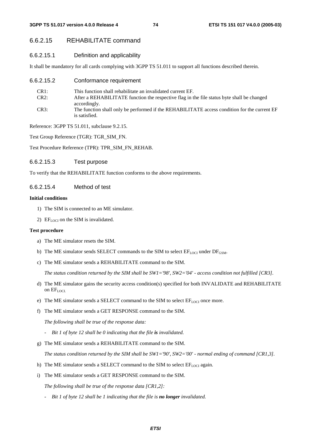# 6.6.2.15 REHABILITATE command

#### 6.6.2.15.1 Definition and applicability

It shall be mandatory for all cards complying with 3GPP TS 51.011 to support all functions described therein.

6.6.2.15.2 Conformance requirement

| CR1: | This function shall rehabilitate an invalidated current EF.                                                |
|------|------------------------------------------------------------------------------------------------------------|
| CR2: | After a REHABILITATE function the respective flag in the file status byte shall be changed<br>accordingly. |
| CR3: | The function shall only be performed if the REHABILITATE access condition for the current EF               |
|      | is satisfied.                                                                                              |

Reference: 3GPP TS 51.011, subclause 9.2.15.

Test Group Reference (TGR): TGR\_SIM\_FN.

Test Procedure Reference (TPR): TPR\_SIM\_FN\_REHAB.

#### 6.6.2.15.3 Test purpose

To verify that the REHABILITATE function conforms to the above requirements.

#### 6.6.2.15.4 Method of test

#### **Initial conditions**

- 1) The SIM is connected to an ME simulator.
- 2) EF $_{\text{LOCI}}$  on the SIM is invalidated.

#### **Test procedure**

- a) The ME simulator resets the SIM.
- b) The ME simulator sends SELECT commands to the SIM to select  $EF_{LOCI}$  under  $DF_{GSM}$ .
- c) The ME simulator sends a REHABILITATE command to the SIM.

 *The status condition returned by the SIM shall be SW1='98', SW2='04' - access condition not fulfilled [CR3].* 

- d) The ME simulator gains the security access condition(s) specified for both INVALIDATE and REHABILITATE on  $EF_{LOCL}$
- e) The ME simulator sends a SELECT command to the SIM to select  $EF_{\text{LOCI}}$  once more.
- f) The ME simulator sends a GET RESPONSE command to the SIM.

 *The following shall be true of the response data:* 

- *-* Bit 1 of byte 12 shall be 0 indicating that the file is invalidated.
- g) The ME simulator sends a REHABILITATE command to the SIM.

 *The status condition returned by the SIM shall be SW1='90', SW2='00' - normal ending of command [CR1,3].* 

- h) The ME simulator sends a SELECT command to the SIM to select  $EF_{LOCI}$  again.
- i) The ME simulator sends a GET RESPONSE command to the SIM.

 *The following shall be true of the response data [CR1,2]:* 

 *- Bit 1 of byte 12 shall be 1 indicating that the file is no longer invalidated.*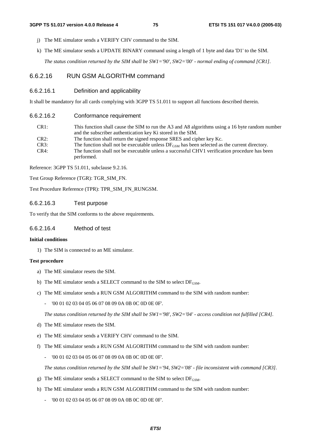- j) The ME simulator sends a VERIFY CHV command to the SIM.
- k) The ME simulator sends a UPDATE BINARY command using a length of 1 byte and data 'D1' to the SIM.

 *The status condition returned by the SIM shall be SW1='90', SW2='00' - normal ending of command [CR1].* 

# 6.6.2.16 RUN GSM ALGORITHM command

#### 6.6.2.16.1 Definition and applicability

It shall be mandatory for all cards complying with 3GPP TS 51.011 to support all functions described therein.

6.6.2.16.2 Conformance requirement

| CR <sub>1</sub> : | This function shall cause the SIM to run the A3 and A8 algorithms using a 16 byte random number    |
|-------------------|----------------------------------------------------------------------------------------------------|
|                   | and the subscriber authentication key Ki stored in the SIM.                                        |
| $CR2$ :           | The function shall return the signed response SRES and cipher key Kc.                              |
| CR3:              | The function shall not be executable unless $DF_{GSM}$ has been selected as the current directory. |
| CR4:              | The function shall not be executable unless a successful CHV1 verification procedure has been      |
|                   | performed.                                                                                         |

Reference: 3GPP TS 51.011, subclause 9.2.16.

Test Group Reference (TGR): TGR\_SIM\_FN.

Test Procedure Reference (TPR): TPR\_SIM\_FN\_RUNGSM.

#### 6.6.2.16.3 Test purpose

To verify that the SIM conforms to the above requirements.

# 6.6.2.16.4 Method of test

#### **Initial conditions**

1) The SIM is connected to an ME simulator.

#### **Test procedure**

- a) The ME simulator resets the SIM.
- b) The ME simulator sends a SELECT command to the SIM to select  $DF_{\text{GSM}}$ .
- c) The ME simulator sends a RUN GSM ALGORITHM command to the SIM with random number:
	- '00 01 02 03 04 05 06 07 08 09 0A 0B 0C 0D 0E 0F'.

 *The status condition returned by the SIM shall be SW1='98', SW2='04' - access condition not fulfilled [CR4].* 

- d) The ME simulator resets the SIM.
- e) The ME simulator sends a VERIFY CHV command to the SIM.
- f) The ME simulator sends a RUN GSM ALGORITHM command to the SIM with random number:
	- '00 01 02 03 04 05 06 07 08 09 0A 0B 0C 0D 0E 0F'.

 *The status condition returned by the SIM shall be SW1='94, SW2='08' - file inconsistent with command [CR3].* 

- g) The ME simulator sends a SELECT command to the SIM to select  $DF_{\text{GSM}}$ .
- h) The ME simulator sends a RUN GSM ALGORITHM command to the SIM with random number:
	- '00 01 02 03 04 05 06 07 08 09 0A 0B 0C 0D 0E 0F'.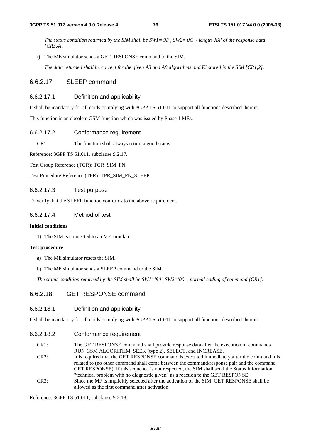*The status condition returned by the SIM shall be SW1='9F', SW2='0C' - length 'XX' of the response data [CR3,4].* 

i) The ME simulator sends a GET RESPONSE command to the SIM.

 *The data returned shall be correct for the given A3 and A8 algorithms and Ki stored in the SIM [CR1,2].* 

#### 6.6.2.17 SLEEP command

#### 6.6.2.17.1 Definition and applicability

It shall be mandatory for all cards complying with 3GPP TS 51.011 to support all functions described therein.

This function is an obsolete GSM function which was issued by Phase 1 MEs.

#### 6.6.2.17.2 Conformance requirement

CR1: The function shall always return a good status.

Reference: 3GPP TS 51.011, subclause 9.2.17.

Test Group Reference (TGR): TGR\_SIM\_FN.

Test Procedure Reference (TPR): TPR\_SIM\_FN\_SLEEP.

#### 6.6.2.17.3 Test purpose

To verify that the SLEEP function conforms to the above requirement.

## 6.6.2.17.4 Method of test

#### **Initial conditions**

1) The SIM is connected to an ME simulator.

#### **Test procedure**

- a) The ME simulator resets the SIM.
- b) The ME simulator sends a SLEEP command to the SIM.

 *The status condition returned by the SIM shall be SW1='90', SW2='00' - normal ending of command [CR1].*

# 6.6.2.18 GET RESPONSE command

#### 6.6.2.18.1 Definition and applicability

It shall be mandatory for all cards complying with 3GPP TS 51.011 to support all functions described therein.

#### 6.6.2.18.2 Conformance requirement

CR1: The GET RESPONSE command shall provide response data after the execution of commands RUN GSM ALGORITHM, SEEK (type 2), SELECT, and INCREASE.

CR2: It is required that the GET RESPONSE command is executed immediately after the command it is related to (no other command shall come between the command/response pair and the command GET RESPONSE). If this sequence is not respected, the SIM shall send the Status Information "technical problem with no diagnostic given" as a reaction to the GET RESPONSE. CR3: Since the MF is implicitly selected after the activation of the SIM, GET RESPONSE shall be allowed as the first command after activation.

Reference: 3GPP TS 51.011, subclause 9.2.18.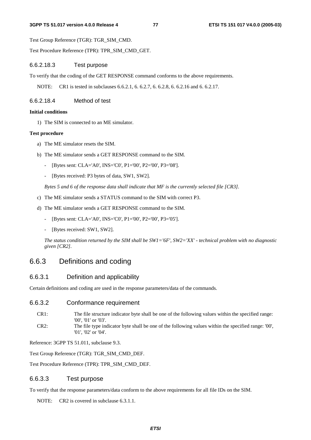#### **3GPP TS 51.017 version 4.0.0 Release 4 77 ETSI TS 151 017 V4.0.0 (2005-03)**

Test Group Reference (TGR): TGR\_SIM\_CMD.

Test Procedure Reference (TPR): TPR\_SIM\_CMD\_GET.

### 6.6.2.18.3 Test purpose

To verify that the coding of the GET RESPONSE command conforms to the above requirements.

NOTE: CR1 is tested in subclauses 6.6.2.1, 6. 6.2.7, 6. 6.2.8, 6. 6.2.16 and 6. 6.2.17.

6.6.2.18.4 Method of test

#### **Initial conditions**

1) The SIM is connected to an ME simulator.

#### **Test procedure**

- a) The ME simulator resets the SIM.
- b) The ME simulator sends a GET RESPONSE command to the SIM.
	- [Bytes sent: CLA='A0', INS='C0', P1='00', P2='00', P3='08'].
	- [Bytes received: P3 bytes of data, SW1, SW2].

 *Bytes 5 and 6 of the response data shall indicate that MF is the currently selected file [CR3].* 

- c) The ME simulator sends a STATUS command to the SIM with correct P3.
- d) The ME simulator sends a GET RESPONSE command to the SIM.
	- [Bytes sent: CLA='A0', INS='C0', P1='00', P2='00', P3='05'].
	- [Bytes received: SW1, SW2].

 *The status condition returned by the SIM shall be SW1='6F', SW2='XX' - technical problem with no diagnostic given [CR2].* 

# 6.6.3 Definitions and coding

# 6.6.3.1 Definition and applicability

Certain definitions and coding are used in the response parameters/data of the commands.

#### 6.6.3.2 Conformance requirement

- CR1: The file structure indicator byte shall be one of the following values within the specified range: '00', '01' or '03'.
- CR2: The file type indicator byte shall be one of the following values within the specified range: '00', '01', '02' or '04'.

Reference: 3GPP TS 51.011, subclause 9.3.

Test Group Reference (TGR): TGR\_SIM\_CMD\_DEF.

Test Procedure Reference (TPR): TPR\_SIM\_CMD\_DEF.

### 6.6.3.3 Test purpose

To verify that the response parameters/data conform to the above requirements for all file IDs on the SIM.

NOTE: CR2 is covered in subclause 6.3.1.1.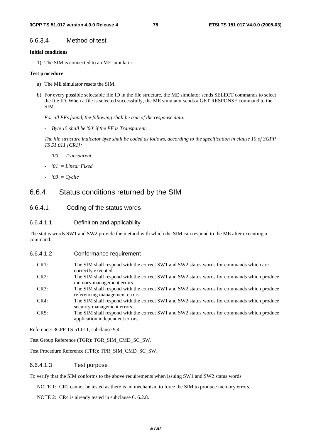## 6.6.3.4 Method of test

#### **Initial conditions**

1) The SIM is connected to an ME simulator.

#### **Test procedure**

- a) The ME simulator resets the SIM.
- b) For every possible selectable file ID in the file structure, the ME simulator sends SELECT commands to select the file ID. When a file is selected successfully, the ME simulator sends a GET RESPONSE command to the SIM.

 *For all EFs found, the following shall be true of the response data:* 

 *- Byte 15 shall be '00' if the EF is Transparent.* 

 *The file structure indicator byte shall be coded as follows, according to the specification in clause 10 of 3GPP TS 51.011 [CR1]:* 

- *'00' = Transparent*
- *'01' = Linear Fixed*
- *'03' = Cyclic*

# 6.6.4 Status conditions returned by the SIM

### 6.6.4.1 Coding of the status words

#### 6.6.4.1.1 Definition and applicability

The status words SW1 and SW2 provide the method with which the SIM can respond to the ME after executing a command.

6.6.4.1.2 Conformance requirement

| $CR1$ :<br>The SIM shall respond with the correct SW1 and SW2 status words for commands which are<br>correctly executed. |  |
|--------------------------------------------------------------------------------------------------------------------------|--|
| The SIM shall respond with the correct SW1 and SW2 status words for commands which produce<br>CR2:                       |  |
| memory management errors.                                                                                                |  |
| The SIM shall respond with the correct SW1 and SW2 status words for commands which produce<br>CR3:                       |  |
| referencing management errors.                                                                                           |  |
| The SIM shall respond with the correct SW1 and SW2 status words for commands which produce<br>CR4:                       |  |
| security management errors.                                                                                              |  |
| The SIM shall respond with the correct SW1 and SW2 status words for commands which produce<br>CR5:                       |  |
| application independent errors.                                                                                          |  |

Reference: 3GPP TS 51.011, subclause 9.4.

Test Group Reference (TGR): TGR\_SIM\_CMD\_SC\_SW.

Test Procedure Reference (TPR): TPR\_SIM\_CMD\_SC\_SW.

#### 6.6.4.1.3 Test purpose

To verify that the SIM conforms to the above requirements when issuing SW1 and SW2 status words.

NOTE 1: CR2 cannot be tested as there is no mechanism to force the SIM to produce memory errors.

NOTE 2: CR4 is already tested in subclause 6. 6.2.8.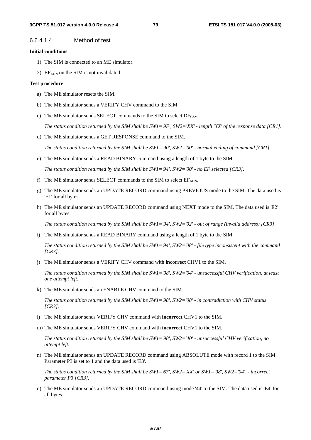#### 6.6.4.1.4 Method of test

#### **Initial conditions**

- 1) The SIM is connected to an ME simulator.
- 2)  $EF<sub>ADN</sub>$  on the SIM is not invalidated.

#### **Test procedure**

- a) The ME simulator resets the SIM.
- b) The ME simulator sends a VERIFY CHV command to the SIM.
- c) The ME simulator sends SELECT commands to the SIM to select  $DF_{GSM}$ .

*The status condition returned by the SIM shall be SW1='9F', SW2='XX' - length 'XX' of the response data [CR1].* 

d) The ME simulator sends a GET RESPONSE command to the SIM.

 *The status condition returned by the SIM shall be SW1='90', SW2='00' - normal ending of command [CR1].* 

e) The ME simulator sends a READ BINARY command using a length of 1 byte to the SIM.

 *The status condition returned by the SIM shall be SW1='94', SW2='00' - no EF selected [CR3].* 

- f) The ME simulator sends SELECT commands to the SIM to select  $EF_{ADN}$ .
- g) The ME simulator sends an UPDATE RECORD command using PREVIOUS mode to the SIM. The data used is 'E1' for all bytes.
- h) The ME simulator sends an UPDATE RECORD command using NEXT mode to the SIM. The data used is 'E2' for all bytes.

 *The status condition returned by the SIM shall be SW1='94', SW2='02' - out of range (invalid address) [CR3].* 

i) The ME simulator sends a READ BINARY command using a length of 1 byte to the SIM.

 *The status condition returned by the SIM shall be SW1='94', SW2='08' - file type inconsistent with the command [CR3].* 

j) The ME simulator sends a VERIFY CHV command with **incorrect** CHV1 to the SIM.

 *The status condition returned by the SIM shall be SW1='98', SW2='04' - unsuccessful CHV verification, at least one attempt left.* 

k) The ME simulator sends an ENABLE CHV command to the SIM.

 *The status condition returned by the SIM shall be SW1='98', SW2='08' - in contradiction with CHV status [CR3].* 

- l) The ME simulator sends VERIFY CHV command with **incorrect** CHV1 to the SIM.
- m) The ME simulator sends VERIFY CHV command with **incorrect** CHV1 to the SIM.

 *The status condition returned by the SIM shall be SW1='98', SW2='40' - unsuccessful CHV verification, no attempt left.* 

n) The ME simulator sends an UPDATE RECORD command using ABSOLUTE mode with record 1 to the SIM. Parameter P3 is set to 1 and the data used is 'E3'.

 *The status condition returned by the SIM shall be SW1='67', SW2='XX' or SW1='98', SW2='04' - incorrect parameter P3 [CR3].* 

o) The ME simulator sends an UPDATE RECORD command using mode '44' to the SIM. The data used is 'E4' for all bytes.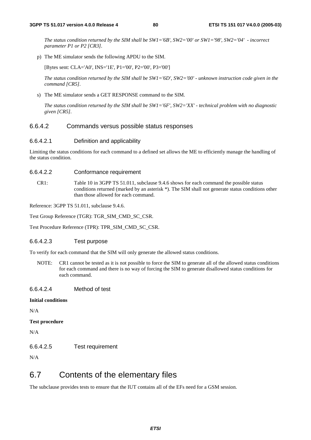*The status condition returned by the SIM shall be SW1='6B', SW2='00' or SW1='98', SW2='04' - incorrect parameter P1 or P2 [CR3].* 

p) The ME simulator sends the following APDU to the SIM.

[Bytes sent: CLA='A0', INS='1E', P1='00', P2='00', P3='00']

 *The status condition returned by the SIM shall be SW1='6D', SW2='00' - unknown instruction code given in the command [CR5].* 

s) The ME simulator sends a GET RESPONSE command to the SIM.

 *The status condition returned by the SIM shall be SW1='6F', SW2='XX' - technical problem with no diagnostic given [CR5].* 

### 6.6.4.2 Commands versus possible status responses

#### 6.6.4.2.1 Definition and applicability

Limiting the status conditions for each command to a defined set allows the ME to efficiently manage the handling of the status condition.

#### 6.6.4.2.2 Conformance requirement

CR1: Table 10 in 3GPP TS 51.011, subclause 9.4.6 shows for each command the possible status conditions returned (marked by an asterisk \*). The SIM shall not generate status conditions other than those allowed for each command.

Reference: 3GPP TS 51.011, subclause 9.4.6.

Test Group Reference (TGR): TGR\_SIM\_CMD\_SC\_CSR.

Test Procedure Reference (TPR): TPR\_SIM\_CMD\_SC\_CSR.

#### 6.6.4.2.3 Test purpose

To verify for each command that the SIM will only generate the allowed status conditions.

NOTE: CR1 cannot be tested as it is not possible to force the SIM to generate all of the allowed status conditions for each command and there is no way of forcing the SIM to generate disallowed status conditions for each command.

#### 6.6.4.2.4 Method of test

#### **Initial conditions**

N/A

**Test procedure** 

N/A

6.6.4.2.5 Test requirement

N/A

# 6.7 Contents of the elementary files

The subclause provides tests to ensure that the IUT contains all of the EFs need for a GSM session.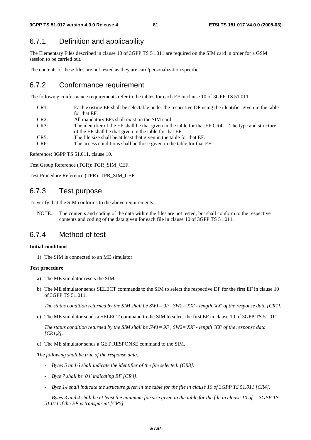# 6.7.1 Definition and applicability

The Elementary Files described in clause 10 of 3GPP TS 51.011 are required on the SIM card in order for a GSM session to be carried out.

The contents of these files are not tested as they are card/personalization specific.

# 6.7.2 Conformance requirement

The following conformance requirements refer to the tables for each EF in clause 10 of 3GPP TS 51.011.

| CR <sub>1</sub> : | Each existing EF shall be selectable under the respective DF using the identifier given in the table |                        |
|-------------------|------------------------------------------------------------------------------------------------------|------------------------|
|                   | for that EF.                                                                                         |                        |
| CR2:              | All mandatory EFs shall exist on the SIM card.                                                       |                        |
| CR3:              | The identifier of the EF shall be that given in the table for that EF.CR4                            | The type and structure |
|                   | of the EF shall be that given in the table for that EF.                                              |                        |
| CR5:              | The file size shall be at least that given in the table for that EF.                                 |                        |
|                   |                                                                                                      |                        |

CR6: The access conditions shall be those given in the table for that EF.

Reference: 3GPP TS 51.011, clause 10.

Test Group Reference (TGR): TGR\_SIM\_CEF.

Test Procedure Reference (TPR): TPR\_SIM\_CEF.

# 6.7.3 Test purpose

To verify that the SIM conforms to the above requirements.

NOTE: The contents and coding of the data within the files are not tested, but shall conform to the respective contents and coding of the data given for each file in clause 10 of 3GPP TS 51.011.

# 6.7.4 Method of test

## **Initial conditions**

1) The SIM is connected to an ME simulator.

## **Test procedure**

- a) The ME simulator resets the SIM.
- b) The ME simulator sends SELECT commands to the SIM to select the respective DF for the first EF in clause 10 of 3GPP TS 51.011.

*The status condition returned by the SIM shall be SW1='9F', SW2='XX' - length 'XX' of the response data [CR1].* 

c) The ME simulator sends a SELECT command to the SIM to select the first EF in clause 10 of 3GPP TS 51.011.

*The status condition returned by the SIM shall be SW1='9F', SW2='XX' - length 'XX' of the response data [CR1,2].* 

d) The ME simulator sends a GET RESPONSE command to the SIM.

*The following shall be true of the response data:* 

- *Bytes 5 and 6 shall indicate the identifier of the file selected. [CR3].*
- *Byte 7 shall be '04' indicating EF [CR4].*
- *Byte 14 shall indicate the structure given in the table for the file in clause 10 of 3GPP TS 51.011 [CR4].*

 *- Bytes 3 and 4 shall be at least the minimum file size given in the table for the file in clause 10 of 3GPP TS 51.011 if the EF is transparent [CR5].*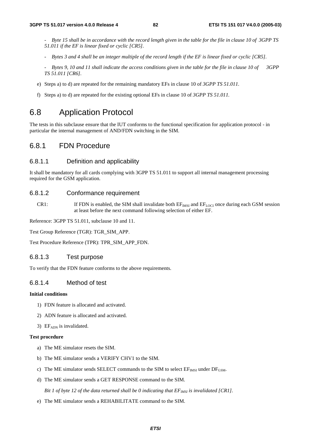- *Byte 15 shall be in accordance with the record length given in the table for the file in clause 10 of 3GPP TS 51.011 if the EF is linear fixed or cyclic [CR5].*
- *Bytes 3 and 4 shall be an integer multiple of the record length if the EF is linear fixed or cyclic [CR5].*
- *Bytes 9, 10 and 11 shall indicate the access conditions given in the table for the file in clause 10 of 3GPP TS 51.011 [CR6].*
- e) Steps a) to d) are repeated for the remaining mandatory EFs in clause 10 of *3GPP TS 51.011.*
- f) Steps a) to d) are repeated for the existing optional EFs in clause 10 of *3GPP TS 51.011.*

# 6.8 Application Protocol

The tests in this subclause ensure that the IUT conforms to the functional specification for application protocol - in particular the internal management of AND/FDN switching in the SIM.

# 6.8.1 FDN Procedure

# 6.8.1.1 Definition and applicability

It shall be mandatory for all cards complying with 3GPP TS 51.011 to support all internal management processing required for the GSM application.

## 6.8.1.2 Conformance requirement

CR1: If FDN is enabled, the SIM shall invalidate both  $EF_{IMSI}$  and  $EF_{LOCI}$  once during each GSM session at least before the next command following selection of either EF.

Reference: 3GPP TS 51.011, subclause 10 and 11.

Test Group Reference (TGR): TGR\_SIM\_APP.

Test Procedure Reference (TPR): TPR\_SIM\_APP\_FDN.

## 6.8.1.3 Test purpose

To verify that the FDN feature conforms to the above requirements.

# 6.8.1.4 Method of test

#### **Initial conditions**

- 1) FDN feature is allocated and activated.
- 2) ADN feature is allocated and activated.
- 3)  $EF_{\text{ADN}}$  is invalidated.

#### **Test procedure**

- a) The ME simulator resets the SIM.
- b) The ME simulator sends a VERIFY CHV1 to the SIM.
- c) The ME simulator sends SELECT commands to the SIM to select  $EF_{MST}$  under  $DF_{GSM}$ .
- d) The ME simulator sends a GET RESPONSE command to the SIM.

*Bit 1 of byte 12 of the data returned shall be 0 indicating that*  $EF_{MSI}$  *is invalidated [CR1].* 

e) The ME simulator sends a REHABILITATE command to the SIM.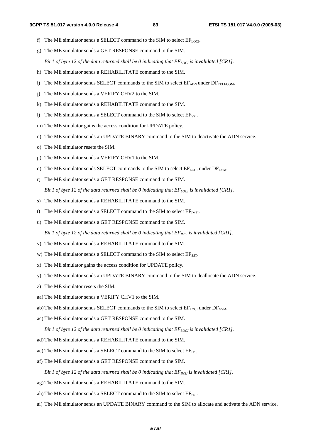- f) The ME simulator sends a SELECT command to the SIM to select  $EF_{LOCI}$ .
- g) The ME simulator sends a GET RESPONSE command to the SIM.

*Bit 1 of byte 12 of the data returned shall be 0 indicating that*  $EF_{LOCI}$  *is invalidated [CR1].* 

- h) The ME simulator sends a REHABILITATE command to the SIM.
- i) The ME simulator sends SELECT commands to the SIM to select  $E_{ADN}$  under  $DF_{TELECOM}$ .
- j) The ME simulator sends a VERIFY CHV2 to the SIM.
- k) The ME simulator sends a REHABILITATE command to the SIM.
- 1) The ME simulator sends a SELECT command to the SIM to select  $E_{SST}$ .
- m) The ME simulator gains the access condition for UPDATE policy.
- n) The ME simulator sends an UPDATE BINARY command to the SIM to deactivate the ADN service.
- o) The ME simulator resets the SIM.
- p) The ME simulator sends a VERIFY CHV1 to the SIM.
- q) The ME simulator sends SELECT commands to the SIM to select  $EF_{\text{LOC}}$  under  $DF_{\text{GSM}}$ .
- r) The ME simulator sends a GET RESPONSE command to the SIM. *Bit 1 of byte 12 of the data returned shall be 0 indicating that*  $EF_{LOC}$  *is invalidated [CR1].*
- s) The ME simulator sends a REHABILITATE command to the SIM.
- t) The ME simulator sends a SELECT command to the SIM to select  $EF_{MSI}$ .
- u) The ME simulator sends a GET RESPONSE command to the SIM.

*Bit 1 of byte 12 of the data returned shall be 0 indicating that*  $EF_{IMSI}$  *is invalidated [CR1].* 

- v) The ME simulator sends a REHABILITATE command to the SIM.
- w) The ME simulator sends a SELECT command to the SIM to select  $E_{SST}$ .
- x) The ME simulator gains the access condition for UPDATE policy.
- y) The ME simulator sends an UPDATE BINARY command to the SIM to deallocate the ADN service.
- z) The ME simulator resets the SIM.
- aa) The ME simulator sends a VERIFY CHV1 to the SIM.
- ab) The ME simulator sends SELECT commands to the SIM to select  $EF_{\text{LOCI}}$  under  $DF_{\text{GSM}}$ .
- ac) The ME simulator sends a GET RESPONSE command to the SIM.

*Bit 1 of byte 12 of the data returned shall be 0 indicating that*  $EF_{LOC}$  *is invalidated [CR1].* 

- ad) The ME simulator sends a REHABILITATE command to the SIM.
- ae) The ME simulator sends a SELECT command to the SIM to select  $EF_{MSI}$ .
- af) The ME simulator sends a GET RESPONSE command to the SIM.

*Bit 1 of byte 12 of the data returned shall be 0 indicating that*  $EF_{MSI}$  *is invalidated [CR1].* 

- ag) The ME simulator sends a REHABILITATE command to the SIM.
- ah) The ME simulator sends a SELECT command to the SIM to select  $E_{SST}$ .
- ai) The ME simulator sends an UPDATE BINARY command to the SIM to allocate and activate the ADN service.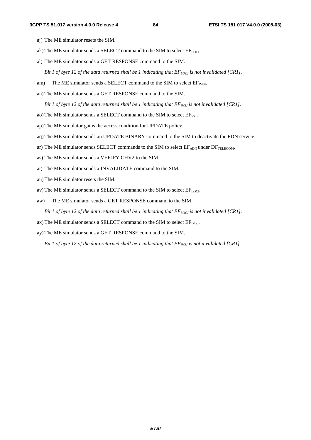- aj) The ME simulator resets the SIM.
- ak) The ME simulator sends a SELECT command to the SIM to select  $EF_{LOCI}$ .
- al) The ME simulator sends a GET RESPONSE command to the SIM.
	- *Bit 1 of byte 12 of the data returned shall be 1 indicating that*  $EF_{LOC}$  *is not invalidated [CR1].*
- am) The ME simulator sends a SELECT command to the SIM to select  $EF_{MSE}$ .
- an) The ME simulator sends a GET RESPONSE command to the SIM.

*Bit 1 of byte 12 of the data returned shall be 1 indicating that*  $EF_{IMSI}$  *is not invalidated [CR1].* 

- ao) The ME simulator sends a SELECT command to the SIM to select  $EF_{SST}$ .
- ap) The ME simulator gains the access condition for UPDATE policy.
- aq) The ME simulator sends an UPDATE BINARY command to the SIM to deactivate the FDN service.
- ar) The ME simulator sends SELECT commands to the SIM to select  $E_{ADN}$  under  $DF_{TELECOM}$ .
- as) The ME simulator sends a VERIFY CHV2 to the SIM.
- at) The ME simulator sends a INVALIDATE command to the SIM.
- au) The ME simulator resets the SIM.
- av) The ME simulator sends a SELECT command to the SIM to select  $EF_{LOCI}$ .
- aw) The ME simulator sends a GET RESPONSE command to the SIM.

*Bit 1 of byte 12 of the data returned shall be 1 indicating that*  $EF_{LOCI}$  *is not invalidated [CR1].* 

ax) The ME simulator sends a SELECT command to the SIM to select  $EF_{MSI}$ .

ay) The ME simulator sends a GET RESPONSE command to the SIM.

*Bit 1 of byte 12 of the data returned shall be 1 indicating that*  $EF_{MSI}$  *is not invalidated [CR1].*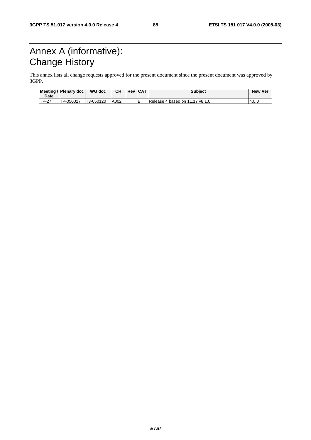# Annex A (informative): Change History

This annex lists all change requests approved for the present document since the present document was approved by 3GPP.

| <b>Date</b>   | Meeting / Plenary doc | WG doc    | CR.  | <b>Revication</b> | <b>Subject</b>                  | <b>New Ver</b> |
|---------------|-----------------------|-----------|------|-------------------|---------------------------------|----------------|
| <b>ITP-27</b> | TP-050027             | T3-050120 | A002 |                   | Release 4 based on 11.17 v8.1.0 | 4.0.0          |